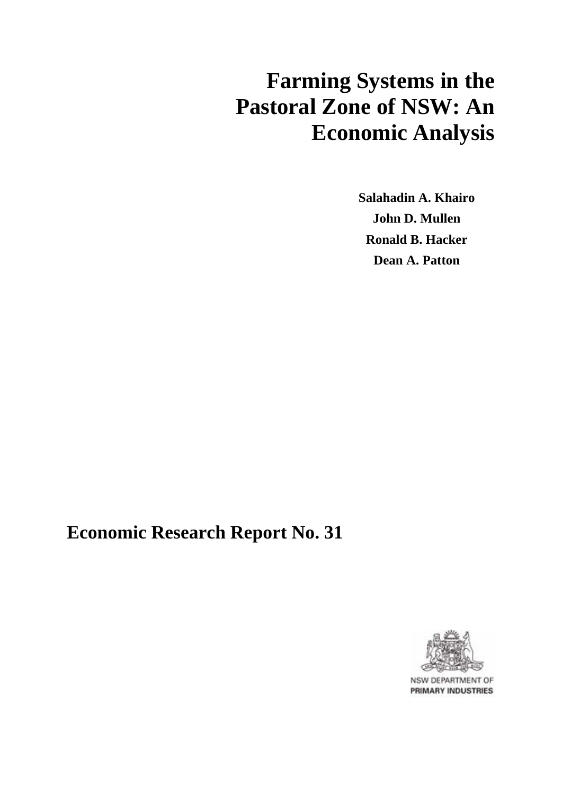# **Farming Systems in the Pastoral Zone of NSW: An Economic Analysis**

**Salahadin A. Khairo John D. Mullen Ronald B. Hacker Dean A. Patton**

## **Economic Research Report No. 31**



NSW DEPARTMENT OF **PRIMARY INDUSTRIES**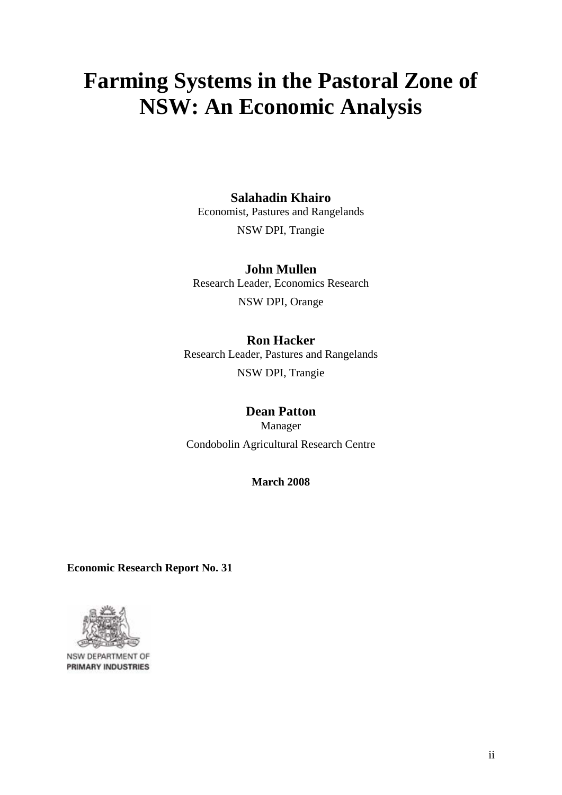# **Farming Systems in the Pastoral Zone of NSW: An Economic Analysis**

#### **Salahadin Khairo**

Economist, Pastures and Rangelands

NSW DPI, Trangie

#### **John Mullen**  Research Leader, Economics Research NSW DPI, Orange

#### **Ron Hacker**

Research Leader, Pastures and Rangelands NSW DPI, Trangie

### **Dean Patton**

Manager Condobolin Agricultural Research Centre

#### **March 2008**

**Economic Research Report No. 31** 



NSW DEPARTMENT OF **PRIMARY INDUSTRIES**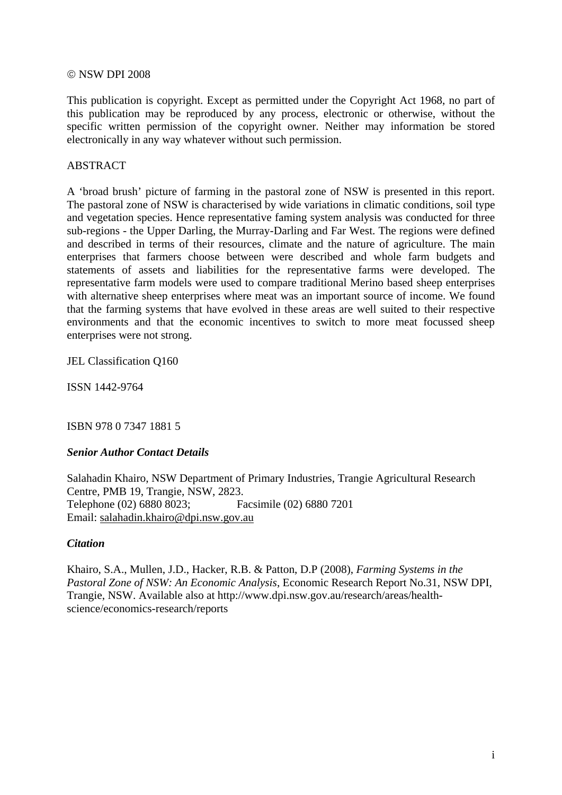#### © NSW DPI 2008

This publication is copyright. Except as permitted under the Copyright Act 1968, no part of this publication may be reproduced by any process, electronic or otherwise, without the specific written permission of the copyright owner. Neither may information be stored electronically in any way whatever without such permission.

#### **ABSTRACT**

A 'broad brush' picture of farming in the pastoral zone of NSW is presented in this report. The pastoral zone of NSW is characterised by wide variations in climatic conditions, soil type and vegetation species. Hence representative faming system analysis was conducted for three sub-regions - the Upper Darling, the Murray-Darling and Far West. The regions were defined and described in terms of their resources, climate and the nature of agriculture. The main enterprises that farmers choose between were described and whole farm budgets and statements of assets and liabilities for the representative farms were developed. The representative farm models were used to compare traditional Merino based sheep enterprises with alternative sheep enterprises where meat was an important source of income. We found that the farming systems that have evolved in these areas are well suited to their respective environments and that the economic incentives to switch to more meat focussed sheep enterprises were not strong.

JEL Classification Q160

ISSN 1442-9764

ISBN 978 0 7347 1881 5

#### *Senior Author Contact Details*

Salahadin Khairo, NSW Department of Primary Industries, Trangie Agricultural Research Centre, PMB 19, Trangie, NSW, 2823. Telephone (02) 6880 8023; Facsimile (02) 6880 7201 Email: [salahadin.khairo@dpi.nsw.gov.au](mailto:Salahadin.khairo@dpi.nsw.gov.au)

#### *Citation*

Khairo, S.A., Mullen, J.D., Hacker, R.B. & Patton, D.P (2008), *Farming Systems in the Pastoral Zone of NSW: An Economic Analysis*, Economic Research Report No.31, NSW DPI, Trangie, NSW. Available also at http://www.dpi.nsw.gov.au/research/areas/healthscience/economics-research/reports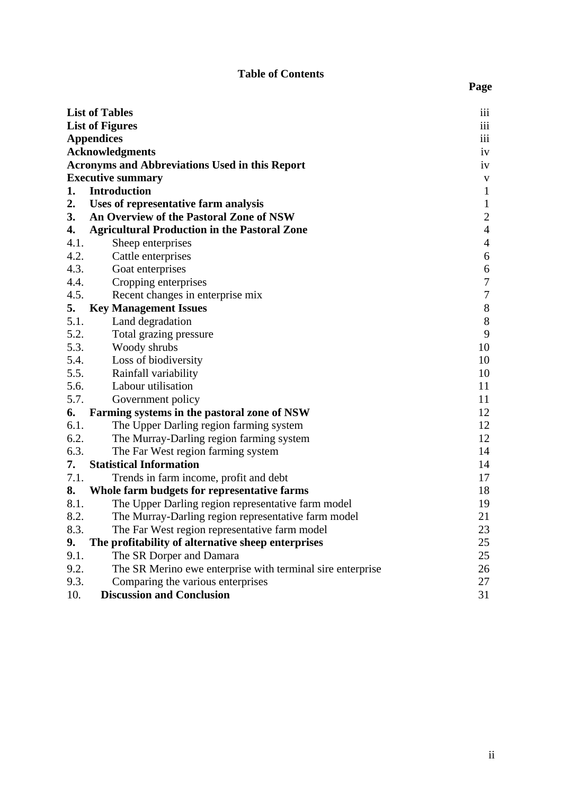#### **Table of Contents**

|      | <b>List of Tables</b>                                      | iii              |
|------|------------------------------------------------------------|------------------|
|      | <b>List of Figures</b>                                     | iii              |
|      | <b>Appendices</b>                                          | 111              |
|      | <b>Acknowledgments</b>                                     | iv               |
|      | <b>Acronyms and Abbreviations Used in this Report</b>      | iv               |
|      | <b>Executive summary</b>                                   | $\mathbf V$      |
| 1.   | <b>Introduction</b>                                        | $\mathbf{1}$     |
| 2.   | Uses of representative farm analysis                       | $\mathbf{1}$     |
| 3.   | An Overview of the Pastoral Zone of NSW                    | $\overline{c}$   |
| 4.   | <b>Agricultural Production in the Pastoral Zone</b>        | $\overline{4}$   |
| 4.1. | Sheep enterprises                                          | $\overline{4}$   |
| 4.2. | Cattle enterprises                                         | $\boldsymbol{6}$ |
| 4.3. | Goat enterprises                                           | $\boldsymbol{6}$ |
| 4.4. | Cropping enterprises                                       | $\boldsymbol{7}$ |
| 4.5. | Recent changes in enterprise mix                           | $\boldsymbol{7}$ |
| 5.   | <b>Key Management Issues</b>                               | $\,8\,$          |
| 5.1. | Land degradation                                           | $8\,$            |
| 5.2. | Total grazing pressure                                     | 9                |
| 5.3. | Woody shrubs                                               | 10               |
| 5.4. | Loss of biodiversity                                       | 10               |
| 5.5. | Rainfall variability                                       | 10               |
| 5.6. | Labour utilisation                                         | 11               |
| 5.7. | Government policy                                          | 11               |
| 6.   | Farming systems in the pastoral zone of NSW                | 12               |
| 6.1. | The Upper Darling region farming system                    | 12               |
| 6.2. | The Murray-Darling region farming system                   | 12               |
| 6.3. | The Far West region farming system                         | 14               |
| 7.   | <b>Statistical Information</b>                             | 14               |
| 7.1. | Trends in farm income, profit and debt                     | 17               |
| 8.   | Whole farm budgets for representative farms                | 18               |
| 8.1. | The Upper Darling region representative farm model         | 19               |
| 8.2. | The Murray-Darling region representative farm model        | 21               |
| 8.3. | The Far West region representative farm model              | 23               |
| 9.   | The profitability of alternative sheep enterprises         | 25               |
| 9.1. | The SR Dorper and Damara                                   | 25               |
| 9.2. | The SR Merino ewe enterprise with terminal sire enterprise | 26               |
| 9.3. | Comparing the various enterprises                          | 27               |
| 10.  | <b>Discussion and Conclusion</b>                           | 31               |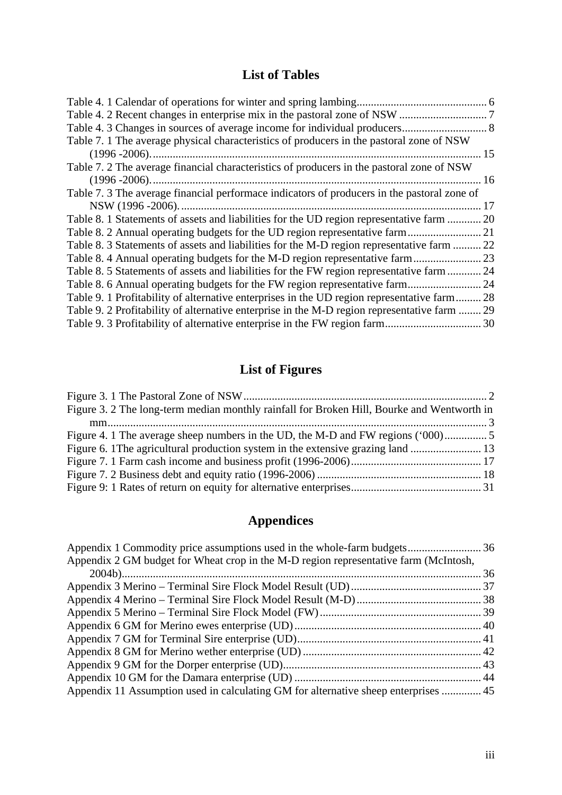## **List of Tables**

<span id="page-4-0"></span>

| Table 7. 1 The average physical characteristics of producers in the pastoral zone of NSW     |    |
|----------------------------------------------------------------------------------------------|----|
|                                                                                              | 15 |
| Table 7. 2 The average financial characteristics of producers in the pastoral zone of NSW    |    |
|                                                                                              | 16 |
| Table 7. 3 The average financial performace indicators of producers in the pastoral zone of  |    |
|                                                                                              | 17 |
| Table 8. 1 Statements of assets and liabilities for the UD region representative farm  20    |    |
|                                                                                              |    |
| Table 8. 3 Statements of assets and liabilities for the M-D region representative farm  22   |    |
|                                                                                              |    |
| Table 8. 5 Statements of assets and liabilities for the FW region representative farm  24    |    |
|                                                                                              |    |
| Table 9. 1 Profitability of alternative enterprises in the UD region representative farm 28  |    |
| Table 9. 2 Profitability of alternative enterprise in the M-D region representative farm  29 |    |
|                                                                                              |    |

## **List of Figures**

| Figure 3. 2 The long-term median monthly rainfall for Broken Hill, Bourke and Wentworth in |  |
|--------------------------------------------------------------------------------------------|--|
|                                                                                            |  |
|                                                                                            |  |
|                                                                                            |  |
|                                                                                            |  |
|                                                                                            |  |
|                                                                                            |  |

## **Appendices**

| Appendix 2 GM budget for Wheat crop in the M-D region representative farm (McIntosh, |  |
|--------------------------------------------------------------------------------------|--|
|                                                                                      |  |
|                                                                                      |  |
|                                                                                      |  |
|                                                                                      |  |
|                                                                                      |  |
|                                                                                      |  |
|                                                                                      |  |
|                                                                                      |  |
|                                                                                      |  |
| Appendix 11 Assumption used in calculating GM for alternative sheep enterprises  45  |  |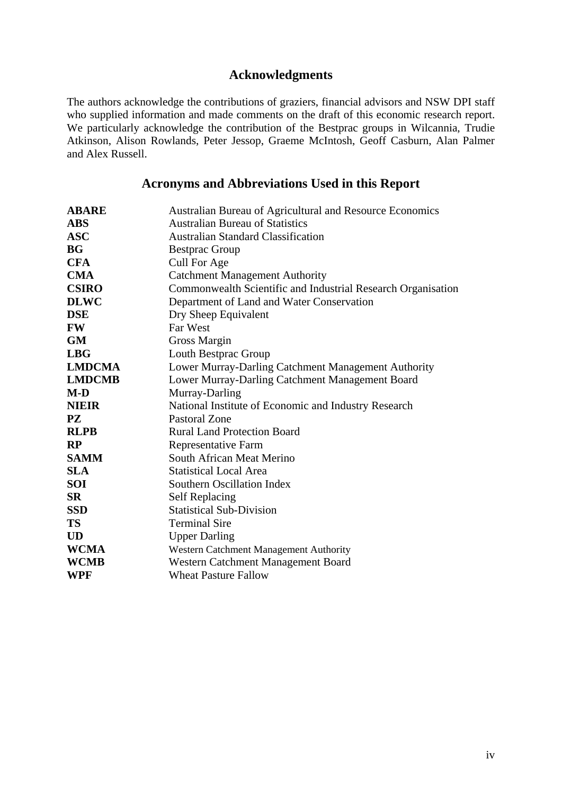#### **Acknowledgments**

<span id="page-5-0"></span>The authors acknowledge the contributions of graziers, financial advisors and NSW DPI staff who supplied information and made comments on the draft of this economic research report. We particularly acknowledge the contribution of the Bestprac groups in Wilcannia, Trudie Atkinson, Alison Rowlands, Peter Jessop, Graeme McIntosh, Geoff Casburn, Alan Palmer and Alex Russell.

#### **Acronyms and Abbreviations Used in this Report**

| <b>ABARE</b>  | Australian Bureau of Agricultural and Resource Economics     |
|---------------|--------------------------------------------------------------|
| <b>ABS</b>    | <b>Australian Bureau of Statistics</b>                       |
| <b>ASC</b>    | <b>Australian Standard Classification</b>                    |
| <b>BG</b>     | <b>Bestprac Group</b>                                        |
| <b>CFA</b>    | Cull For Age                                                 |
| <b>CMA</b>    | <b>Catchment Management Authority</b>                        |
| <b>CSIRO</b>  | Commonwealth Scientific and Industrial Research Organisation |
| <b>DLWC</b>   | Department of Land and Water Conservation                    |
| <b>DSE</b>    | Dry Sheep Equivalent                                         |
| <b>FW</b>     | Far West                                                     |
| <b>GM</b>     | Gross Margin                                                 |
| <b>LBG</b>    | Louth Bestprac Group                                         |
| <b>LMDCMA</b> | Lower Murray-Darling Catchment Management Authority          |
| <b>LMDCMB</b> | Lower Murray-Darling Catchment Management Board              |
| $M-D$         | Murray-Darling                                               |
| <b>NIEIR</b>  | National Institute of Economic and Industry Research         |
| <b>PZ</b>     | <b>Pastoral Zone</b>                                         |
| <b>RLPB</b>   | <b>Rural Land Protection Board</b>                           |
| RP            | Representative Farm                                          |
| <b>SAMM</b>   | South African Meat Merino                                    |
| <b>SLA</b>    | <b>Statistical Local Area</b>                                |
| <b>SOI</b>    | Southern Oscillation Index                                   |
| <b>SR</b>     | <b>Self Replacing</b>                                        |
| <b>SSD</b>    | <b>Statistical Sub-Division</b>                              |
| <b>TS</b>     | <b>Terminal Sire</b>                                         |
| <b>UD</b>     | <b>Upper Darling</b>                                         |
| <b>WCMA</b>   | Western Catchment Management Authority                       |
| <b>WCMB</b>   | Western Catchment Management Board                           |
| WPF           | <b>Wheat Pasture Fallow</b>                                  |
|               |                                                              |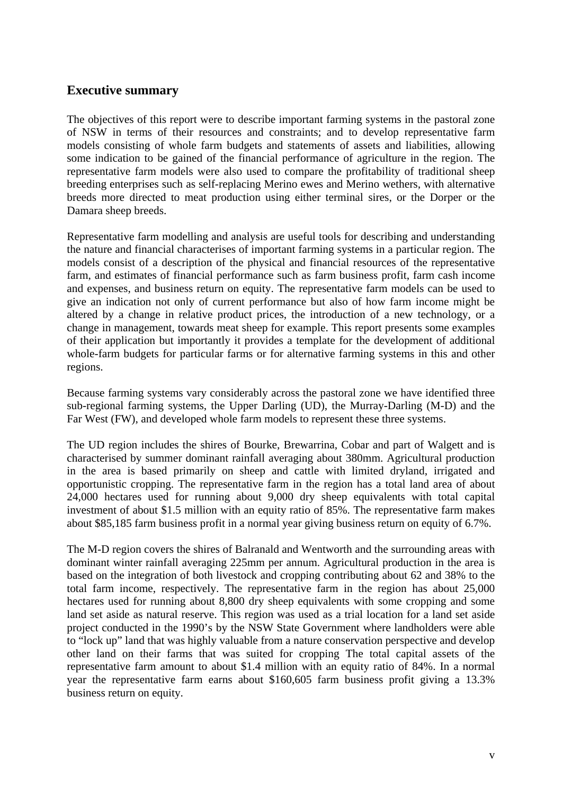#### <span id="page-6-0"></span>**Executive summary**

The objectives of this report were to describe important farming systems in the pastoral zone of NSW in terms of their resources and constraints; and to develop representative farm models consisting of whole farm budgets and statements of assets and liabilities, allowing some indication to be gained of the financial performance of agriculture in the region. The representative farm models were also used to compare the profitability of traditional sheep breeding enterprises such as self-replacing Merino ewes and Merino wethers, with alternative breeds more directed to meat production using either terminal sires, or the Dorper or the Damara sheep breeds.

Representative farm modelling and analysis are useful tools for describing and understanding the nature and financial characterises of important farming systems in a particular region. The models consist of a description of the physical and financial resources of the representative farm, and estimates of financial performance such as farm business profit, farm cash income and expenses, and business return on equity. The representative farm models can be used to give an indication not only of current performance but also of how farm income might be altered by a change in relative product prices, the introduction of a new technology, or a change in management, towards meat sheep for example. This report presents some examples of their application but importantly it provides a template for the development of additional whole-farm budgets for particular farms or for alternative farming systems in this and other regions.

Because farming systems vary considerably across the pastoral zone we have identified three sub-regional farming systems, the Upper Darling (UD), the Murray-Darling (M-D) and the Far West (FW), and developed whole farm models to represent these three systems.

The UD region includes the shires of Bourke, Brewarrina, Cobar and part of Walgett and is characterised by summer dominant rainfall averaging about 380mm. Agricultural production in the area is based primarily on sheep and cattle with limited dryland, irrigated and opportunistic cropping. The representative farm in the region has a total land area of about 24,000 hectares used for running about 9,000 dry sheep equivalents with total capital investment of about \$1.5 million with an equity ratio of 85%. The representative farm makes about \$85,185 farm business profit in a normal year giving business return on equity of 6.7%.

The M-D region covers the shires of Balranald and Wentworth and the surrounding areas with dominant winter rainfall averaging 225mm per annum. Agricultural production in the area is based on the integration of both livestock and cropping contributing about 62 and 38% to the total farm income, respectively. The representative farm in the region has about 25,000 hectares used for running about 8,800 dry sheep equivalents with some cropping and some land set aside as natural reserve. This region was used as a trial location for a land set aside project conducted in the 1990's by the NSW State Government where landholders were able to "lock up" land that was highly valuable from a nature conservation perspective and develop other land on their farms that was suited for cropping The total capital assets of the representative farm amount to about \$1.4 million with an equity ratio of 84%. In a normal year the representative farm earns about \$160,605 farm business profit giving a 13.3% business return on equity.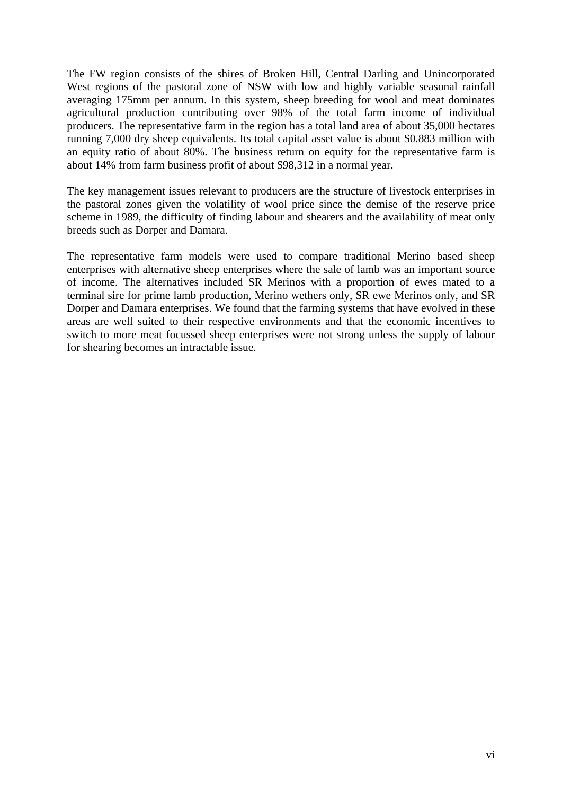The FW region consists of the shires of Broken Hill, Central Darling and Unincorporated West regions of the pastoral zone of NSW with low and highly variable seasonal rainfall averaging 175mm per annum. In this system, sheep breeding for wool and meat dominates agricultural production contributing over 98% of the total farm income of individual producers. The representative farm in the region has a total land area of about 35,000 hectares running 7,000 dry sheep equivalents. Its total capital asset value is about \$0.883 million with an equity ratio of about 80%. The business return on equity for the representative farm is about 14% from farm business profit of about \$98,312 in a normal year.

The key management issues relevant to producers are the structure of livestock enterprises in the pastoral zones given the volatility of wool price since the demise of the reserve price scheme in 1989, the difficulty of finding labour and shearers and the availability of meat only breeds such as Dorper and Damara.

The representative farm models were used to compare traditional Merino based sheep enterprises with alternative sheep enterprises where the sale of lamb was an important source of income. The alternatives included SR Merinos with a proportion of ewes mated to a terminal sire for prime lamb production, Merino wethers only, SR ewe Merinos only, and SR Dorper and Damara enterprises. We found that the farming systems that have evolved in these areas are well suited to their respective environments and that the economic incentives to switch to more meat focussed sheep enterprises were not strong unless the supply of labour for shearing becomes an intractable issue.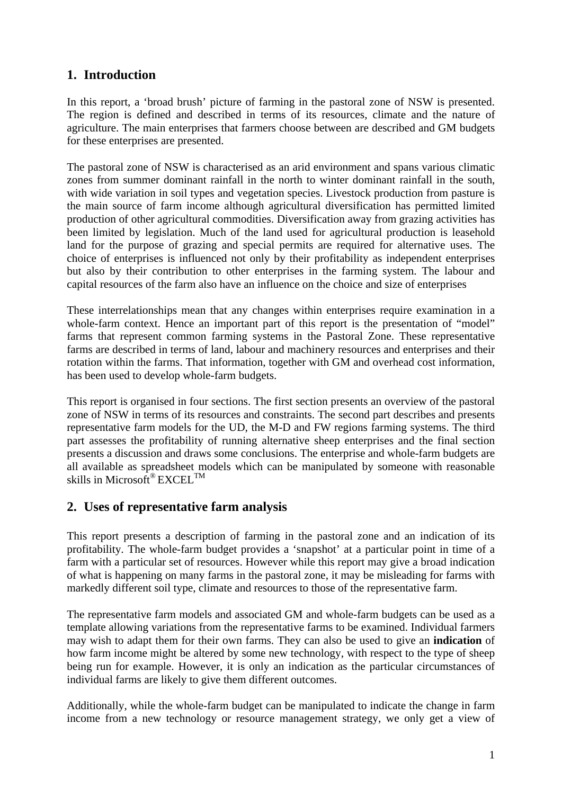### <span id="page-8-0"></span>**1. Introduction**

In this report, a 'broad brush' picture of farming in the pastoral zone of NSW is presented. The region is defined and described in terms of its resources, climate and the nature of agriculture. The main enterprises that farmers choose between are described and GM budgets for these enterprises are presented.

The pastoral zone of NSW is characterised as an arid environment and spans various climatic zones from summer dominant rainfall in the north to winter dominant rainfall in the south, with wide variation in soil types and vegetation species. Livestock production from pasture is the main source of farm income although agricultural diversification has permitted limited production of other agricultural commodities. Diversification away from grazing activities has been limited by legislation. Much of the land used for agricultural production is leasehold land for the purpose of grazing and special permits are required for alternative uses. The choice of enterprises is influenced not only by their profitability as independent enterprises but also by their contribution to other enterprises in the farming system. The labour and capital resources of the farm also have an influence on the choice and size of enterprises

These interrelationships mean that any changes within enterprises require examination in a whole-farm context. Hence an important part of this report is the presentation of "model" farms that represent common farming systems in the Pastoral Zone. These representative farms are described in terms of land, labour and machinery resources and enterprises and their rotation within the farms. That information, together with GM and overhead cost information, has been used to develop whole-farm budgets.

This report is organised in four sections. The first section presents an overview of the pastoral zone of NSW in terms of its resources and constraints. The second part describes and presents representative farm models for the UD, the M-D and FW regions farming systems. The third part assesses the profitability of running alternative sheep enterprises and the final section presents a discussion and draws some conclusions. The enterprise and whole-farm budgets are all available as spreadsheet models which can be manipulated by someone with reasonable skills in Microsoft<sup>®</sup> EXCEL<sup>TM</sup>

#### **2. Uses of representative farm analysis**

This report presents a description of farming in the pastoral zone and an indication of its profitability. The whole-farm budget provides a 'snapshot' at a particular point in time of a farm with a particular set of resources. However while this report may give a broad indication of what is happening on many farms in the pastoral zone, it may be misleading for farms with markedly different soil type, climate and resources to those of the representative farm.

The representative farm models and associated GM and whole-farm budgets can be used as a template allowing variations from the representative farms to be examined. Individual farmers may wish to adapt them for their own farms. They can also be used to give an **indication** of how farm income might be altered by some new technology, with respect to the type of sheep being run for example. However, it is only an indication as the particular circumstances of individual farms are likely to give them different outcomes.

Additionally, while the whole-farm budget can be manipulated to indicate the change in farm income from a new technology or resource management strategy, we only get a view of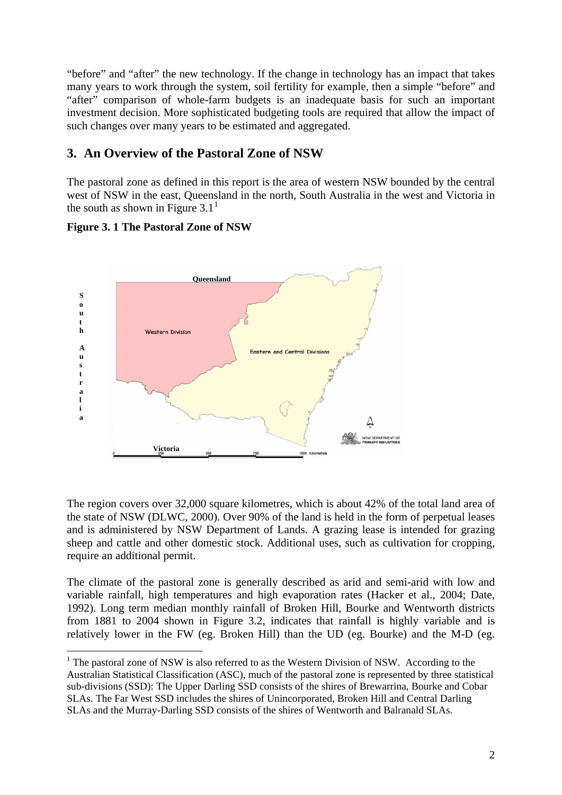<span id="page-9-0"></span>"before" and "after" the new technology. If the change in technology has an impact that takes many years to work through the system, soil fertility for example, then a simple "before" and "after" comparison of whole-farm budgets is an inadequate basis for such an important investment decision. More sophisticated budgeting tools are required that allow the impact of such changes over many years to be estimated and aggregated.

#### **3. An Overview of the Pastoral Zone of NSW**

The pastoral zone as defined in this report is the area of western NSW bounded by the central west of NSW in the east, Queensland in the north, South Australia in the west and Victoria in the south as shown in Figure 3.[1](#page-9-1)<sup>1</sup>

#### **Figure 3. 1 The Pastoral Zone of NSW**

1



The region covers over 32,000 square kilometres, which is about 42% of the total land area of the state of NSW (DLWC, 2000). Over 90% of the land is held in the form of perpetual leases and is administered by NSW Department of Lands. A grazing lease is intended for grazing sheep and cattle and other domestic stock. Additional uses, such as cultivation for cropping, require an additional permit.

The climate of the pastoral zone is generally described as arid and semi-arid with low and variable rainfall, high temperatures and high evaporation rates (Hacker et al., 2004; Date, 1992). Long term median monthly rainfall of Broken Hill, Bourke and Wentworth districts from 1881 to 2004 shown in Figure 3.2, indicates that rainfall is highly variable and is relatively lower in the FW (eg. Broken Hill) than the UD (eg. Bourke) and the M-D (eg.

<span id="page-9-1"></span> $1$ <sup>1</sup> The pastoral zone of NSW is also referred to as the Western Division of NSW. According to the Australian Statistical Classification (ASC), much of the pastoral zone is represented by three statistical sub-divisions (SSD): The Upper Darling SSD consists of the shires of Brewarrina, Bourke and Cobar SLAs. The Far West SSD includes the shires of Unincorporated, Broken Hill and Central Darling SLAs and the Murray-Darling SSD consists of the shires of Wentworth and Balranald SLAs.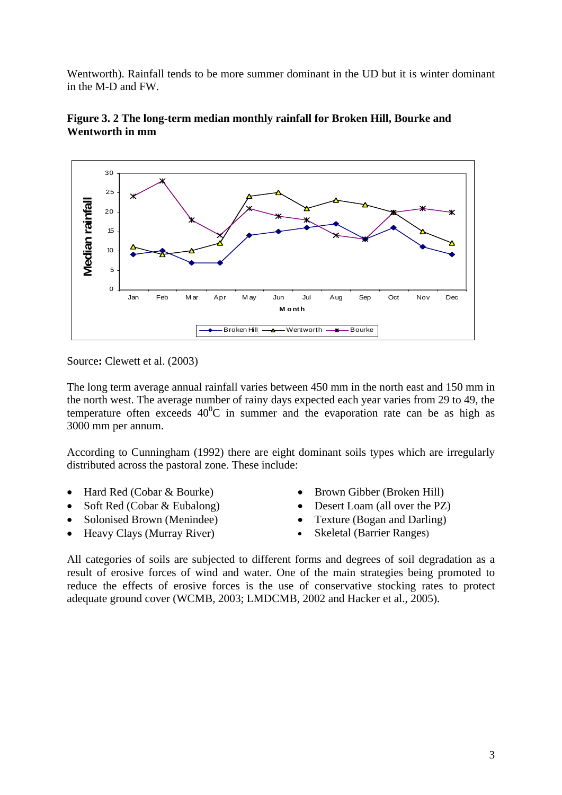<span id="page-10-0"></span>Wentworth). Rainfall tends to be more summer dominant in the UD but it is winter dominant in the M-D and FW.





Source**:** Clewett et al. (2003)

The long term average annual rainfall varies between 450 mm in the north east and 150 mm in the north west. The average number of rainy days expected each year varies from 29 to 49, the temperature often exceeds  $40^{\circ}$ C in summer and the evaporation rate can be as high as 3000 mm per annum.

According to Cunningham (1992) there are eight dominant soils types which are irregularly distributed across the pastoral zone. These include:

- Hard Red (Cobar & Bourke) Brown Gibber (Broken Hill)
- 
- Solonised Brown (Menindee) Texture (Bogan and Darling)
- Heavy Clays (Murray River) Skeletal (Barrier Ranges)
- 
- Soft Red (Cobar & Eubalong) Desert Loam (all over the PZ)
	-
	-

All categories of soils are subjected to different forms and degrees of soil degradation as a result of erosive forces of wind and water. One of the main strategies being promoted to reduce the effects of erosive forces is the use of conservative stocking rates to protect adequate ground cover (WCMB, 2003; LMDCMB, 2002 and Hacker et al., 2005).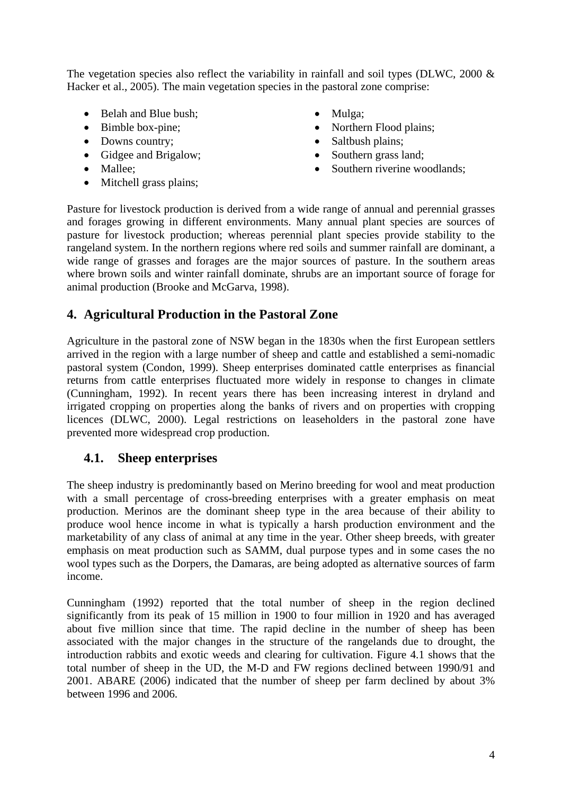<span id="page-11-0"></span>The vegetation species also reflect the variability in rainfall and soil types (DLWC,  $2000 \&$ Hacker et al., 2005). The main vegetation species in the pastoral zone comprise:

- Belah and Blue bush:
- Bimble box-pine;
- Downs country;
- Gidgee and Brigalow;
- Mallee:
- Mitchell grass plains;
- Mulga;
- Northern Flood plains;
- Saltbush plains;
- Southern grass land:
- Southern riverine woodlands;

Pasture for livestock production is derived from a wide range of annual and perennial grasses and forages growing in different environments. Many annual plant species are sources of pasture for livestock production; whereas perennial plant species provide stability to the rangeland system. In the northern regions where red soils and summer rainfall are dominant, a wide range of grasses and forages are the major sources of pasture. In the southern areas where brown soils and winter rainfall dominate, shrubs are an important source of forage for animal production (Brooke and McGarva, 1998).

#### **4. Agricultural Production in the Pastoral Zone**

Agriculture in the pastoral zone of NSW began in the 1830s when the first European settlers arrived in the region with a large number of sheep and cattle and established a semi-nomadic pastoral system (Condon, 1999). Sheep enterprises dominated cattle enterprises as financial returns from cattle enterprises fluctuated more widely in response to changes in climate (Cunningham, 1992). In recent years there has been increasing interest in dryland and irrigated cropping on properties along the banks of rivers and on properties with cropping licences (DLWC, 2000). Legal restrictions on leaseholders in the pastoral zone have prevented more widespread crop production.

#### **4.1. Sheep enterprises**

The sheep industry is predominantly based on Merino breeding for wool and meat production with a small percentage of cross-breeding enterprises with a greater emphasis on meat production. Merinos are the dominant sheep type in the area because of their ability to produce wool hence income in what is typically a harsh production environment and the marketability of any class of animal at any time in the year. Other sheep breeds, with greater emphasis on meat production such as SAMM, dual purpose types and in some cases the no wool types such as the Dorpers, the Damaras, are being adopted as alternative sources of farm income.

Cunningham (1992) reported that the total number of sheep in the region declined significantly from its peak of 15 million in 1900 to four million in 1920 and has averaged about five million since that time. The rapid decline in the number of sheep has been associated with the major changes in the structure of the rangelands due to drought, the introduction rabbits and exotic weeds and clearing for cultivation. Figure 4.1 shows that the total number of sheep in the UD, the M-D and FW regions declined between 1990/91 and 2001. ABARE (2006) indicated that the number of sheep per farm declined by about 3% between 1996 and 2006.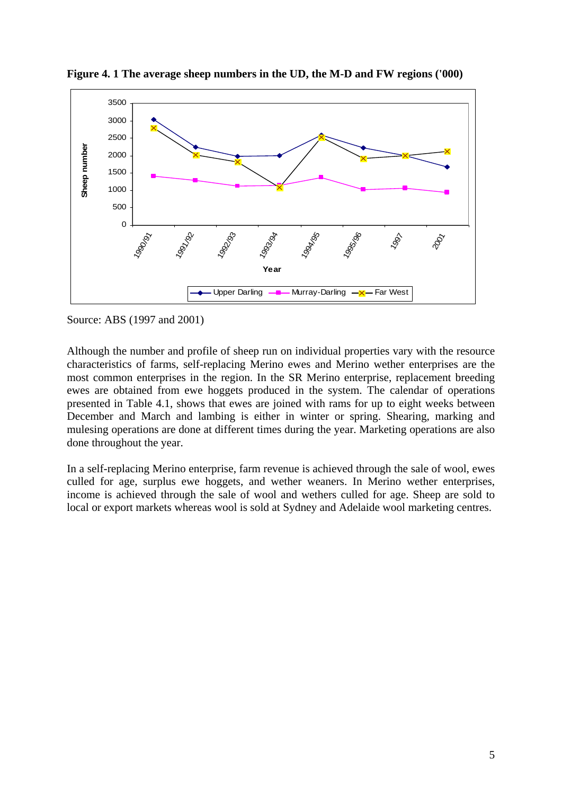

<span id="page-12-0"></span>**Figure 4. 1 The average sheep numbers in the UD, the M-D and FW regions ('000)** 

Source: ABS (1997 and 2001)

Although the number and profile of sheep run on individual properties vary with the resource characteristics of farms, self-replacing Merino ewes and Merino wether enterprises are the most common enterprises in the region. In the SR Merino enterprise, replacement breeding ewes are obtained from ewe hoggets produced in the system. The calendar of operations presented in Table 4.1, shows that ewes are joined with rams for up to eight weeks between December and March and lambing is either in winter or spring. Shearing, marking and mulesing operations are done at different times during the year. Marketing operations are also done throughout the year.

In a self-replacing Merino enterprise, farm revenue is achieved through the sale of wool, ewes culled for age, surplus ewe hoggets, and wether weaners. In Merino wether enterprises, income is achieved through the sale of wool and wethers culled for age. Sheep are sold to local or export markets whereas wool is sold at Sydney and Adelaide wool marketing centres.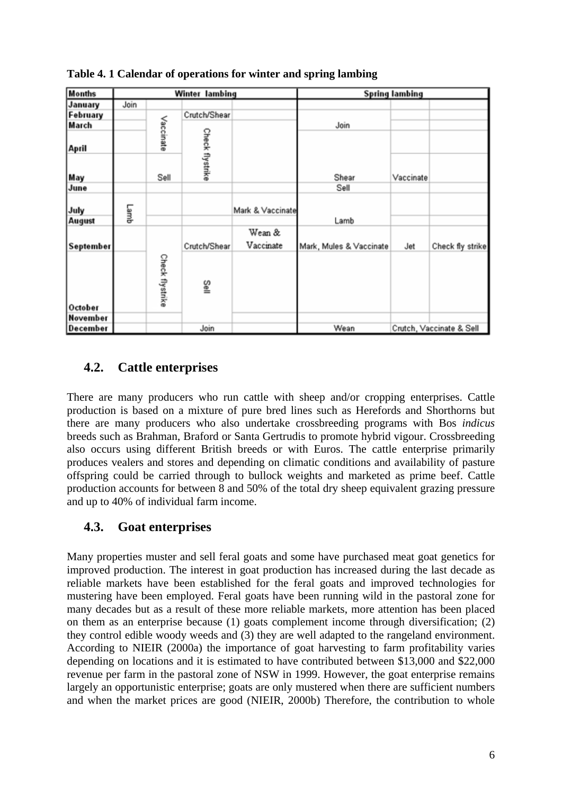| <b>Months</b> | <b>Spring lambing</b><br>Winter lambing |                 |                 |                     |                         |           |                          |
|---------------|-----------------------------------------|-----------------|-----------------|---------------------|-------------------------|-----------|--------------------------|
| January       | Join                                    |                 |                 |                     |                         |           |                          |
| February      |                                         |                 | Crutch/Shear    |                     |                         |           |                          |
| March         |                                         |                 |                 |                     | Join                    |           |                          |
| April         |                                         | Vaccinate       |                 |                     |                         |           |                          |
| May           |                                         | Sell            | Check flystrike |                     | Shear                   | Vaccinate |                          |
| June          |                                         |                 |                 |                     | Sell                    |           |                          |
| July          | Lamb                                    |                 |                 | Mark & Vaccinate    |                         |           |                          |
| <b>August</b> |                                         |                 |                 |                     | Lamb                    |           |                          |
| September     |                                         |                 | Crutch/Shear    | Wean &<br>Vaccinate | Mark, Mules & Vaccinate | Jet       | Check fly strike         |
| October       |                                         | Check flystrike | s⊪              |                     |                         |           |                          |
| November      |                                         |                 |                 |                     |                         |           |                          |
| December      |                                         |                 | Join            |                     | Wean                    |           | Crutch, Vaccinate & Sell |

<span id="page-13-0"></span>**Table 4. 1 Calendar of operations for winter and spring lambing** 

## **4.2. Cattle enterprises**

There are many producers who run cattle with sheep and/or cropping enterprises. Cattle production is based on a mixture of pure bred lines such as Herefords and Shorthorns but there are many producers who also undertake crossbreeding programs with Bos *indicus*  breeds such as Brahman, Braford or Santa Gertrudis to promote hybrid vigour. Crossbreeding also occurs using different British breeds or with Euros. The cattle enterprise primarily produces vealers and stores and depending on climatic conditions and availability of pasture offspring could be carried through to bullock weights and marketed as prime beef. Cattle production accounts for between 8 and 50% of the total dry sheep equivalent grazing pressure and up to 40% of individual farm income.

### **4.3. Goat enterprises**

Many properties muster and sell feral goats and some have purchased meat goat genetics for improved production. The interest in goat production has increased during the last decade as reliable markets have been established for the feral goats and improved technologies for mustering have been employed. Feral goats have been running wild in the pastoral zone for many decades but as a result of these more reliable markets, more attention has been placed on them as an enterprise because (1) goats complement income through diversification; (2) they control edible woody weeds and (3) they are well adapted to the rangeland environment. According to NIEIR (2000a) the importance of goat harvesting to farm profitability varies depending on locations and it is estimated to have contributed between \$13,000 and \$22,000 revenue per farm in the pastoral zone of NSW in 1999. However, the goat enterprise remains largely an opportunistic enterprise; goats are only mustered when there are sufficient numbers and when the market prices are good (NIEIR, 2000b) Therefore, the contribution to whole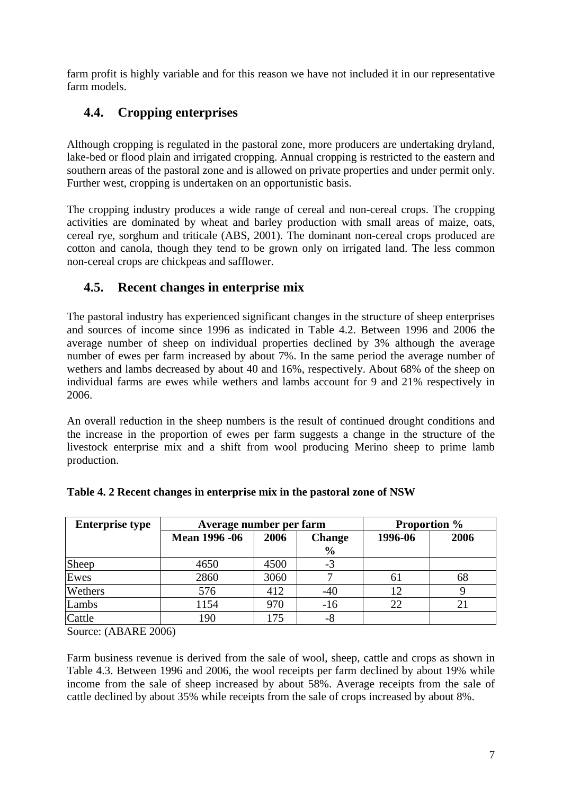<span id="page-14-0"></span>farm profit is highly variable and for this reason we have not included it in our representative farm models.

## **4.4. Cropping enterprises**

Although cropping is regulated in the pastoral zone, more producers are undertaking dryland, lake-bed or flood plain and irrigated cropping. Annual cropping is restricted to the eastern and southern areas of the pastoral zone and is allowed on private properties and under permit only. Further west, cropping is undertaken on an opportunistic basis.

The cropping industry produces a wide range of cereal and non-cereal crops. The cropping activities are dominated by wheat and barley production with small areas of maize, oats, cereal rye, sorghum and triticale (ABS, 2001). The dominant non-cereal crops produced are cotton and canola, though they tend to be grown only on irrigated land. The less common non-cereal crops are chickpeas and safflower.

## **4.5. Recent changes in enterprise mix**

The pastoral industry has experienced significant changes in the structure of sheep enterprises and sources of income since 1996 as indicated in Table 4.2. Between 1996 and 2006 the average number of sheep on individual properties declined by 3% although the average number of ewes per farm increased by about 7%. In the same period the average number of wethers and lambs decreased by about 40 and 16%, respectively. About 68% of the sheep on individual farms are ewes while wethers and lambs account for 9 and 21% respectively in 2006.

An overall reduction in the sheep numbers is the result of continued drought conditions and the increase in the proportion of ewes per farm suggests a change in the structure of the livestock enterprise mix and a shift from wool producing Merino sheep to prime lamb production.

| <b>Enterprise type</b> | Average number per farm |                       | <b>Proportion</b> % |         |      |
|------------------------|-------------------------|-----------------------|---------------------|---------|------|
|                        | <b>Mean 1996 -06</b>    | 2006<br><b>Change</b> |                     | 1996-06 | 2006 |
|                        |                         |                       | $\frac{0}{0}$       |         |      |
| Sheep                  | 4650                    | 4500                  | $-3$                |         |      |
| Ewes                   | 2860                    | 3060                  |                     | 6 I     | 68   |
| Wethers                | 576                     | 412                   | $-40$               | 12      |      |
| Lambs                  | 1154                    | 970                   | $-16$               | 22      |      |
| Cattle                 | 190                     | 175                   | $-8$                |         |      |

| Table 4. 2 Recent changes in enterprise mix in the pastoral zone of NSW |
|-------------------------------------------------------------------------|
|-------------------------------------------------------------------------|

Source: (ABARE 2006)

Farm business revenue is derived from the sale of wool, sheep, cattle and crops as shown in Table 4.3. Between 1996 and 2006, the wool receipts per farm declined by about 19% while income from the sale of sheep increased by about 58%. Average receipts from the sale of cattle declined by about 35% while receipts from the sale of crops increased by about 8%.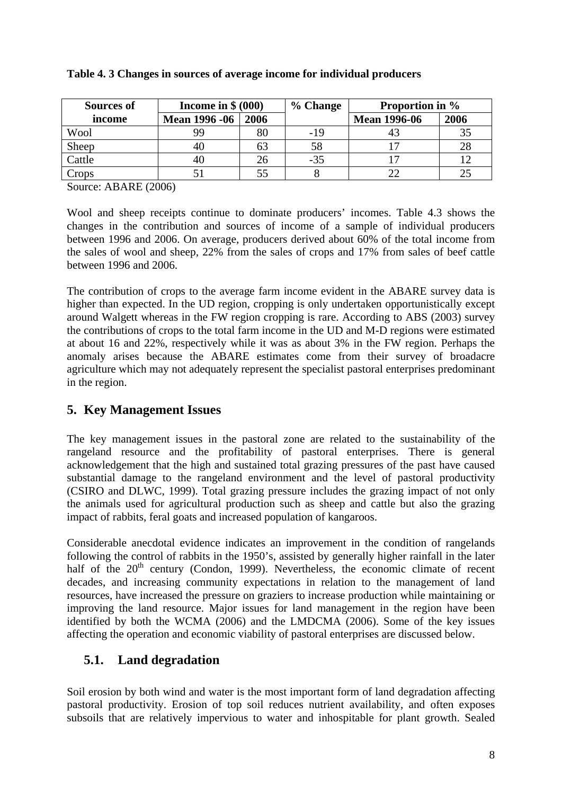| Sources of | Income in $$ (000)$  |      | % Change | <b>Proportion in %</b> |      |
|------------|----------------------|------|----------|------------------------|------|
| income     | <b>Mean 1996 -06</b> | 2006 |          | <b>Mean 1996-06</b>    | 2006 |
| Wool       | 99                   | 80   | $-19$    |                        | 35   |
| Sheep      |                      | 63   | 58       |                        | 28   |
| Cattle     |                      | 26   | $-35$    |                        |      |
| Crops      |                      |      |          |                        |      |

#### <span id="page-15-0"></span>**Table 4. 3 Changes in sources of average income for individual producers**

Source: ABARE (2006)

Wool and sheep receipts continue to dominate producers' incomes. Table 4.3 shows the changes in the contribution and sources of income of a sample of individual producers between 1996 and 2006. On average, producers derived about 60% of the total income from the sales of wool and sheep, 22% from the sales of crops and 17% from sales of beef cattle between 1996 and 2006.

The contribution of crops to the average farm income evident in the ABARE survey data is higher than expected. In the UD region, cropping is only undertaken opportunistically except around Walgett whereas in the FW region cropping is rare. According to ABS (2003) survey the contributions of crops to the total farm income in the UD and M-D regions were estimated at about 16 and 22%, respectively while it was as about 3% in the FW region. Perhaps the anomaly arises because the ABARE estimates come from their survey of broadacre agriculture which may not adequately represent the specialist pastoral enterprises predominant in the region.

#### **5. Key Management Issues**

The key management issues in the pastoral zone are related to the sustainability of the rangeland resource and the profitability of pastoral enterprises. There is general acknowledgement that the high and sustained total grazing pressures of the past have caused substantial damage to the rangeland environment and the level of pastoral productivity (CSIRO and DLWC, 1999). Total grazing pressure includes the grazing impact of not only the animals used for agricultural production such as sheep and cattle but also the grazing impact of rabbits, feral goats and increased population of kangaroos.

Considerable anecdotal evidence indicates an improvement in the condition of rangelands following the control of rabbits in the 1950's, assisted by generally higher rainfall in the later half of the  $20<sup>th</sup>$  century (Condon, 1999). Nevertheless, the economic climate of recent decades, and increasing community expectations in relation to the management of land resources, have increased the pressure on graziers to increase production while maintaining or improving the land resource. Major issues for land management in the region have been identified by both the WCMA (2006) and the LMDCMA (2006). Some of the key issues affecting the operation and economic viability of pastoral enterprises are discussed below.

### **5.1. Land degradation**

Soil erosion by both wind and water is the most important form of land degradation affecting pastoral productivity. Erosion of top soil reduces nutrient availability, and often exposes subsoils that are relatively impervious to water and inhospitable for plant growth. Sealed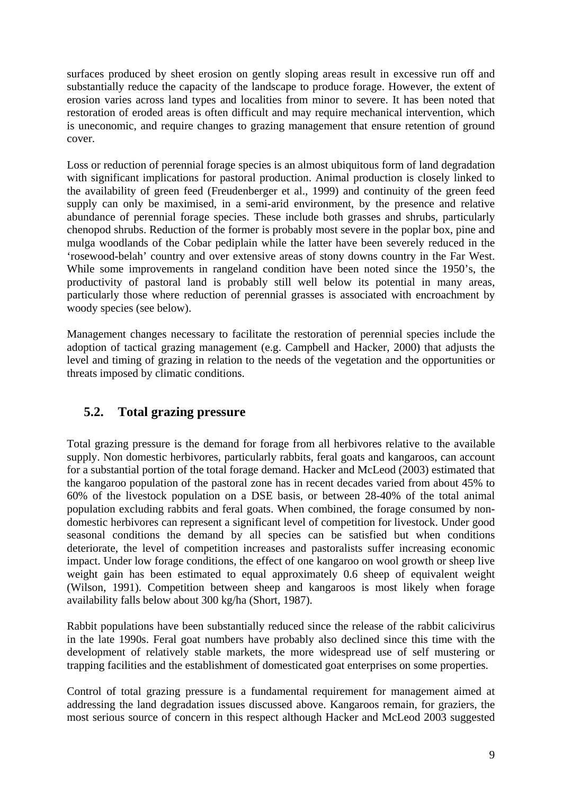<span id="page-16-0"></span>surfaces produced by sheet erosion on gently sloping areas result in excessive run off and substantially reduce the capacity of the landscape to produce forage. However, the extent of erosion varies across land types and localities from minor to severe. It has been noted that restoration of eroded areas is often difficult and may require mechanical intervention, which is uneconomic, and require changes to grazing management that ensure retention of ground cover.

Loss or reduction of perennial forage species is an almost ubiquitous form of land degradation with significant implications for pastoral production. Animal production is closely linked to the availability of green feed (Freudenberger et al., 1999) and continuity of the green feed supply can only be maximised, in a semi-arid environment, by the presence and relative abundance of perennial forage species. These include both grasses and shrubs, particularly chenopod shrubs. Reduction of the former is probably most severe in the poplar box, pine and mulga woodlands of the Cobar pediplain while the latter have been severely reduced in the 'rosewood-belah' country and over extensive areas of stony downs country in the Far West. While some improvements in rangeland condition have been noted since the 1950's, the productivity of pastoral land is probably still well below its potential in many areas, particularly those where reduction of perennial grasses is associated with encroachment by woody species (see below).

Management changes necessary to facilitate the restoration of perennial species include the adoption of tactical grazing management (e.g. Campbell and Hacker, 2000) that adjusts the level and timing of grazing in relation to the needs of the vegetation and the opportunities or threats imposed by climatic conditions.

### **5.2. Total grazing pressure**

Total grazing pressure is the demand for forage from all herbivores relative to the available supply. Non domestic herbivores, particularly rabbits, feral goats and kangaroos, can account for a substantial portion of the total forage demand. Hacker and McLeod (2003) estimated that the kangaroo population of the pastoral zone has in recent decades varied from about 45% to 60% of the livestock population on a DSE basis, or between 28-40% of the total animal population excluding rabbits and feral goats. When combined, the forage consumed by nondomestic herbivores can represent a significant level of competition for livestock. Under good seasonal conditions the demand by all species can be satisfied but when conditions deteriorate, the level of competition increases and pastoralists suffer increasing economic impact. Under low forage conditions, the effect of one kangaroo on wool growth or sheep live weight gain has been estimated to equal approximately 0.6 sheep of equivalent weight (Wilson, 1991). Competition between sheep and kangaroos is most likely when forage availability falls below about 300 kg/ha (Short, 1987).

Rabbit populations have been substantially reduced since the release of the rabbit calicivirus in the late 1990s. Feral goat numbers have probably also declined since this time with the development of relatively stable markets, the more widespread use of self mustering or trapping facilities and the establishment of domesticated goat enterprises on some properties.

Control of total grazing pressure is a fundamental requirement for management aimed at addressing the land degradation issues discussed above. Kangaroos remain, for graziers, the most serious source of concern in this respect although Hacker and McLeod 2003 suggested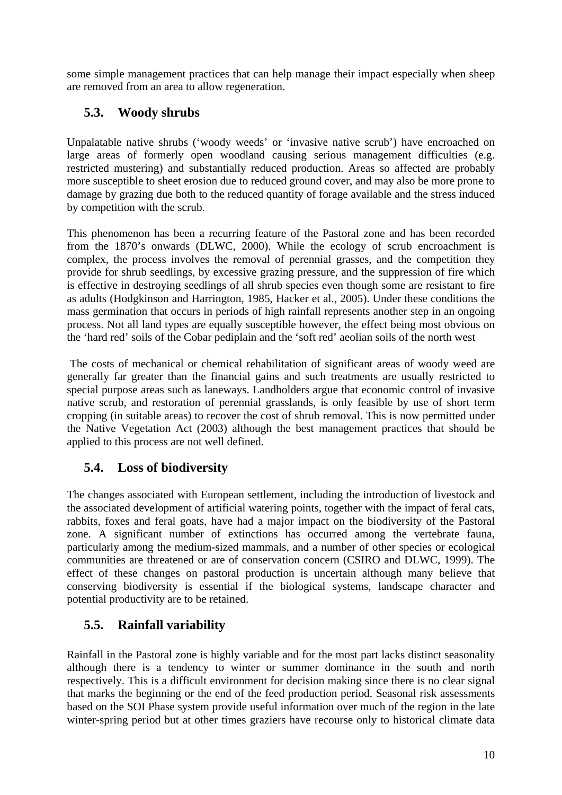<span id="page-17-0"></span>some simple management practices that can help manage their impact especially when sheep are removed from an area to allow regeneration.

### **5.3. Woody shrubs**

Unpalatable native shrubs ('woody weeds' or 'invasive native scrub') have encroached on large areas of formerly open woodland causing serious management difficulties (e.g. restricted mustering) and substantially reduced production. Areas so affected are probably more susceptible to sheet erosion due to reduced ground cover, and may also be more prone to damage by grazing due both to the reduced quantity of forage available and the stress induced by competition with the scrub.

This phenomenon has been a recurring feature of the Pastoral zone and has been recorded from the 1870's onwards (DLWC, 2000). While the ecology of scrub encroachment is complex, the process involves the removal of perennial grasses, and the competition they provide for shrub seedlings, by excessive grazing pressure, and the suppression of fire which is effective in destroying seedlings of all shrub species even though some are resistant to fire as adults (Hodgkinson and Harrington, 1985, Hacker et al*.,* 2005). Under these conditions the mass germination that occurs in periods of high rainfall represents another step in an ongoing process. Not all land types are equally susceptible however, the effect being most obvious on the 'hard red' soils of the Cobar pediplain and the 'soft red' aeolian soils of the north west

 The costs of mechanical or chemical rehabilitation of significant areas of woody weed are generally far greater than the financial gains and such treatments are usually restricted to special purpose areas such as laneways. Landholders argue that economic control of invasive native scrub, and restoration of perennial grasslands, is only feasible by use of short term cropping (in suitable areas) to recover the cost of shrub removal. This is now permitted under the Native Vegetation Act (2003) although the best management practices that should be applied to this process are not well defined.

### **5.4. Loss of biodiversity**

The changes associated with European settlement, including the introduction of livestock and the associated development of artificial watering points, together with the impact of feral cats, rabbits, foxes and feral goats, have had a major impact on the biodiversity of the Pastoral zone. A significant number of extinctions has occurred among the vertebrate fauna, particularly among the medium-sized mammals, and a number of other species or ecological communities are threatened or are of conservation concern (CSIRO and DLWC, 1999). The effect of these changes on pastoral production is uncertain although many believe that conserving biodiversity is essential if the biological systems, landscape character and potential productivity are to be retained.

## **5.5. Rainfall variability**

Rainfall in the Pastoral zone is highly variable and for the most part lacks distinct seasonality although there is a tendency to winter or summer dominance in the south and north respectively. This is a difficult environment for decision making since there is no clear signal that marks the beginning or the end of the feed production period. Seasonal risk assessments based on the SOI Phase system provide useful information over much of the region in the late winter-spring period but at other times graziers have recourse only to historical climate data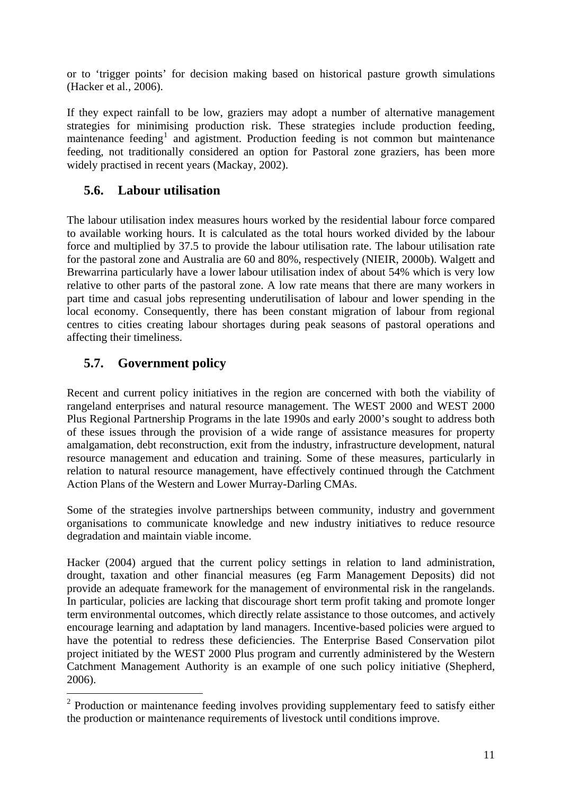<span id="page-18-0"></span>or to 'trigger points' for decision making based on historical pasture growth simulations (Hacker et al*.,* 2006).

If they expect rainfall to be low, graziers may adopt a number of alternative management strategies for minimising production risk. These strategies include production feeding, maintenance feeding<sup>[1](#page-18-0)</sup> and agistment. Production feeding is not common but maintenance feeding, not traditionally considered an option for Pastoral zone graziers, has been more widely practised in recent years (Mackay, 2002).

### **5.6. Labour utilisation**

The labour utilisation index measures hours worked by the residential labour force compared to available working hours. It is calculated as the total hours worked divided by the labour force and multiplied by 37.5 to provide the labour utilisation rate. The labour utilisation rate for the pastoral zone and Australia are 60 and 80%, respectively (NIEIR, 2000b). Walgett and Brewarrina particularly have a lower labour utilisation index of about 54% which is very low relative to other parts of the pastoral zone. A low rate means that there are many workers in part time and casual jobs representing underutilisation of labour and lower spending in the local economy. Consequently, there has been constant migration of labour from regional centres to cities creating labour shortages during peak seasons of pastoral operations and affecting their timeliness.

## **5.7. Government policy**

1

Recent and current policy initiatives in the region are concerned with both the viability of rangeland enterprises and natural resource management. The WEST 2000 and WEST 2000 Plus Regional Partnership Programs in the late 1990s and early 2000's sought to address both of these issues through the provision of a wide range of assistance measures for property amalgamation, debt reconstruction, exit from the industry, infrastructure development, natural resource management and education and training. Some of these measures, particularly in relation to natural resource management, have effectively continued through the Catchment Action Plans of the Western and Lower Murray-Darling CMAs.

Some of the strategies involve partnerships between community, industry and government organisations to communicate knowledge and new industry initiatives to reduce resource degradation and maintain viable income.

Hacker (2004) argued that the current policy settings in relation to land administration, drought, taxation and other financial measures (eg Farm Management Deposits) did not provide an adequate framework for the management of environmental risk in the rangelands. In particular, policies are lacking that discourage short term profit taking and promote longer term environmental outcomes, which directly relate assistance to those outcomes, and actively encourage learning and adaptation by land managers. Incentive-based policies were argued to have the potential to redress these deficiencies. The Enterprise Based Conservation pilot project initiated by the WEST 2000 Plus program and currently administered by the Western Catchment Management Authority is an example of one such policy initiative (Shepherd, 2006).

 $2$  Production or maintenance feeding involves providing supplementary feed to satisfy either the production or maintenance requirements of livestock until conditions improve.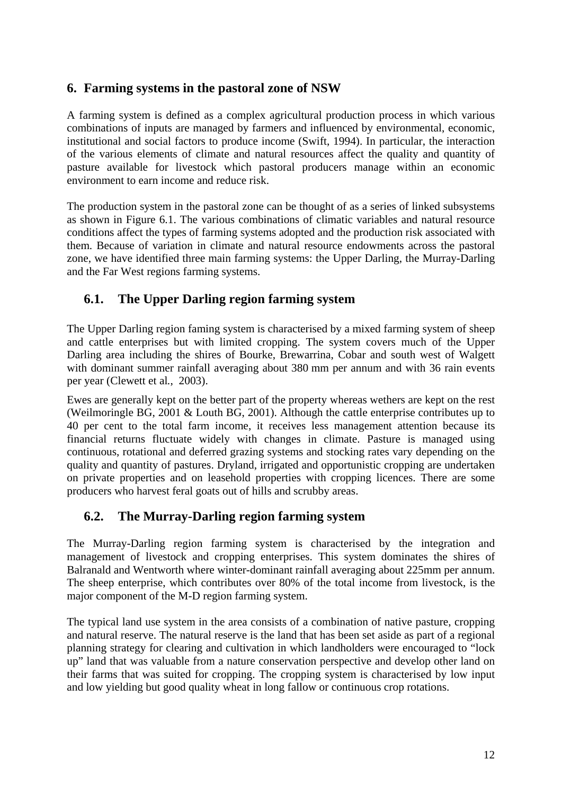#### <span id="page-19-0"></span>**6. Farming systems in the pastoral zone of NSW**

A farming system is defined as a complex agricultural production process in which various combinations of inputs are managed by farmers and influenced by environmental, economic, institutional and social factors to produce income (Swift, 1994). In particular, the interaction of the various elements of climate and natural resources affect the quality and quantity of pasture available for livestock which pastoral producers manage within an economic environment to earn income and reduce risk.

The production system in the pastoral zone can be thought of as a series of linked subsystems as shown in Figure 6.1. The various combinations of climatic variables and natural resource conditions affect the types of farming systems adopted and the production risk associated with them. Because of variation in climate and natural resource endowments across the pastoral zone, we have identified three main farming systems: the Upper Darling, the Murray-Darling and the Far West regions farming systems.

#### **6.1. The Upper Darling region farming system**

The Upper Darling region faming system is characterised by a mixed farming system of sheep and cattle enterprises but with limited cropping. The system covers much of the Upper Darling area including the shires of Bourke, Brewarrina, Cobar and south west of Walgett with dominant summer rainfall averaging about 380 mm per annum and with 36 rain events per year (Clewett et al*.*, 2003).

Ewes are generally kept on the better part of the property whereas wethers are kept on the rest (Weilmoringle BG, 2001 & Louth BG, 2001). Although the cattle enterprise contributes up to 40 per cent to the total farm income, it receives less management attention because its financial returns fluctuate widely with changes in climate. Pasture is managed using continuous, rotational and deferred grazing systems and stocking rates vary depending on the quality and quantity of pastures. Dryland, irrigated and opportunistic cropping are undertaken on private properties and on leasehold properties with cropping licences. There are some producers who harvest feral goats out of hills and scrubby areas.

#### **6.2. The Murray-Darling region farming system**

The Murray-Darling region farming system is characterised by the integration and management of livestock and cropping enterprises. This system dominates the shires of Balranald and Wentworth where winter-dominant rainfall averaging about 225mm per annum. The sheep enterprise, which contributes over 80% of the total income from livestock, is the major component of the M-D region farming system.

The typical land use system in the area consists of a combination of native pasture, cropping and natural reserve. The natural reserve is the land that has been set aside as part of a regional planning strategy for clearing and cultivation in which landholders were encouraged to "lock up" land that was valuable from a nature conservation perspective and develop other land on their farms that was suited for cropping. The cropping system is characterised by low input and low yielding but good quality wheat in long fallow or continuous crop rotations.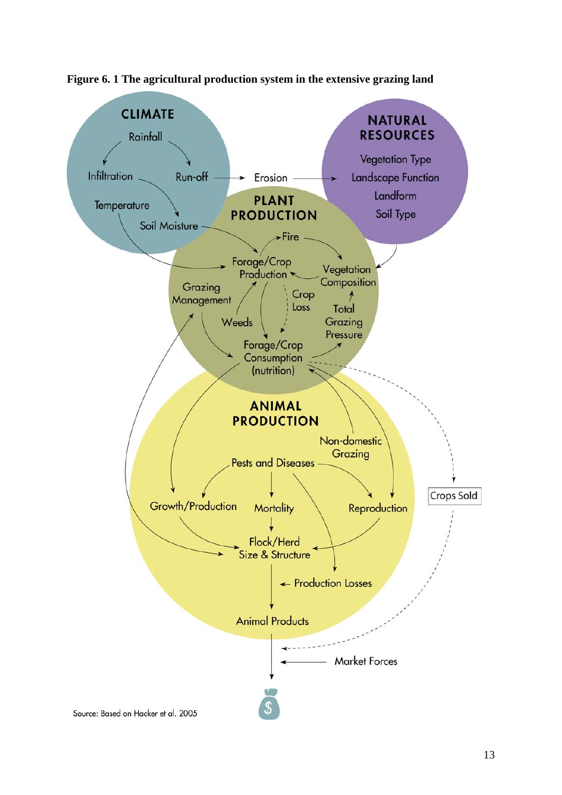

<span id="page-20-0"></span>**Figure 6. 1 The agricultural production system in the extensive grazing land**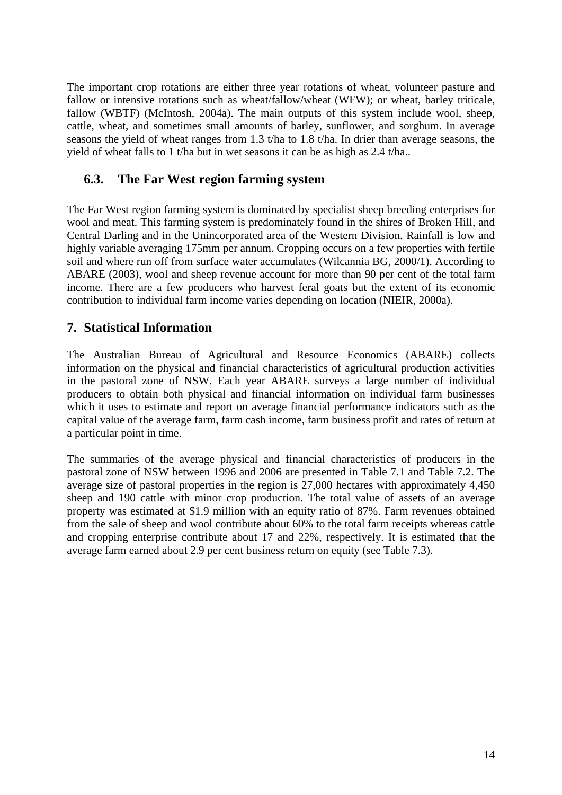<span id="page-21-0"></span>The important crop rotations are either three year rotations of wheat, volunteer pasture and fallow or intensive rotations such as wheat/fallow/wheat (WFW); or wheat, barley triticale, fallow (WBTF) (McIntosh, 2004a). The main outputs of this system include wool, sheep, cattle, wheat, and sometimes small amounts of barley, sunflower, and sorghum. In average seasons the yield of wheat ranges from 1.3 t/ha to 1.8 t/ha. In drier than average seasons, the yield of wheat falls to 1 t/ha but in wet seasons it can be as high as 2.4 t/ha..

#### **6.3. The Far West region farming system**

The Far West region farming system is dominated by specialist sheep breeding enterprises for wool and meat. This farming system is predominately found in the shires of Broken Hill, and Central Darling and in the Unincorporated area of the Western Division. Rainfall is low and highly variable averaging 175mm per annum. Cropping occurs on a few properties with fertile soil and where run off from surface water accumulates (Wilcannia BG, 2000/1). According to ABARE (2003), wool and sheep revenue account for more than 90 per cent of the total farm income. There are a few producers who harvest feral goats but the extent of its economic contribution to individual farm income varies depending on location (NIEIR, 2000a).

#### **7. Statistical Information**

The Australian Bureau of Agricultural and Resource Economics (ABARE) collects information on the physical and financial characteristics of agricultural production activities in the pastoral zone of NSW. Each year ABARE surveys a large number of individual producers to obtain both physical and financial information on individual farm businesses which it uses to estimate and report on average financial performance indicators such as the capital value of the average farm, farm cash income, farm business profit and rates of return at a particular point in time.

The summaries of the average physical and financial characteristics of producers in the pastoral zone of NSW between 1996 and 2006 are presented in Table 7.1 and Table 7.2. The average size of pastoral properties in the region is 27,000 hectares with approximately 4,450 sheep and 190 cattle with minor crop production. The total value of assets of an average property was estimated at \$1.9 million with an equity ratio of 87%. Farm revenues obtained from the sale of sheep and wool contribute about 60% to the total farm receipts whereas cattle and cropping enterprise contribute about 17 and 22%, respectively. It is estimated that the average farm earned about 2.9 per cent business return on equity (see Table 7.3).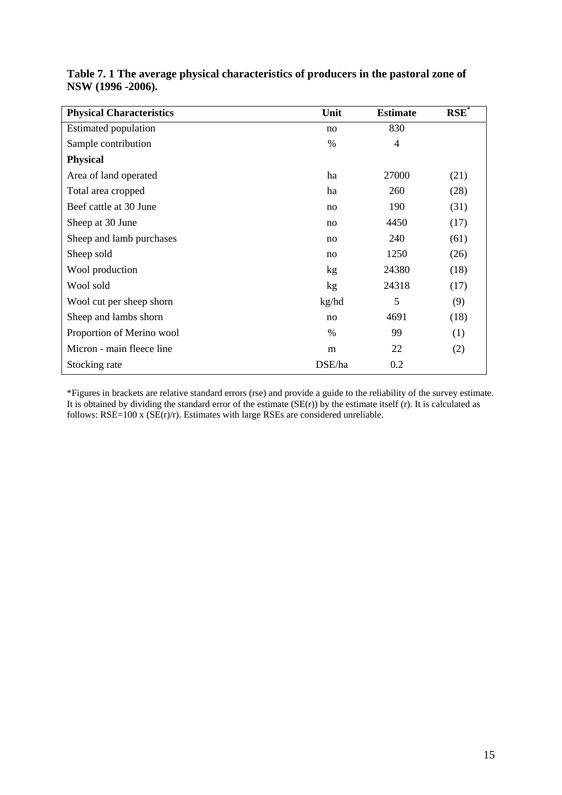| <b>Physical Characteristics</b> | Unit            | <b>Estimate</b> | $RSE^*$ |
|---------------------------------|-----------------|-----------------|---------|
| <b>Estimated population</b>     | no              | 830             |         |
| Sample contribution             | $\%$            | 4               |         |
| <b>Physical</b>                 |                 |                 |         |
| Area of land operated           | ha              | 27000           | (21)    |
| Total area cropped              | ha              | 260             | (28)    |
| Beef cattle at 30 June          | no              | 190             | (31)    |
| Sheep at 30 June                | no              | 4450            | (17)    |
| Sheep and lamb purchases        | no              | 240             | (61)    |
| Sheep sold                      | no              | 1250            | (26)    |
| Wool production                 | kg <sub>2</sub> | 24380           | (18)    |
| Wool sold                       | kg              | 24318           | (17)    |
| Wool cut per sheep shorn        | kg/hd           | 5               | (9)     |
| Sheep and lambs shorn           | no              | 4691            | (18)    |
| Proportion of Merino wool       | %               | 99              | (1)     |
| Micron - main fleece line       | m               | 22              | (2)     |
| Stocking rate                   | DSE/ha          | 0.2             |         |

<span id="page-22-0"></span>

| Table 7. 1 The average physical characteristics of producers in the pastoral zone of |  |
|--------------------------------------------------------------------------------------|--|
| NSW (1996 -2006).                                                                    |  |

\*Figures in brackets are relative standard errors (rse) and provide a guide to the reliability of the survey estimate. It is obtained by dividing the standard error of the estimate  $(SE(r))$  by the estimate itself  $(r)$ . It is calculated as follows:  $RSE=100$  x ( $SE(r)/r$ ). Estimates with large RSEs are considered unreliable.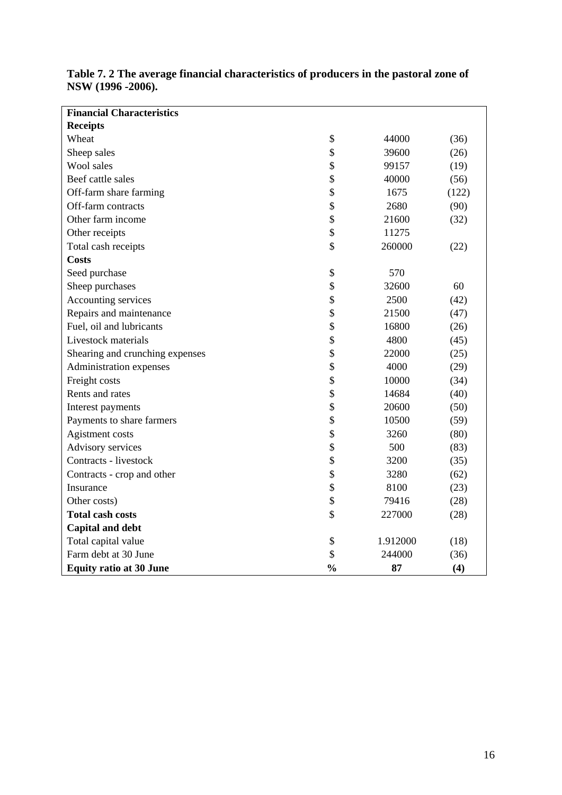| <b>Financial Characteristics</b> |               |          |       |
|----------------------------------|---------------|----------|-------|
| <b>Receipts</b>                  |               |          |       |
| Wheat                            | \$            | 44000    | (36)  |
| Sheep sales                      | \$            | 39600    | (26)  |
| Wool sales                       | \$            | 99157    | (19)  |
| Beef cattle sales                | \$            | 40000    | (56)  |
| Off-farm share farming           | \$            | 1675     | (122) |
| Off-farm contracts               | \$            | 2680     | (90)  |
| Other farm income                | \$            | 21600    | (32)  |
| Other receipts                   | \$            | 11275    |       |
| Total cash receipts              | \$            | 260000   | (22)  |
| <b>Costs</b>                     |               |          |       |
| Seed purchase                    | \$            | 570      |       |
| Sheep purchases                  | \$            | 32600    | 60    |
| Accounting services              | \$            | 2500     | (42)  |
| Repairs and maintenance          | \$            | 21500    | (47)  |
| Fuel, oil and lubricants         | \$            | 16800    | (26)  |
| Livestock materials              | \$            | 4800     | (45)  |
| Shearing and crunching expenses  | \$            | 22000    | (25)  |
| Administration expenses          | \$            | 4000     | (29)  |
| Freight costs                    | \$            | 10000    | (34)  |
| Rents and rates                  | \$            | 14684    | (40)  |
| Interest payments                | \$            | 20600    | (50)  |
| Payments to share farmers        | \$            | 10500    | (59)  |
| Agistment costs                  | \$            | 3260     | (80)  |
| Advisory services                | \$            | 500      | (83)  |
| Contracts - livestock            | \$            | 3200     | (35)  |
| Contracts - crop and other       | \$            | 3280     | (62)  |
| Insurance                        | \$            | 8100     | (23)  |
| Other costs)                     | \$            | 79416    | (28)  |
| <b>Total cash costs</b>          | \$            | 227000   | (28)  |
| <b>Capital and debt</b>          |               |          |       |
| Total capital value              | \$            | 1.912000 | (18)  |
| Farm debt at 30 June             | \$            | 244000   | (36)  |
| <b>Equity ratio at 30 June</b>   | $\frac{0}{0}$ | 87       | (4)   |

#### <span id="page-23-0"></span>**Table 7. 2 The average financial characteristics of producers in the pastoral zone of NSW (1996 -2006).**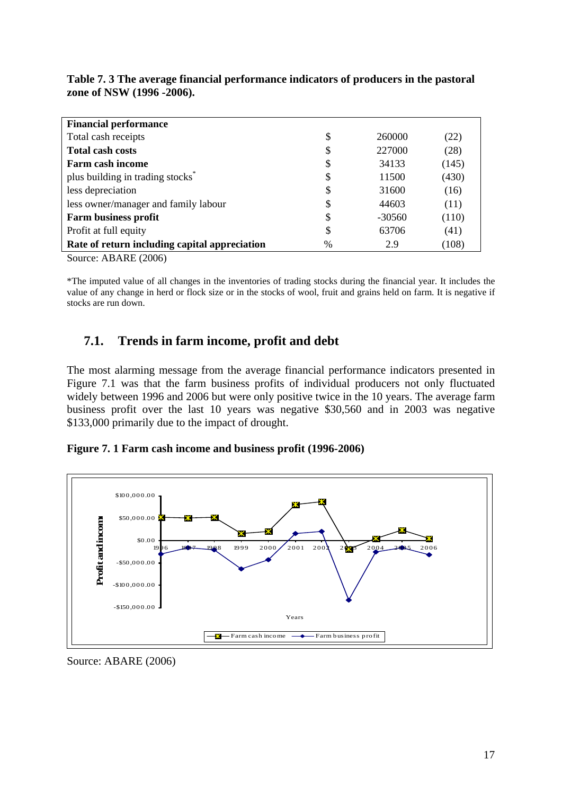| <b>Financial performance</b>                                                                                |      |          |       |  |
|-------------------------------------------------------------------------------------------------------------|------|----------|-------|--|
| Total cash receipts                                                                                         | \$   | 260000   | (22)  |  |
| <b>Total cash costs</b>                                                                                     | \$   | 227000   | (28)  |  |
| Farm cash income                                                                                            | \$   | 34133    | (145) |  |
| plus building in trading stocks <sup>*</sup>                                                                | \$   | 11500    | (430) |  |
| less depreciation                                                                                           | \$   | 31600    | (16)  |  |
| less owner/manager and family labour                                                                        | \$   | 44603    | (11)  |  |
| <b>Farm business profit</b>                                                                                 | \$   | $-30560$ | (110) |  |
| Profit at full equity                                                                                       | \$   | 63706    | (41)  |  |
| Rate of return including capital appreciation                                                               | $\%$ | 2.9      | (108) |  |
| $\sim$ $\sim$<br>$\mathbf{1}$ $\mathbf{R}$ $\mathbf{R}$ $\mathbf{R}$ $\mathbf{R}$ $\mathbf{R}$ $\mathbf{R}$ |      |          |       |  |

<span id="page-24-0"></span>**Table 7. 3 The average financial performance indicators of producers in the pastoral zone of NSW (1996 -2006).** 

Source: ABARE (2006)

\*The imputed value of all changes in the inventories of trading stocks during the financial year. It includes the value of any change in herd or flock size or in the stocks of wool, fruit and grains held on farm. It is negative if stocks are run down.

#### **7.1. Trends in farm income, profit and debt**

The most alarming message from the average financial performance indicators presented in Figure 7.1 was that the farm business profits of individual producers not only fluctuated widely between 1996 and 2006 but were only positive twice in the 10 years. The average farm business profit over the last 10 years was negative \$30,560 and in 2003 was negative \$133,000 primarily due to the impact of drought.

**Figure 7. 1 Farm cash income and business profit (1996-2006)** 



Source: ABARE (2006)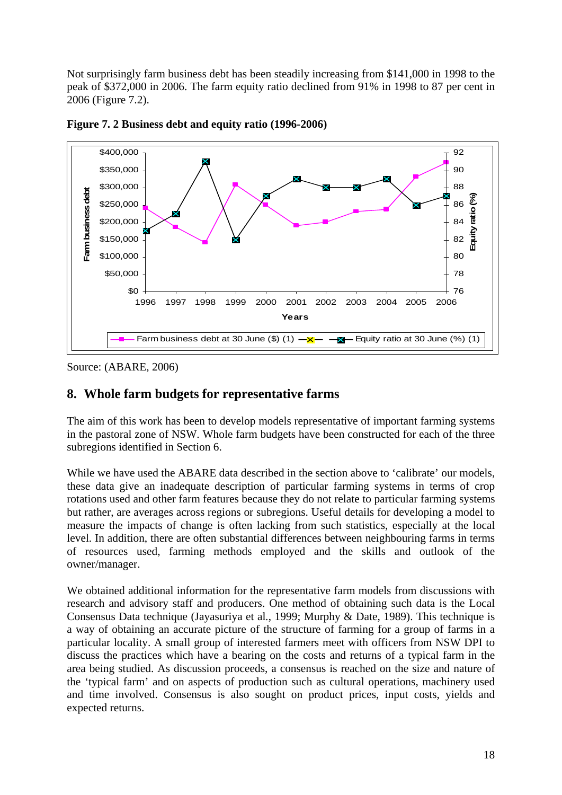<span id="page-25-0"></span>Not surprisingly farm business debt has been steadily increasing from \$141,000 in 1998 to the peak of \$372,000 in 2006. The farm equity ratio declined from 91% in 1998 to 87 per cent in 2006 (Figure 7.2).



**Figure 7. 2 Business debt and equity ratio (1996-2006)** 

Source: (ABARE, 2006)

#### **8. Whole farm budgets for representative farms**

The aim of this work has been to develop models representative of important farming systems in the pastoral zone of NSW. Whole farm budgets have been constructed for each of the three subregions identified in Section 6.

While we have used the ABARE data described in the section above to 'calibrate' our models, these data give an inadequate description of particular farming systems in terms of crop rotations used and other farm features because they do not relate to particular farming systems but rather, are averages across regions or subregions. Useful details for developing a model to measure the impacts of change is often lacking from such statistics, especially at the local level. In addition, there are often substantial differences between neighbouring farms in terms of resources used, farming methods employed and the skills and outlook of the owner/manager.

We obtained additional information for the representative farm models from discussions with research and advisory staff and producers. One method of obtaining such data is the Local Consensus Data technique (Jayasuriya et al*.*, 1999; Murphy & Date, 1989). This technique is a way of obtaining an accurate picture of the structure of farming for a group of farms in a particular locality. A small group of interested farmers meet with officers from NSW DPI to discuss the practices which have a bearing on the costs and returns of a typical farm in the area being studied. As discussion proceeds, a consensus is reached on the size and nature of the 'typical farm' and on aspects of production such as cultural operations, machinery used and time involved. Consensus is also sought on product prices, input costs, yields and expected returns.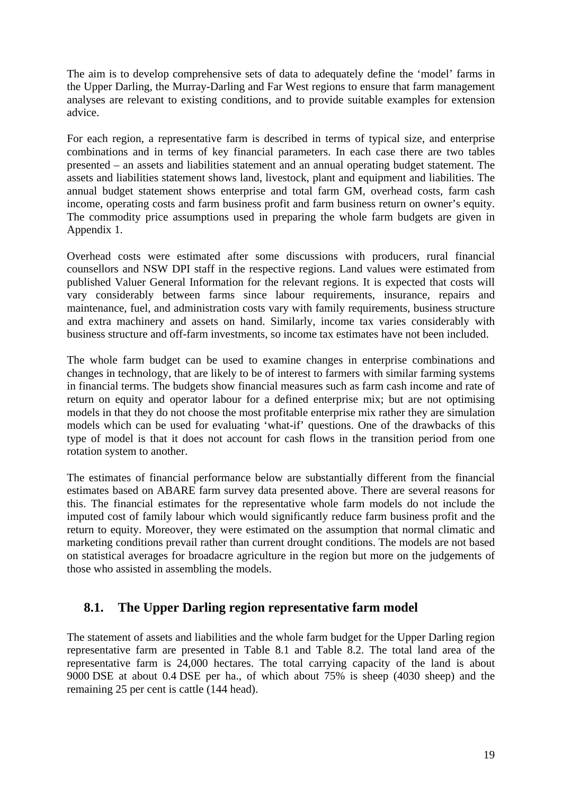<span id="page-26-0"></span>The aim is to develop comprehensive sets of data to adequately define the 'model' farms in the Upper Darling, the Murray-Darling and Far West regions to ensure that farm management analyses are relevant to existing conditions, and to provide suitable examples for extension advice.

For each region, a representative farm is described in terms of typical size, and enterprise combinations and in terms of key financial parameters. In each case there are two tables presented – an assets and liabilities statement and an annual operating budget statement. The assets and liabilities statement shows land, livestock, plant and equipment and liabilities. The annual budget statement shows enterprise and total farm GM, overhead costs, farm cash income, operating costs and farm business profit and farm business return on owner's equity. The commodity price assumptions used in preparing the whole farm budgets are given in Appendix 1.

Overhead costs were estimated after some discussions with producers, rural financial counsellors and NSW DPI staff in the respective regions. Land values were estimated from published Valuer General Information for the relevant regions. It is expected that costs will vary considerably between farms since labour requirements, insurance, repairs and maintenance, fuel, and administration costs vary with family requirements, business structure and extra machinery and assets on hand. Similarly, income tax varies considerably with business structure and off-farm investments, so income tax estimates have not been included.

The whole farm budget can be used to examine changes in enterprise combinations and changes in technology, that are likely to be of interest to farmers with similar farming systems in financial terms. The budgets show financial measures such as farm cash income and rate of return on equity and operator labour for a defined enterprise mix; but are not optimising models in that they do not choose the most profitable enterprise mix rather they are simulation models which can be used for evaluating 'what-if' questions. One of the drawbacks of this type of model is that it does not account for cash flows in the transition period from one rotation system to another.

The estimates of financial performance below are substantially different from the financial estimates based on ABARE farm survey data presented above. There are several reasons for this. The financial estimates for the representative whole farm models do not include the imputed cost of family labour which would significantly reduce farm business profit and the return to equity. Moreover, they were estimated on the assumption that normal climatic and marketing conditions prevail rather than current drought conditions. The models are not based on statistical averages for broadacre agriculture in the region but more on the judgements of those who assisted in assembling the models.

#### **8.1. The Upper Darling region representative farm model**

The statement of assets and liabilities and the whole farm budget for the Upper Darling region representative farm are presented in Table 8.1 and Table 8.2. The total land area of the representative farm is 24,000 hectares. The total carrying capacity of the land is about 9000 DSE at about 0.4 DSE per ha., of which about 75% is sheep (4030 sheep) and the remaining 25 per cent is cattle (144 head).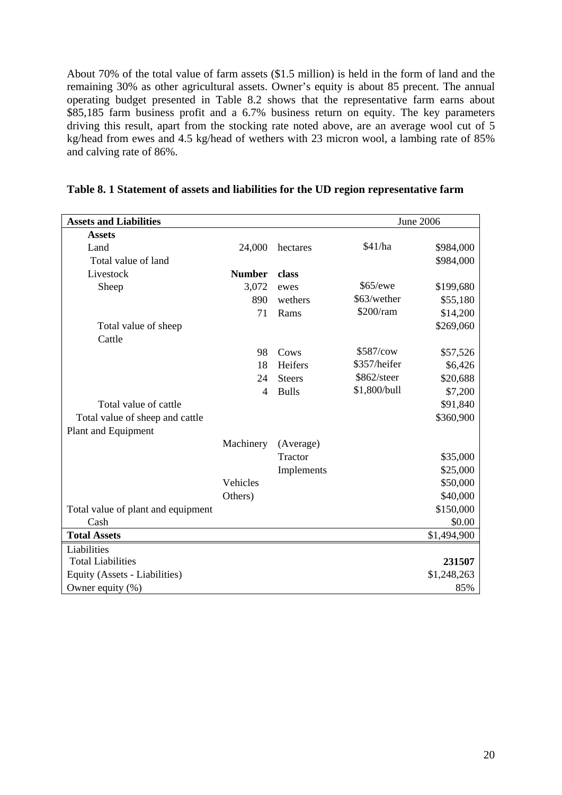<span id="page-27-0"></span>About 70% of the total value of farm assets (\$1.5 million) is held in the form of land and the remaining 30% as other agricultural assets. Owner's equity is about 85 precent. The annual operating budget presented in Table 8.2 shows that the representative farm earns about \$85,185 farm business profit and a 6.7% business return on equity. The key parameters driving this result, apart from the stocking rate noted above, are an average wool cut of 5 kg/head from ewes and 4.5 kg/head of wethers with 23 micron wool, a lambing rate of 85% and calving rate of 86%.

| <b>Assets and Liabilities</b>      |               |               |              | <b>June 2006</b> |
|------------------------------------|---------------|---------------|--------------|------------------|
| <b>Assets</b>                      |               |               |              |                  |
| Land                               | 24,000        | hectares      | \$41/ha      | \$984,000        |
| Total value of land                |               |               |              | \$984,000        |
| Livestock                          | <b>Number</b> | class         |              |                  |
| Sheep                              | 3,072         | ewes          | \$65/ewe     | \$199,680        |
|                                    | 890           | wethers       | \$63/wether  | \$55,180         |
|                                    | 71            | Rams          | \$200/ram    | \$14,200         |
| Total value of sheep               |               |               |              | \$269,060        |
| Cattle                             |               |               |              |                  |
|                                    | 98            | Cows          | \$587/cow    | \$57,526         |
|                                    | 18            | Heifers       | \$357/heifer | \$6,426          |
|                                    | 24            | <b>Steers</b> | \$862/steer  | \$20,688         |
|                                    | 4             | <b>Bulls</b>  | \$1,800/bull | \$7,200          |
| Total value of cattle              |               |               |              | \$91,840         |
| Total value of sheep and cattle    |               |               |              | \$360,900        |
| Plant and Equipment                |               |               |              |                  |
|                                    | Machinery     | (Average)     |              |                  |
|                                    |               | Tractor       |              | \$35,000         |
|                                    |               | Implements    |              | \$25,000         |
|                                    | Vehicles      |               |              | \$50,000         |
|                                    | Others)       |               |              | \$40,000         |
| Total value of plant and equipment |               |               |              | \$150,000        |
| Cash                               |               |               |              | \$0.00           |
| <b>Total Assets</b>                |               |               |              | \$1,494,900      |
| Liabilities                        |               |               |              |                  |
| <b>Total Liabilities</b>           |               |               |              | 231507           |
| Equity (Assets - Liabilities)      |               |               |              | \$1,248,263      |
| Owner equity $(\%)$                |               |               |              | 85%              |

**Table 8. 1 Statement of assets and liabilities for the UD region representative farm**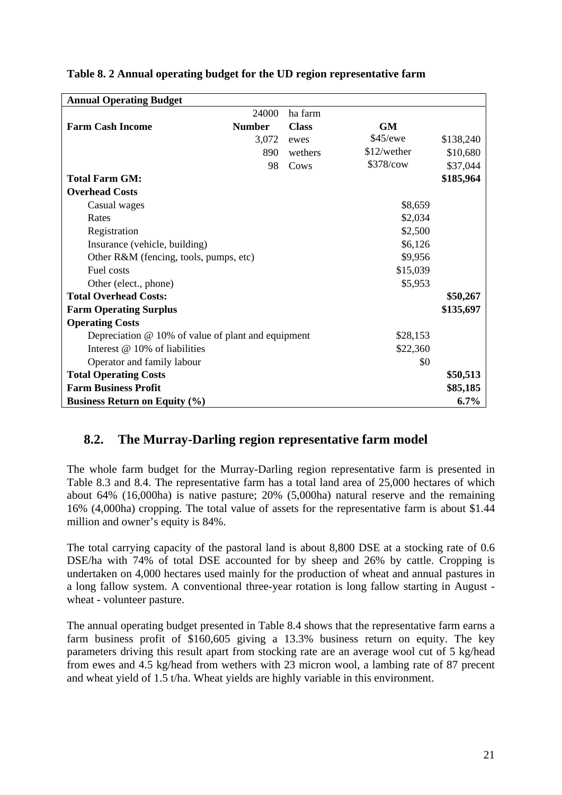| <b>Annual Operating Budget</b>                       |               |              |               |           |
|------------------------------------------------------|---------------|--------------|---------------|-----------|
|                                                      | 24000         | ha farm      |               |           |
| <b>Farm Cash Income</b>                              | <b>Number</b> | <b>Class</b> | <b>GM</b>     |           |
|                                                      | 3,072         | ewes         | \$45/ewe      | \$138,240 |
|                                                      | 890           | wethers      | $$12/$ wether | \$10,680  |
|                                                      | 98            | Cows         | \$378/cow     | \$37,044  |
| <b>Total Farm GM:</b>                                |               |              |               | \$185,964 |
| <b>Overhead Costs</b>                                |               |              |               |           |
| Casual wages                                         |               |              | \$8,659       |           |
| Rates                                                |               |              | \$2,034       |           |
| Registration                                         |               |              | \$2,500       |           |
| Insurance (vehicle, building)                        |               |              | \$6,126       |           |
| Other R&M (fencing, tools, pumps, etc)               |               |              | \$9,956       |           |
| Fuel costs                                           |               |              | \$15,039      |           |
| Other (elect., phone)                                |               |              | \$5,953       |           |
| <b>Total Overhead Costs:</b>                         |               |              |               | \$50,267  |
| <b>Farm Operating Surplus</b>                        |               |              |               | \$135,697 |
| <b>Operating Costs</b>                               |               |              |               |           |
| Depreciation $@$ 10% of value of plant and equipment |               |              | \$28,153      |           |
| Interest $@$ 10% of liabilities                      |               |              | \$22,360      |           |
| Operator and family labour                           |               |              | \$0           |           |
| <b>Total Operating Costs</b>                         |               |              |               | \$50,513  |
| <b>Farm Business Profit</b>                          |               |              |               | \$85,185  |
| <b>Business Return on Equity (%)</b>                 |               |              |               | 6.7%      |

#### <span id="page-28-0"></span>**Table 8. 2 Annual operating budget for the UD region representative farm**

#### **8.2. The Murray-Darling region representative farm model**

The whole farm budget for the Murray-Darling region representative farm is presented in Table 8.3 and 8.4. The representative farm has a total land area of 25,000 hectares of which about 64% (16,000ha) is native pasture; 20% (5,000ha) natural reserve and the remaining 16% (4,000ha) cropping. The total value of assets for the representative farm is about \$1.44 million and owner's equity is 84%.

The total carrying capacity of the pastoral land is about 8,800 DSE at a stocking rate of 0.6 DSE/ha with 74% of total DSE accounted for by sheep and 26% by cattle. Cropping is undertaken on 4,000 hectares used mainly for the production of wheat and annual pastures in a long fallow system. A conventional three-year rotation is long fallow starting in August wheat - volunteer pasture.

The annual operating budget presented in Table 8.4 shows that the representative farm earns a farm business profit of \$160,605 giving a 13.3% business return on equity. The key parameters driving this result apart from stocking rate are an average wool cut of 5 kg/head from ewes and 4.5 kg/head from wethers with 23 micron wool, a lambing rate of 87 precent and wheat yield of 1.5 t/ha. Wheat yields are highly variable in this environment.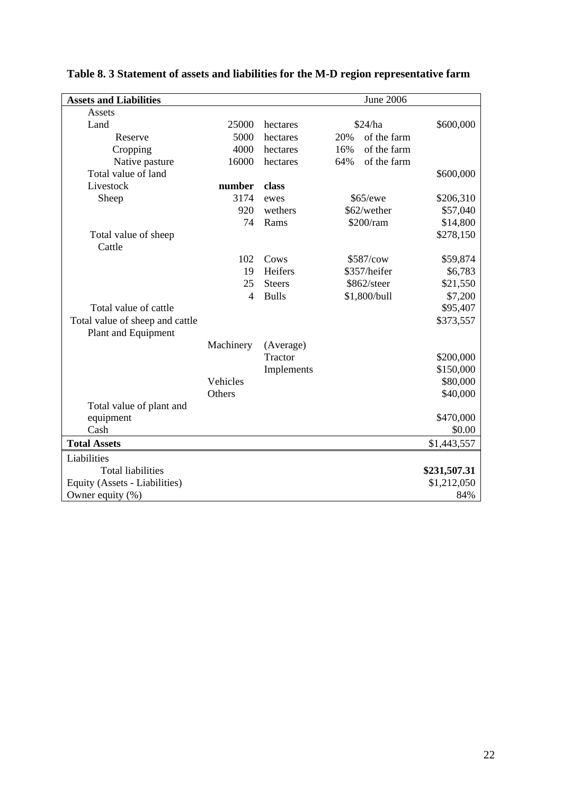| <b>Assets and Liabilities</b>   |                |               |     | <b>June 2006</b> |              |
|---------------------------------|----------------|---------------|-----|------------------|--------------|
| Assets                          |                |               |     |                  |              |
| Land                            | 25000          | hectares      |     | \$24/ha          | \$600,000    |
| Reserve                         | 5000           | hectares      | 20% | of the farm      |              |
| Cropping                        | 4000           | hectares      | 16% | of the farm      |              |
| Native pasture                  | 16000          | hectares      | 64% | of the farm      |              |
| Total value of land             |                |               |     |                  | \$600,000    |
| Livestock                       | number         | class         |     |                  |              |
| Sheep                           | 3174           | ewes          |     | \$65/ewe         | \$206,310    |
|                                 | 920            | wethers       |     | \$62/wether      | \$57,040     |
|                                 | 74             | Rams          |     | \$200/ram        | \$14,800     |
| Total value of sheep            |                |               |     |                  | \$278,150    |
| Cattle                          |                |               |     |                  |              |
|                                 | 102            | Cows          |     | \$587/cow        | \$59,874     |
|                                 | 19             | Heifers       |     | \$357/heifer     | \$6,783      |
|                                 | 25             | <b>Steers</b> |     | \$862/steer      | \$21,550     |
|                                 | $\overline{4}$ | <b>Bulls</b>  |     | \$1,800/bull     | \$7,200      |
| Total value of cattle           |                |               |     |                  | \$95,407     |
| Total value of sheep and cattle |                |               |     |                  | \$373,557    |
| Plant and Equipment             |                |               |     |                  |              |
|                                 | Machinery      | (Average)     |     |                  |              |
|                                 |                | Tractor       |     |                  | \$200,000    |
|                                 |                | Implements    |     |                  | \$150,000    |
|                                 | Vehicles       |               |     |                  | \$80,000     |
|                                 | Others         |               |     |                  | \$40,000     |
| Total value of plant and        |                |               |     |                  |              |
| equipment                       |                |               |     |                  | \$470,000    |
| Cash                            |                |               |     |                  | \$0.00       |
| <b>Total Assets</b>             |                |               |     |                  | \$1,443,557  |
| Liabilities                     |                |               |     |                  |              |
| <b>Total liabilities</b>        |                |               |     |                  | \$231,507.31 |
| Equity (Assets - Liabilities)   |                |               |     |                  | \$1,212,050  |
| Owner equity $(\%)$             |                |               |     |                  | 84%          |

## <span id="page-29-0"></span>**Table 8. 3 Statement of assets and liabilities for the M-D region representative farm**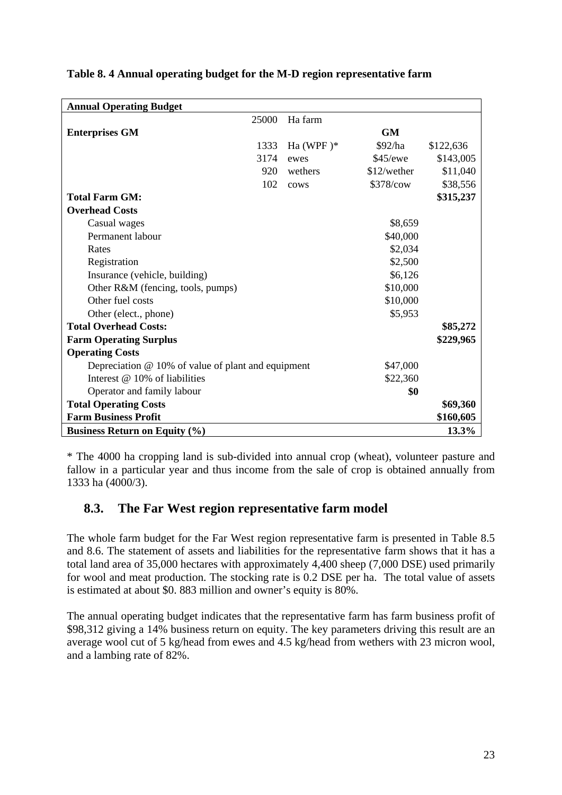| <b>Annual Operating Budget</b>                       |              |             |           |
|------------------------------------------------------|--------------|-------------|-----------|
| 25000                                                | Ha farm      |             |           |
| <b>Enterprises GM</b>                                |              | <b>GM</b>   |           |
| 1333                                                 | Ha (WPF) $*$ | \$92/ha     | \$122,636 |
| 3174                                                 | ewes         | \$45/ewe    | \$143,005 |
| 920                                                  | wethers      | \$12/wether | \$11,040  |
| 102                                                  | cows         | \$378/cow   | \$38,556  |
| <b>Total Farm GM:</b>                                |              |             | \$315,237 |
| <b>Overhead Costs</b>                                |              |             |           |
| Casual wages                                         |              | \$8,659     |           |
| Permanent labour                                     |              | \$40,000    |           |
| Rates                                                |              | \$2,034     |           |
| Registration                                         |              | \$2,500     |           |
| Insurance (vehicle, building)                        |              | \$6,126     |           |
| Other R&M (fencing, tools, pumps)                    |              | \$10,000    |           |
| Other fuel costs                                     |              | \$10,000    |           |
| Other (elect., phone)                                |              | \$5,953     |           |
| <b>Total Overhead Costs:</b>                         |              |             | \$85,272  |
| <b>Farm Operating Surplus</b>                        |              |             | \$229,965 |
| <b>Operating Costs</b>                               |              |             |           |
| Depreciation $@$ 10% of value of plant and equipment |              | \$47,000    |           |
| Interest $@$ 10% of liabilities                      |              | \$22,360    |           |
| Operator and family labour                           |              | \$0         |           |
| <b>Total Operating Costs</b>                         |              |             | \$69,360  |
| <b>Farm Business Profit</b>                          |              |             | \$160,605 |
| <b>Business Return on Equity (%)</b>                 |              |             | 13.3%     |

#### <span id="page-30-0"></span>**Table 8. 4 Annual operating budget for the M-D region representative farm**

\* The 4000 ha cropping land is sub-divided into annual crop (wheat), volunteer pasture and fallow in a particular year and thus income from the sale of crop is obtained annually from 1333 ha (4000/3).

#### **8.3. The Far West region representative farm model**

The whole farm budget for the Far West region representative farm is presented in Table 8.5 and 8.6. The statement of assets and liabilities for the representative farm shows that it has a total land area of 35,000 hectares with approximately 4,400 sheep (7,000 DSE) used primarily for wool and meat production. The stocking rate is 0.2 DSE per ha. The total value of assets is estimated at about \$0. 883 million and owner's equity is 80%.

The annual operating budget indicates that the representative farm has farm business profit of \$98,312 giving a 14% business return on equity. The key parameters driving this result are an average wool cut of 5 kg/head from ewes and 4.5 kg/head from wethers with 23 micron wool, and a lambing rate of 82%.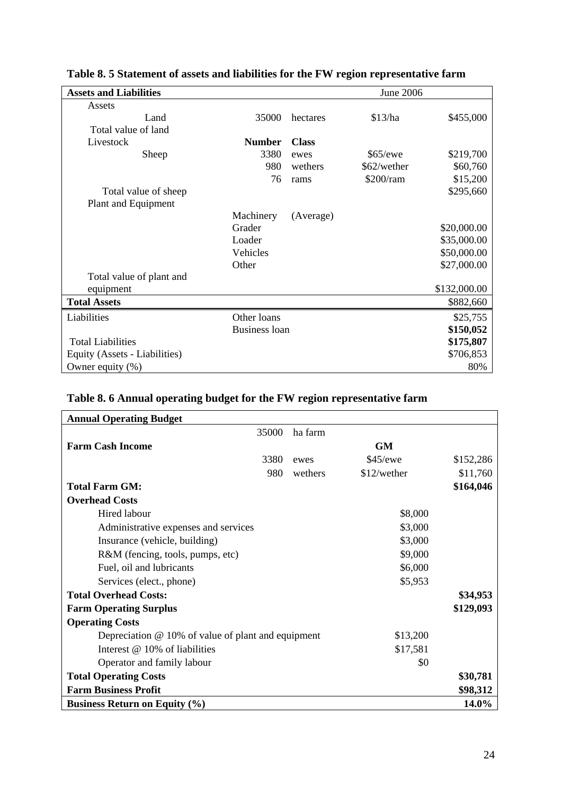| <b>Assets and Liabilities</b> |                      |              | June 2006   |              |
|-------------------------------|----------------------|--------------|-------------|--------------|
| Assets                        |                      |              |             |              |
| Land                          | 35000                | hectares     | \$13/ha     | \$455,000    |
| Total value of land           |                      |              |             |              |
| Livestock                     | <b>Number</b>        | <b>Class</b> |             |              |
| Sheep                         | 3380                 | ewes         | \$65/ewe    | \$219,700    |
|                               | 980                  | wethers      | \$62/wether | \$60,760     |
|                               | 76                   | rams         | \$200/ram   | \$15,200     |
| Total value of sheep          |                      |              |             | \$295,660    |
| Plant and Equipment           |                      |              |             |              |
|                               | Machinery            | (Average)    |             |              |
|                               | Grader               |              |             | \$20,000.00  |
|                               | Loader               |              |             | \$35,000.00  |
|                               | Vehicles             |              |             | \$50,000.00  |
|                               | Other                |              |             | \$27,000.00  |
| Total value of plant and      |                      |              |             |              |
| equipment                     |                      |              |             | \$132,000.00 |
| <b>Total Assets</b>           |                      |              |             | \$882,660    |
| Liabilities                   | Other loans          |              |             | \$25,755     |
|                               | <b>Business loan</b> |              |             | \$150,052    |
| <b>Total Liabilities</b>      |                      |              |             | \$175,807    |
| Equity (Assets - Liabilities) |                      |              |             | \$706,853    |
| Owner equity $(\%)$           |                      |              |             | 80%          |

### <span id="page-31-0"></span>**Table 8. 5 Statement of assets and liabilities for the FW region representative farm**

### **Table 8. 6 Annual operating budget for the FW region representative farm**

| <b>Annual Operating Budget</b>                       |         |             |           |
|------------------------------------------------------|---------|-------------|-----------|
| 35000                                                | ha farm |             |           |
| <b>Farm Cash Income</b>                              |         | <b>GM</b>   |           |
| 3380                                                 | ewes    | \$45/ewe    | \$152,286 |
| 980                                                  | wethers | \$12/wether | \$11,760  |
| <b>Total Farm GM:</b>                                |         |             | \$164,046 |
| <b>Overhead Costs</b>                                |         |             |           |
| Hired labour                                         |         | \$8,000     |           |
| Administrative expenses and services                 |         | \$3,000     |           |
| Insurance (vehicle, building)                        |         | \$3,000     |           |
| R&M (fencing, tools, pumps, etc)                     |         | \$9,000     |           |
| Fuel, oil and lubricants                             |         | \$6,000     |           |
| Services (elect., phone)                             |         | \$5,953     |           |
| <b>Total Overhead Costs:</b>                         |         |             | \$34,953  |
| <b>Farm Operating Surplus</b>                        |         |             | \$129,093 |
| <b>Operating Costs</b>                               |         |             |           |
| Depreciation $@$ 10% of value of plant and equipment |         | \$13,200    |           |
| Interest @ 10% of liabilities                        |         | \$17,581    |           |
| Operator and family labour                           |         | \$0         |           |
| <b>Total Operating Costs</b>                         |         |             | \$30,781  |
| <b>Farm Business Profit</b>                          |         |             | \$98,312  |
| <b>Business Return on Equity (%)</b>                 |         |             | 14.0%     |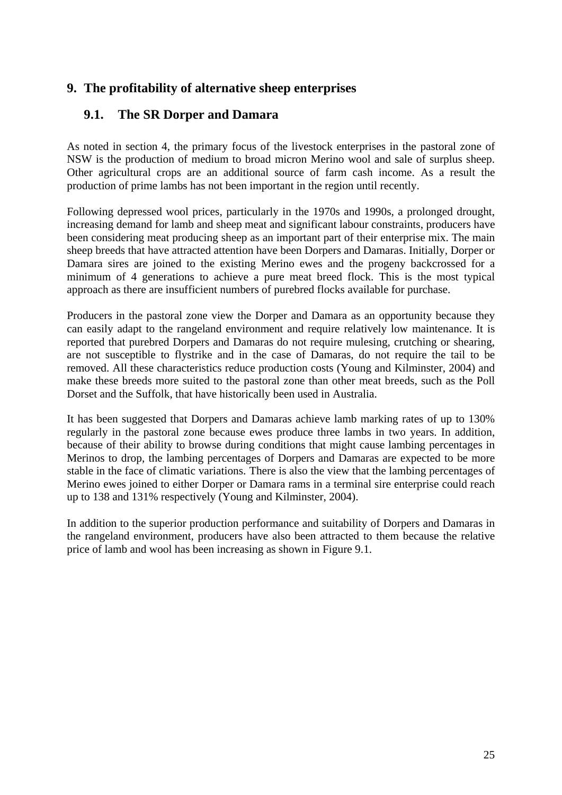#### <span id="page-32-0"></span>**9. The profitability of alternative sheep enterprises**

### **9.1. The SR Dorper and Damara**

As noted in section 4, the primary focus of the livestock enterprises in the pastoral zone of NSW is the production of medium to broad micron Merino wool and sale of surplus sheep. Other agricultural crops are an additional source of farm cash income. As a result the production of prime lambs has not been important in the region until recently.

Following depressed wool prices, particularly in the 1970s and 1990s, a prolonged drought, increasing demand for lamb and sheep meat and significant labour constraints, producers have been considering meat producing sheep as an important part of their enterprise mix. The main sheep breeds that have attracted attention have been Dorpers and Damaras. Initially, Dorper or Damara sires are joined to the existing Merino ewes and the progeny backcrossed for a minimum of 4 generations to achieve a pure meat breed flock. This is the most typical approach as there are insufficient numbers of purebred flocks available for purchase.

Producers in the pastoral zone view the Dorper and Damara as an opportunity because they can easily adapt to the rangeland environment and require relatively low maintenance. It is reported that purebred Dorpers and Damaras do not require mulesing, crutching or shearing, are not susceptible to flystrike and in the case of Damaras, do not require the tail to be removed. All these characteristics reduce production costs (Young and Kilminster, 2004) and make these breeds more suited to the pastoral zone than other meat breeds, such as the Poll Dorset and the Suffolk, that have historically been used in Australia.

It has been suggested that Dorpers and Damaras achieve lamb marking rates of up to 130% regularly in the pastoral zone because ewes produce three lambs in two years. In addition, because of their ability to browse during conditions that might cause lambing percentages in Merinos to drop, the lambing percentages of Dorpers and Damaras are expected to be more stable in the face of climatic variations. There is also the view that the lambing percentages of Merino ewes joined to either Dorper or Damara rams in a terminal sire enterprise could reach up to 138 and 131% respectively (Young and Kilminster, 2004).

In addition to the superior production performance and suitability of Dorpers and Damaras in the rangeland environment, producers have also been attracted to them because the relative price of lamb and wool has been increasing as shown in Figure 9.1.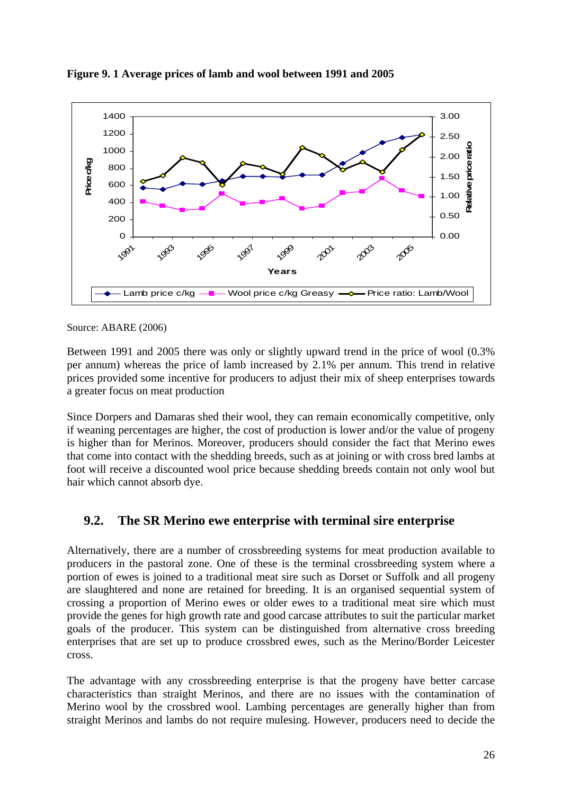

<span id="page-33-0"></span>**Figure 9. 1 Average prices of lamb and wool between 1991 and 2005** 

Source: ABARE (2006)

Between 1991 and 2005 there was only or slightly upward trend in the price of wool (0.3% per annum) whereas the price of lamb increased by 2.1% per annum. This trend in relative prices provided some incentive for producers to adjust their mix of sheep enterprises towards a greater focus on meat production

Since Dorpers and Damaras shed their wool, they can remain economically competitive, only if weaning percentages are higher, the cost of production is lower and/or the value of progeny is higher than for Merinos. Moreover, producers should consider the fact that Merino ewes that come into contact with the shedding breeds, such as at joining or with cross bred lambs at foot will receive a discounted wool price because shedding breeds contain not only wool but hair which cannot absorb dye.

#### **9.2. The SR Merino ewe enterprise with terminal sire enterprise**

Alternatively, there are a number of crossbreeding systems for meat production available to producers in the pastoral zone. One of these is the terminal crossbreeding system where a portion of ewes is joined to a traditional meat sire such as Dorset or Suffolk and all progeny are slaughtered and none are retained for breeding. It is an organised sequential system of crossing a proportion of Merino ewes or older ewes to a traditional meat sire which must provide the genes for high growth rate and good carcase attributes to suit the particular market goals of the producer. This system can be distinguished from alternative cross breeding enterprises that are set up to produce crossbred ewes, such as the Merino/Border Leicester cross.

The advantage with any crossbreeding enterprise is that the progeny have better carcase characteristics than straight Merinos, and there are no issues with the contamination of Merino wool by the crossbred wool. Lambing percentages are generally higher than from straight Merinos and lambs do not require mulesing. However, producers need to decide the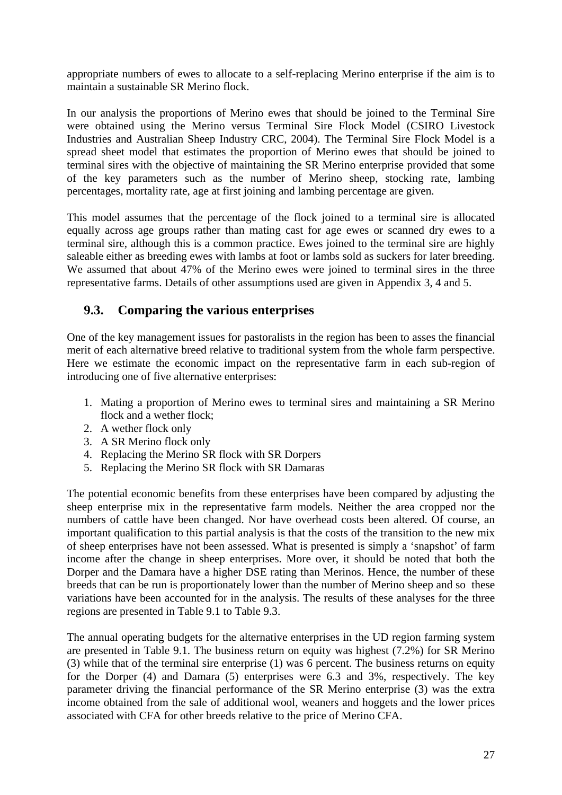<span id="page-34-0"></span>appropriate numbers of ewes to allocate to a self-replacing Merino enterprise if the aim is to maintain a sustainable SR Merino flock.

In our analysis the proportions of Merino ewes that should be joined to the Terminal Sire were obtained using the Merino versus Terminal Sire Flock Model (CSIRO Livestock Industries and Australian Sheep Industry CRC, 2004). The Terminal Sire Flock Model is a spread sheet model that estimates the proportion of Merino ewes that should be joined to terminal sires with the objective of maintaining the SR Merino enterprise provided that some of the key parameters such as the number of Merino sheep, stocking rate, lambing percentages, mortality rate, age at first joining and lambing percentage are given.

This model assumes that the percentage of the flock joined to a terminal sire is allocated equally across age groups rather than mating cast for age ewes or scanned dry ewes to a terminal sire, although this is a common practice. Ewes joined to the terminal sire are highly saleable either as breeding ewes with lambs at foot or lambs sold as suckers for later breeding. We assumed that about 47% of the Merino ewes were joined to terminal sires in the three representative farms. Details of other assumptions used are given in Appendix 3, 4 and 5.

#### **9.3. Comparing the various enterprises**

One of the key management issues for pastoralists in the region has been to asses the financial merit of each alternative breed relative to traditional system from the whole farm perspective. Here we estimate the economic impact on the representative farm in each sub-region of introducing one of five alternative enterprises:

- 1. Mating a proportion of Merino ewes to terminal sires and maintaining a SR Merino flock and a wether flock;
- 2. A wether flock only
- 3. A SR Merino flock only
- 4. Replacing the Merino SR flock with SR Dorpers
- 5. Replacing the Merino SR flock with SR Damaras

The potential economic benefits from these enterprises have been compared by adjusting the sheep enterprise mix in the representative farm models. Neither the area cropped nor the numbers of cattle have been changed. Nor have overhead costs been altered. Of course, an important qualification to this partial analysis is that the costs of the transition to the new mix of sheep enterprises have not been assessed. What is presented is simply a 'snapshot' of farm income after the change in sheep enterprises. More over, it should be noted that both the Dorper and the Damara have a higher DSE rating than Merinos. Hence, the number of these breeds that can be run is proportionately lower than the number of Merino sheep and so these variations have been accounted for in the analysis. The results of these analyses for the three regions are presented in Table 9.1 to Table 9.3.

The annual operating budgets for the alternative enterprises in the UD region farming system are presented in Table 9.1. The business return on equity was highest (7.2%) for SR Merino (3) while that of the terminal sire enterprise (1) was 6 percent. The business returns on equity for the Dorper (4) and Damara (5) enterprises were 6.3 and 3%, respectively. The key parameter driving the financial performance of the SR Merino enterprise (3) was the extra income obtained from the sale of additional wool, weaners and hoggets and the lower prices associated with CFA for other breeds relative to the price of Merino CFA.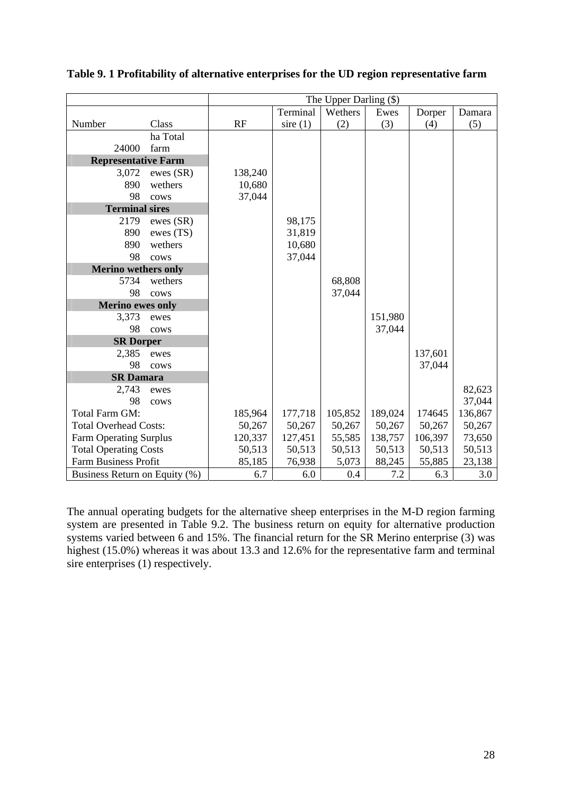|                               |           | The Upper Darling (\$) |            |         |         |         |         |
|-------------------------------|-----------|------------------------|------------|---------|---------|---------|---------|
|                               |           |                        | Terminal   | Wethers | Ewes    | Dorper  | Damara  |
| Number                        | Class     | RF                     | sire $(1)$ | (2)     | (3)     | (4)     | (5)     |
|                               | ha Total  |                        |            |         |         |         |         |
| 24000                         | farm      |                        |            |         |         |         |         |
| <b>Representative Farm</b>    |           |                        |            |         |         |         |         |
| 3,072                         | ewes (SR) | 138,240                |            |         |         |         |         |
| 890                           | wethers   | 10,680                 |            |         |         |         |         |
| 98                            | cows      | 37,044                 |            |         |         |         |         |
| <b>Terminal sires</b>         |           |                        |            |         |         |         |         |
| 2179                          | ewes (SR) |                        | 98,175     |         |         |         |         |
| 890                           | ewes (TS) |                        | 31,819     |         |         |         |         |
| 890                           | wethers   |                        | 10,680     |         |         |         |         |
| 98                            | cows      |                        | 37,044     |         |         |         |         |
| <b>Merino wethers only</b>    |           |                        |            |         |         |         |         |
| 5734                          | wethers   |                        |            | 68,808  |         |         |         |
| 98                            | cows      |                        |            | 37,044  |         |         |         |
| <b>Merino ewes only</b>       |           |                        |            |         |         |         |         |
| 3,373                         | ewes      |                        |            |         | 151,980 |         |         |
| 98                            | cows      |                        |            |         | 37,044  |         |         |
| <b>SR Dorper</b>              |           |                        |            |         |         |         |         |
| 2,385                         | ewes      |                        |            |         |         | 137,601 |         |
| 98                            | cows      |                        |            |         |         | 37,044  |         |
| <b>SR Damara</b>              |           |                        |            |         |         |         |         |
| 2,743                         | ewes      |                        |            |         |         |         | 82,623  |
| 98                            | cows      |                        |            |         |         |         | 37,044  |
| Total Farm GM:                |           | 185,964                | 177,718    | 105,852 | 189,024 | 174645  | 136,867 |
| <b>Total Overhead Costs:</b>  |           | 50,267                 | 50,267     | 50,267  | 50,267  | 50,267  | 50,267  |
| <b>Farm Operating Surplus</b> |           | 120,337                | 127,451    | 55,585  | 138,757 | 106,397 | 73,650  |
| <b>Total Operating Costs</b>  |           | 50,513                 | 50,513     | 50,513  | 50,513  | 50,513  | 50,513  |
| <b>Farm Business Profit</b>   |           | 85,185                 | 76,938     | 5,073   | 88,245  | 55,885  | 23,138  |
| Business Return on Equity (%) |           | 6.7                    | 6.0        | 0.4     | 7.2     | 6.3     | 3.0     |

<span id="page-35-0"></span>**Table 9. 1 Profitability of alternative enterprises for the UD region representative farm** 

The annual operating budgets for the alternative sheep enterprises in the M-D region farming system are presented in Table 9.2. The business return on equity for alternative production systems varied between 6 and 15%. The financial return for the SR Merino enterprise (3) was highest (15.0%) whereas it was about 13.3 and 12.6% for the representative farm and terminal sire enterprises (1) respectively.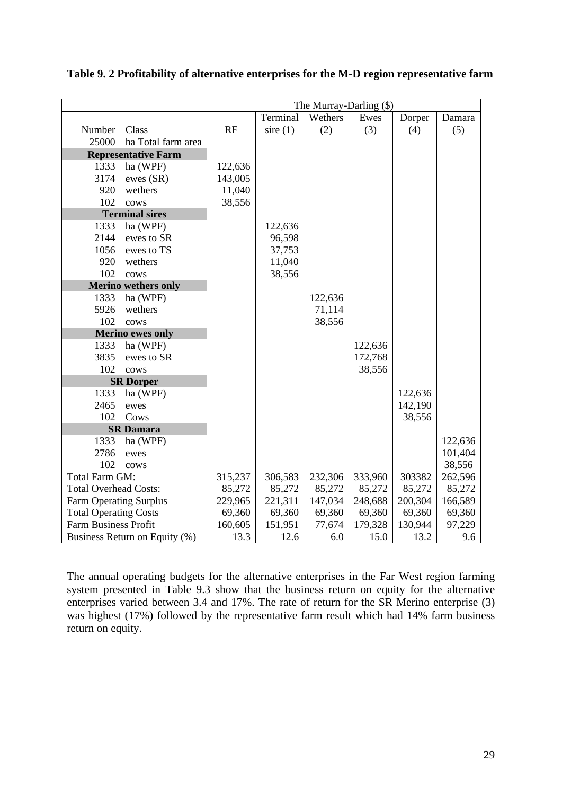|                               |                               | The Murray-Darling (\$) |            |         |         |         |         |
|-------------------------------|-------------------------------|-------------------------|------------|---------|---------|---------|---------|
|                               |                               |                         | Terminal   | Wethers | Ewes    | Dorper  | Damara  |
| Number                        | Class                         | RF                      | sire $(1)$ | (2)     | (3)     | (4)     | (5)     |
| 25000                         | ha Total farm area            |                         |            |         |         |         |         |
|                               | <b>Representative Farm</b>    |                         |            |         |         |         |         |
| 1333                          | ha (WPF)                      | 122,636                 |            |         |         |         |         |
| 3174                          | ewes (SR)                     | 143,005                 |            |         |         |         |         |
| 920                           | wethers                       | 11,040                  |            |         |         |         |         |
| 102                           | cows                          | 38,556                  |            |         |         |         |         |
|                               | <b>Terminal sires</b>         |                         |            |         |         |         |         |
| 1333                          | ha (WPF)                      |                         | 122,636    |         |         |         |         |
| 2144                          | ewes to SR                    |                         | 96,598     |         |         |         |         |
| 1056                          | ewes to TS                    |                         | 37,753     |         |         |         |         |
| 920                           | wethers                       |                         | 11,040     |         |         |         |         |
| 102                           | cows                          |                         | 38,556     |         |         |         |         |
|                               | <b>Merino wethers only</b>    |                         |            |         |         |         |         |
| 1333                          | ha (WPF)                      |                         |            | 122,636 |         |         |         |
| 5926                          | wethers                       |                         |            | 71,114  |         |         |         |
| 102                           | cows                          |                         |            | 38,556  |         |         |         |
|                               | <b>Merino ewes only</b>       |                         |            |         |         |         |         |
| 1333                          | ha (WPF)                      |                         |            |         | 122,636 |         |         |
| 3835                          | ewes to SR                    |                         |            |         | 172,768 |         |         |
| 102                           | cows                          |                         |            |         | 38,556  |         |         |
|                               | <b>SR Dorper</b>              |                         |            |         |         |         |         |
| 1333                          | ha (WPF)                      |                         |            |         |         | 122,636 |         |
| 2465                          | ewes                          |                         |            |         |         | 142,190 |         |
| 102                           | Cows                          |                         |            |         |         | 38,556  |         |
|                               | <b>SR Damara</b>              |                         |            |         |         |         |         |
| 1333                          | ha (WPF)                      |                         |            |         |         |         | 122,636 |
| 2786                          | ewes                          |                         |            |         |         |         | 101,404 |
| 102                           | cows                          |                         |            |         |         |         | 38,556  |
| Total Farm GM:                |                               | 315,237                 | 306,583    | 232,306 | 333,960 | 303382  | 262,596 |
| <b>Total Overhead Costs:</b>  |                               | 85,272                  | 85,272     | 85,272  | 85,272  | 85,272  | 85,272  |
| <b>Farm Operating Surplus</b> |                               | 229,965                 | 221,311    | 147,034 | 248,688 | 200,304 | 166,589 |
| <b>Total Operating Costs</b>  |                               | 69,360                  | 69,360     | 69,360  | 69,360  | 69,360  | 69,360  |
| Farm Business Profit          |                               | 160,605                 | 151,951    | 77,674  | 179,328 | 130,944 | 97,229  |
|                               | Business Return on Equity (%) | 13.3                    | 12.6       | 6.0     | 15.0    | 13.2    | 9.6     |

<span id="page-36-0"></span>**Table 9. 2 Profitability of alternative enterprises for the M-D region representative farm** 

The annual operating budgets for the alternative enterprises in the Far West region farming system presented in Table 9.3 show that the business return on equity for the alternative enterprises varied between 3.4 and 17%. The rate of return for the SR Merino enterprise (3) was highest (17%) followed by the representative farm result which had 14% farm business return on equity.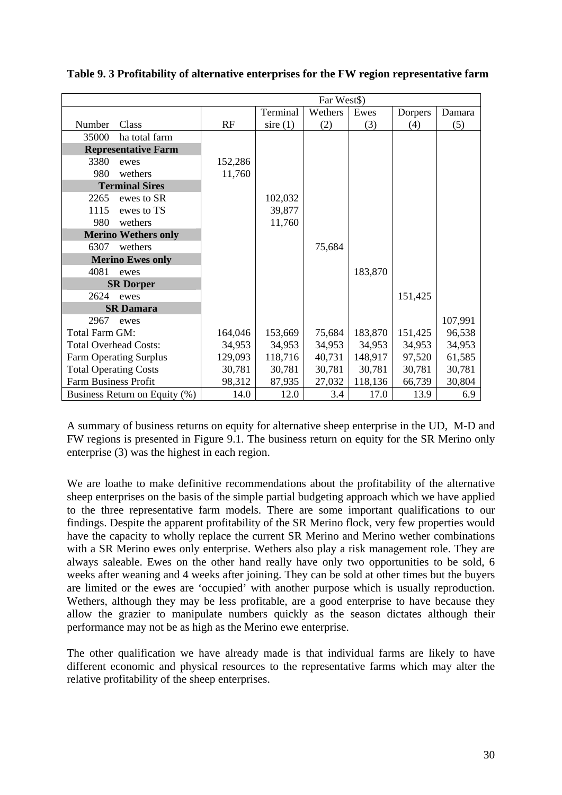|                              | Far West\$)                   |         |            |         |         |         |         |
|------------------------------|-------------------------------|---------|------------|---------|---------|---------|---------|
|                              |                               |         | Terminal   | Wethers | Ewes    | Dorpers | Damara  |
| Number                       | Class                         | RF      | sire $(1)$ | (2)     | (3)     | (4)     | (5)     |
| 35000                        | ha total farm                 |         |            |         |         |         |         |
|                              | <b>Representative Farm</b>    |         |            |         |         |         |         |
| 3380                         | ewes                          | 152,286 |            |         |         |         |         |
| 980                          | wethers                       | 11,760  |            |         |         |         |         |
|                              | <b>Terminal Sires</b>         |         |            |         |         |         |         |
| 2265                         | ewes to SR                    |         | 102,032    |         |         |         |         |
| 1115                         | ewes to TS                    |         | 39,877     |         |         |         |         |
| 980                          | wethers                       |         | 11,760     |         |         |         |         |
|                              | <b>Merino Wethers only</b>    |         |            |         |         |         |         |
| 6307                         | wethers                       |         |            | 75,684  |         |         |         |
|                              | <b>Merino Ewes only</b>       |         |            |         |         |         |         |
| 4081                         | ewes                          |         |            |         | 183,870 |         |         |
|                              | <b>SR Dorper</b>              |         |            |         |         |         |         |
| 2624                         | ewes                          |         |            |         |         | 151,425 |         |
|                              | <b>SR Damara</b>              |         |            |         |         |         |         |
| 2967                         | ewes                          |         |            |         |         |         | 107,991 |
| Total Farm GM:               |                               | 164,046 | 153,669    | 75,684  | 183,870 | 151,425 | 96,538  |
| <b>Total Overhead Costs:</b> |                               | 34,953  | 34,953     | 34,953  | 34,953  | 34,953  | 34,953  |
|                              | <b>Farm Operating Surplus</b> | 129,093 | 118,716    | 40,731  | 148,917 | 97,520  | 61,585  |
| <b>Total Operating Costs</b> |                               | 30,781  | 30,781     | 30,781  | 30,781  | 30,781  | 30,781  |
| <b>Farm Business Profit</b>  |                               | 98,312  | 87,935     | 27,032  | 118,136 | 66,739  | 30,804  |
|                              | Business Return on Equity (%) | 14.0    | 12.0       | 3.4     | 17.0    | 13.9    | 6.9     |

<span id="page-37-0"></span>**Table 9. 3 Profitability of alternative enterprises for the FW region representative farm** 

A summary of business returns on equity for alternative sheep enterprise in the UD, M-D and FW regions is presented in Figure 9.1. The business return on equity for the SR Merino only enterprise (3) was the highest in each region.

We are loathe to make definitive recommendations about the profitability of the alternative sheep enterprises on the basis of the simple partial budgeting approach which we have applied to the three representative farm models. There are some important qualifications to our findings. Despite the apparent profitability of the SR Merino flock, very few properties would have the capacity to wholly replace the current SR Merino and Merino wether combinations with a SR Merino ewes only enterprise. Wethers also play a risk management role. They are always saleable. Ewes on the other hand really have only two opportunities to be sold, 6 weeks after weaning and 4 weeks after joining. They can be sold at other times but the buyers are limited or the ewes are 'occupied' with another purpose which is usually reproduction. Wethers, although they may be less profitable, are a good enterprise to have because they allow the grazier to manipulate numbers quickly as the season dictates although their performance may not be as high as the Merino ewe enterprise.

The other qualification we have already made is that individual farms are likely to have different economic and physical resources to the representative farms which may alter the relative profitability of the sheep enterprises.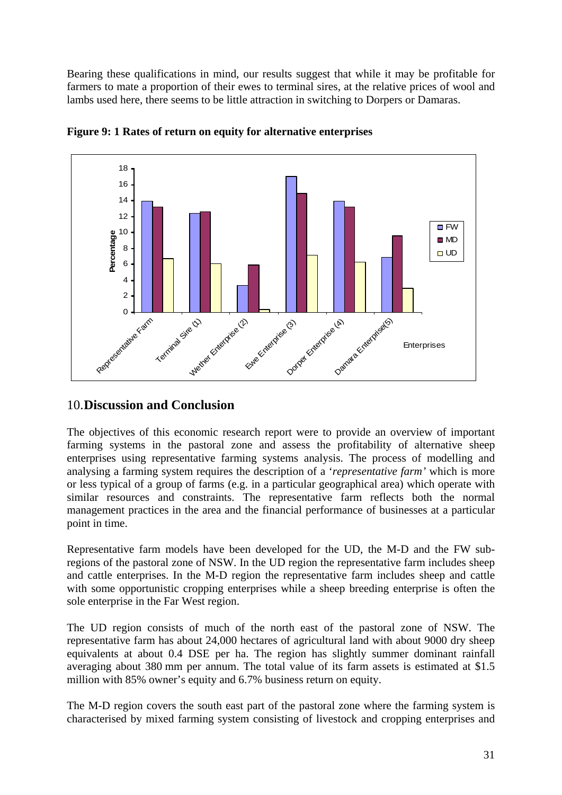<span id="page-38-0"></span>Bearing these qualifications in mind, our results suggest that while it may be profitable for farmers to mate a proportion of their ewes to terminal sires, at the relative prices of wool and lambs used here, there seems to be little attraction in switching to Dorpers or Damaras.



**Figure 9: 1 Rates of return on equity for alternative enterprises** 

#### 10.**Discussion and Conclusion**

The objectives of this economic research report were to provide an overview of important farming systems in the pastoral zone and assess the profitability of alternative sheep enterprises using representative farming systems analysis. The process of modelling and analysing a farming system requires the description of a '*representative farm'* which is more or less typical of a group of farms (e.g. in a particular geographical area) which operate with similar resources and constraints. The representative farm reflects both the normal management practices in the area and the financial performance of businesses at a particular point in time.

Representative farm models have been developed for the UD, the M-D and the FW subregions of the pastoral zone of NSW. In the UD region the representative farm includes sheep and cattle enterprises. In the M-D region the representative farm includes sheep and cattle with some opportunistic cropping enterprises while a sheep breeding enterprise is often the sole enterprise in the Far West region.

The UD region consists of much of the north east of the pastoral zone of NSW. The representative farm has about 24,000 hectares of agricultural land with about 9000 dry sheep equivalents at about 0.4 DSE per ha. The region has slightly summer dominant rainfall averaging about 380 mm per annum. The total value of its farm assets is estimated at \$1.5 million with 85% owner's equity and 6.7% business return on equity.

The M-D region covers the south east part of the pastoral zone where the farming system is characterised by mixed farming system consisting of livestock and cropping enterprises and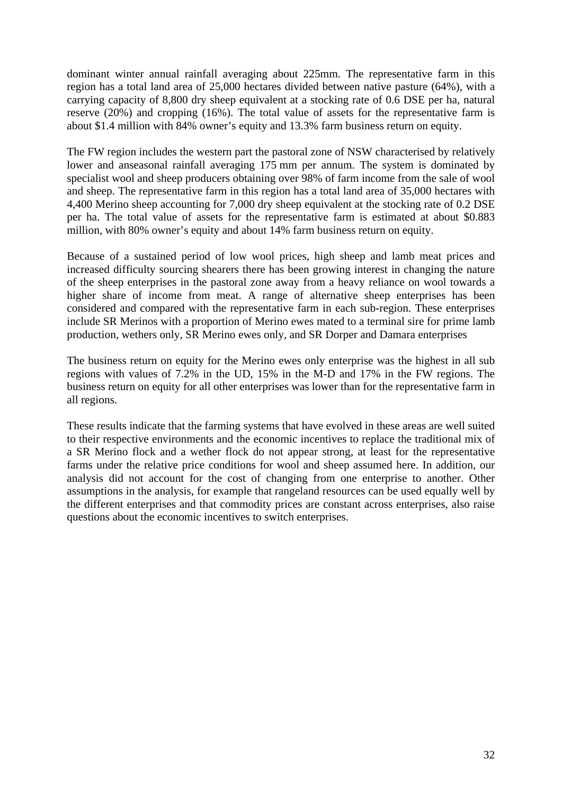dominant winter annual rainfall averaging about 225mm. The representative farm in this region has a total land area of 25,000 hectares divided between native pasture (64%), with a carrying capacity of 8,800 dry sheep equivalent at a stocking rate of 0.6 DSE per ha, natural reserve (20%) and cropping (16%). The total value of assets for the representative farm is about \$1.4 million with 84% owner's equity and 13.3% farm business return on equity.

The FW region includes the western part the pastoral zone of NSW characterised by relatively lower and anseasonal rainfall averaging 175 mm per annum. The system is dominated by specialist wool and sheep producers obtaining over 98% of farm income from the sale of wool and sheep. The representative farm in this region has a total land area of 35,000 hectares with 4,400 Merino sheep accounting for 7,000 dry sheep equivalent at the stocking rate of 0.2 DSE per ha. The total value of assets for the representative farm is estimated at about \$0.883 million, with 80% owner's equity and about 14% farm business return on equity.

Because of a sustained period of low wool prices, high sheep and lamb meat prices and increased difficulty sourcing shearers there has been growing interest in changing the nature of the sheep enterprises in the pastoral zone away from a heavy reliance on wool towards a higher share of income from meat. A range of alternative sheep enterprises has been considered and compared with the representative farm in each sub-region. These enterprises include SR Merinos with a proportion of Merino ewes mated to a terminal sire for prime lamb production, wethers only, SR Merino ewes only, and SR Dorper and Damara enterprises

The business return on equity for the Merino ewes only enterprise was the highest in all sub regions with values of 7.2% in the UD, 15% in the M-D and 17% in the FW regions. The business return on equity for all other enterprises was lower than for the representative farm in all regions.

These results indicate that the farming systems that have evolved in these areas are well suited to their respective environments and the economic incentives to replace the traditional mix of a SR Merino flock and a wether flock do not appear strong, at least for the representative farms under the relative price conditions for wool and sheep assumed here. In addition, our analysis did not account for the cost of changing from one enterprise to another. Other assumptions in the analysis, for example that rangeland resources can be used equally well by the different enterprises and that commodity prices are constant across enterprises, also raise questions about the economic incentives to switch enterprises.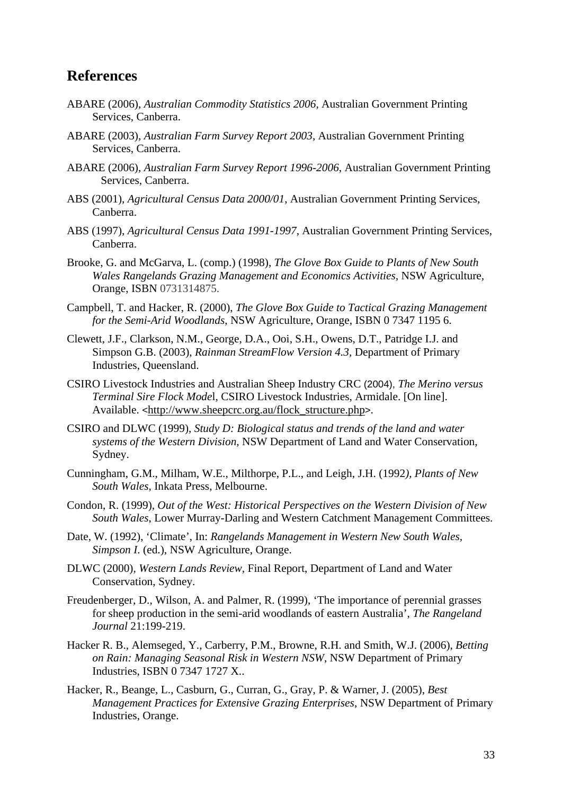## **References**

- ABARE (2006), *Australian Commodity Statistics 2006*, Australian Government Printing Services, Canberra.
- ABARE (2003), *Australian Farm Survey Report 2003*, Australian Government Printing Services, Canberra.
- ABARE (2006), *Australian Farm Survey Report 1996-2006*, Australian Government Printing Services, Canberra.
- ABS (2001), *Agricultural Census Data 2000/01*, Australian Government Printing Services, Canberra.
- ABS (1997), *Agricultural Census Data 1991-1997*, Australian Government Printing Services, Canberra.
- Brooke, G. and McGarva, L. (comp.) (1998), *The Glove Box Guide to Plants of New South Wales Rangelands Grazing Management and Economics Activities,* NSW Agriculture, Orange, ISBN 0731314875.
- Campbell, T. and Hacker, R. (2000), *The Glove Box Guide to Tactical Grazing Management for the Semi-Arid Woodlands*, NSW Agriculture, Orange, ISBN 0 7347 1195 6.
- Clewett, J.F., Clarkson, N.M., George, D.A., Ooi, S.H., Owens, D.T., Patridge I.J. and Simpson G.B. (2003), *Rainman StreamFlow Version 4.3*, Department of Primary Industries, Queensland.
- CSIRO Livestock Industries and Australian Sheep Industry CRC (2004), *The Merino versus Terminal Sire Flock Mode*l, CSIRO Livestock Industries, Armidale. [On line]. Available. <[http://www.sheepcrc.org.au/flock\\_structure.php](http://www.sheepcrc.org.au/flock_structure.php)>.
- CSIRO and DLWC (1999), *Study D: Biological status and trends of the land and water systems of the Western Division*, NSW Department of Land and Water Conservation, Sydney.
- Cunningham, G.M., Milham, W.E., Milthorpe, P.L., and Leigh, J.H. (1992*), Plants of New South Wales,* Inkata Press, Melbourne.
- Condon, R. (1999), *Out of the West: Historical Perspectives on the Western Division of New South Wales*, Lower Murray-Darling and Western Catchment Management Committees.
- Date, W. (1992), 'Climate', In: *Rangelands Management in Western New South Wales, Simpson I*. (ed.), NSW Agriculture, Orange.
- DLWC (2000), *Western Lands Review,* Final Report, Department of Land and Water Conservation, Sydney.
- Freudenberger, D., Wilson, A. and Palmer, R. (1999), 'The importance of perennial grasses for sheep production in the semi-arid woodlands of eastern Australia', *The Rangeland Journal* 21:199-219.
- Hacker R. B., Alemseged, Y., Carberry, P.M., Browne, R.H. and Smith, W.J. (2006), *Betting on Rain: Managing Seasonal Risk in Western NSW*, NSW Department of Primary Industries, ISBN 0 7347 1727 X..
- Hacker, R., Beange, L., Casburn, G., Curran, G., Gray, P. & Warner, J. (2005), *Best Management Practices for Extensive Grazing Enterprises*, NSW Department of Primary Industries, Orange.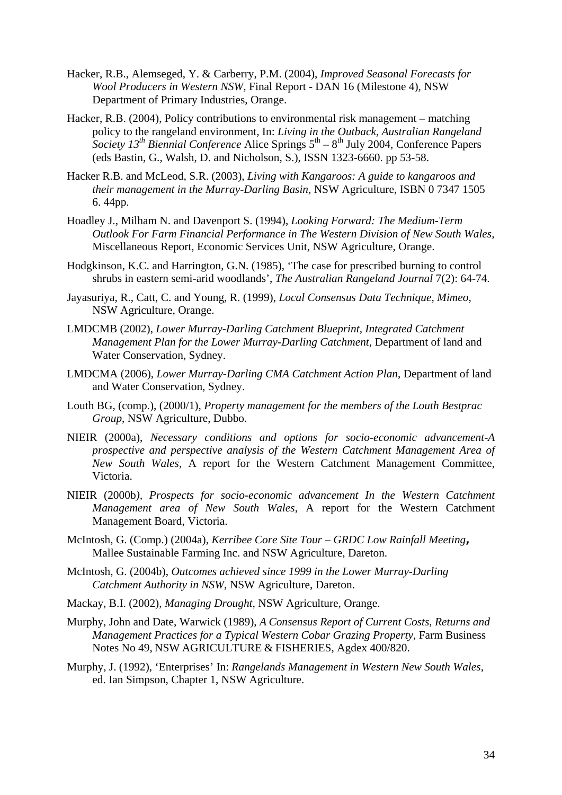- Hacker, R.B., Alemseged, Y. & Carberry, P.M. (2004), *Improved Seasonal Forecasts for Wool Producers in Western NSW,* Final Report - DAN 16 (Milestone 4)*,* NSW Department of Primary Industries, Orange.
- Hacker, R.B. (2004), Policy contributions to environmental risk management matching policy to the rangeland environment, In: *Living in the Outback, Australian Rangeland*  Society 13<sup>th</sup> Biennial Conference Alice Springs 5<sup>th</sup> – 8<sup>th</sup> July 2004, Conference Papers (eds Bastin, G., Walsh, D. and Nicholson, S.), ISSN 1323-6660. pp 53-58.
- Hacker R.B. and McLeod, S.R. (2003), *Living with Kangaroos: A guide to kangaroos and their management in the Murray-Darling Basin,* NSW Agriculture, ISBN 0 7347 1505 6. 44pp.
- Hoadley J., Milham N. and Davenport S. (1994), *Looking Forward: The Medium-Term Outlook For Farm Financial Performance in The Western Division of New South Wales,* Miscellaneous Report, Economic Services Unit, NSW Agriculture, Orange.
- Hodgkinson, K.C. and Harrington, G.N. (1985), 'The case for prescribed burning to control shrubs in eastern semi-arid woodlands', *The Australian Rangeland Journal* 7(2): 64-74.
- Jayasuriya, R., Catt, C. and Young, R. (1999), *Local Consensus Data Technique, Mimeo*, NSW Agriculture, Orange.
- LMDCMB (2002), *Lower Murray-Darling Catchment Blueprint, Integrated Catchment Management Plan for the Lower Murray-Darling Catchment,* Department of land and Water Conservation, Sydney.
- LMDCMA (2006), *Lower Murray-Darling CMA Catchment Action Plan*, Department of land and Water Conservation, Sydney.
- Louth BG, (comp.), (2000/1), *Property management for the members of the Louth Bestprac Group*, NSW Agriculture, Dubbo.
- NIEIR (2000a), *Necessary conditions and options for socio-economic advancement-A prospective and perspective analysis of the Western Catchment Management Area of New South Wales,* A report for the Western Catchment Management Committee, Victoria.
- NIEIR (2000b*), Prospects for socio-economic advancement In the Western Catchment Management area of New South Wales*, A report for the Western Catchment Management Board, Victoria.
- McIntosh, G. (Comp.) (2004a), *Kerribee Core Site Tour GRDC Low Rainfall Meeting,* Mallee Sustainable Farming Inc. and NSW Agriculture, Dareton.
- McIntosh, G. (2004b), *Outcomes achieved since 1999 in the Lower Murray-Darling Catchment Authority in NSW*, NSW Agriculture, Dareton.
- Mackay, B.I. (2002), *Managing Drought*, NSW Agriculture, Orange.
- Murphy, John and Date, Warwick (1989), *A Consensus Report of Current Costs, Returns and Management Practices for a Typical Western Cobar Grazing Property,* Farm Business Notes No 49, NSW AGRICULTURE & FISHERIES, Agdex 400/820.
- Murphy, J. (1992), 'Enterprises' In: *Rangelands Management in Western New South Wales*, ed. Ian Simpson, Chapter 1, NSW Agriculture.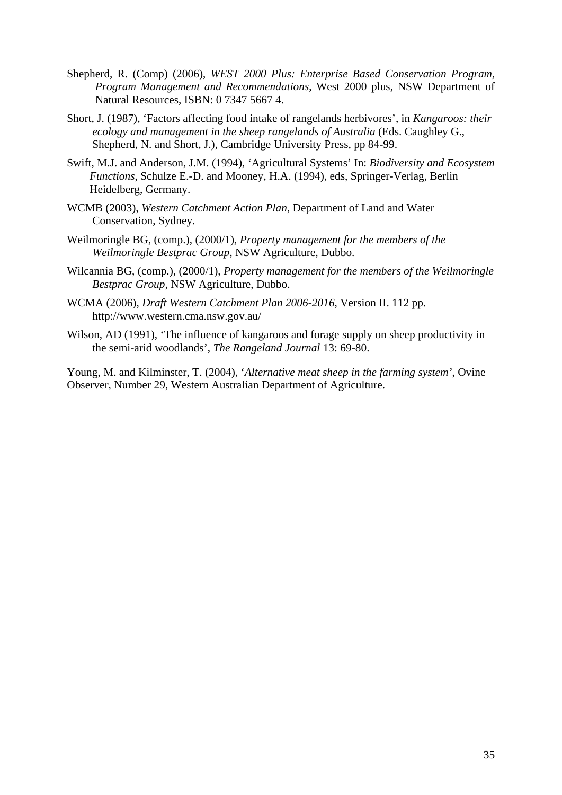- Shepherd, R. (Comp) (2006), *WEST 2000 Plus: Enterprise Based Conservation Program, Program Management and Recommendations*, West 2000 plus, NSW Department of Natural Resources, ISBN: 0 7347 5667 4.
- Short, J. (1987), 'Factors affecting food intake of rangelands herbivores', in *Kangaroos: their ecology and management in the sheep rangelands of Australia* (Eds. Caughley G., Shepherd, N. and Short, J.), Cambridge University Press, pp 84-99.
- Swift, M.J. and Anderson, J.M. (1994), 'Agricultural Systems' In: *Biodiversity and Ecosystem Functions*, Schulze E.-D. and Mooney, H.A. (1994), eds, Springer-Verlag, Berlin Heidelberg, Germany.
- WCMB (2003), *Western Catchment Action Plan*, Department of Land and Water Conservation, Sydney.
- Weilmoringle BG, (comp.), (2000/1), *Property management for the members of the Weilmoringle Bestprac Group*, NSW Agriculture, Dubbo.
- Wilcannia BG, (comp.), (2000/1), *Property management for the members of the Weilmoringle Bestprac Group,* NSW Agriculture, Dubbo.
- WCMA (2006), *Draft Western Catchment Plan 2006-2016*, Version II. 112 pp. http://www.western.cma.nsw.gov.au/
- Wilson, AD (1991), 'The influence of kangaroos and forage supply on sheep productivity in the semi-arid woodlands', *The Rangeland Journal* 13: 69-80.

Young, M. and Kilminster, T. (2004), '*Alternative meat sheep in the farming system'*, Ovine Observer, Number 29, Western Australian Department of Agriculture.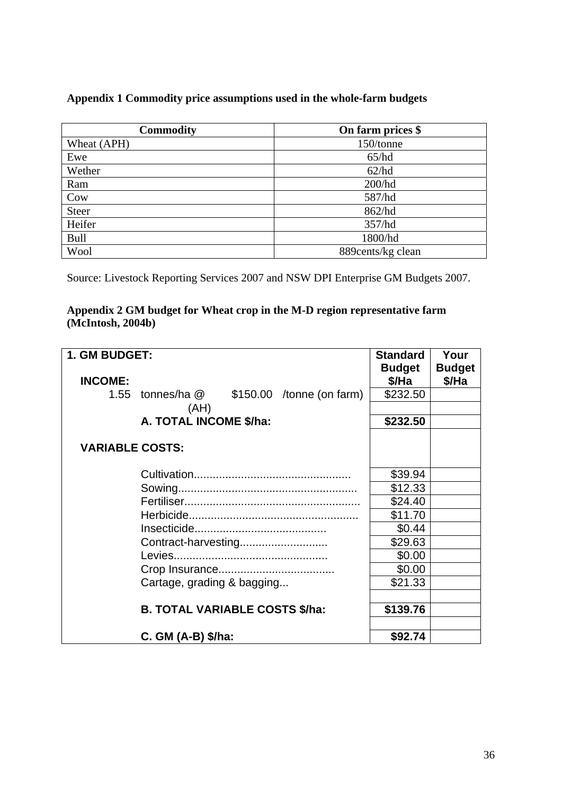#### <span id="page-43-0"></span>**Appendix 1 Commodity price assumptions used in the whole-farm budgets**

| <b>Commodity</b> | On farm prices \$ |
|------------------|-------------------|
| Wheat (APH)      | 150/tonne         |
| Ewe              | 65/hd             |
| Wether           | 62/hd             |
| Ram              | 200/hd            |
| Cow              | 587/hd            |
| <b>Steer</b>     | 862/hd            |
| Heifer           | 357/hd            |
| <b>Bull</b>      | 1800/hd           |
| Wool             | 889cents/kg clean |

Source: Livestock Reporting Services 2007 and NSW DPI Enterprise GM Budgets 2007.

#### **Appendix 2 GM budget for Wheat crop in the M-D region representative farm (McIntosh, 2004b)**

| 1. GM BUDGET:          |                                              | <b>Standard</b> | Your          |
|------------------------|----------------------------------------------|-----------------|---------------|
|                        |                                              | <b>Budget</b>   | <b>Budget</b> |
| <b>INCOME:</b>         |                                              | \$/Ha           | \$/Ha         |
|                        | 1.55 tonnes/ha $@$ \$150.00 /tonne (on farm) | \$232.50        |               |
|                        | (AH)                                         |                 |               |
|                        | A. TOTAL INCOME \$/ha:                       | \$232.50        |               |
|                        |                                              |                 |               |
| <b>VARIABLE COSTS:</b> |                                              |                 |               |
|                        |                                              |                 |               |
|                        |                                              | \$39.94         |               |
|                        |                                              | \$12.33         |               |
|                        |                                              | \$24.40         |               |
|                        |                                              | \$11.70         |               |
|                        |                                              | \$0.44          |               |
|                        | Contract-harvesting                          | \$29.63         |               |
|                        |                                              | \$0.00          |               |
|                        |                                              | \$0.00          |               |
|                        | Cartage, grading & bagging                   | \$21.33         |               |
|                        |                                              |                 |               |
|                        | <b>B. TOTAL VARIABLE COSTS \$/ha:</b>        | \$139.76        |               |
|                        |                                              |                 |               |
|                        | $C.$ GM (A-B) $$/ha:$                        | \$92.74         |               |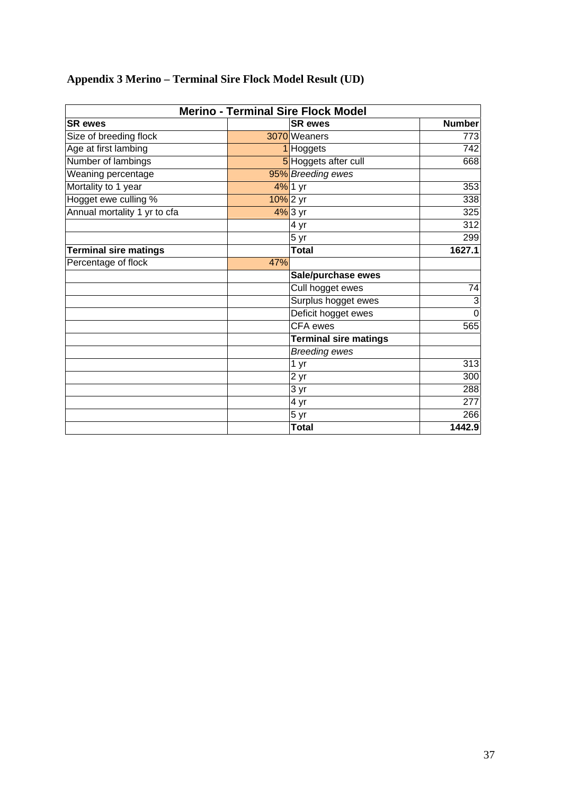<span id="page-44-0"></span>

|  | <b>Appendix 3 Merino – Terminal Sire Flock Model Result (UD)</b> |  |  |  |  |
|--|------------------------------------------------------------------|--|--|--|--|
|  |                                                                  |  |  |  |  |

| <b>Merino - Terminal Sire Flock Model</b> |             |                              |                  |  |  |  |  |
|-------------------------------------------|-------------|------------------------------|------------------|--|--|--|--|
| <b>SR</b> ewes                            |             | <b>SR</b> ewes               | <b>Number</b>    |  |  |  |  |
| Size of breeding flock                    |             | 3070 Weaners                 | 773              |  |  |  |  |
| Age at first lambing                      |             | 1 Hoggets                    | 742              |  |  |  |  |
| Number of lambings                        |             | 5 Hoggets after cull         | 668              |  |  |  |  |
| Weaning percentage                        |             | 95% Breeding ewes            |                  |  |  |  |  |
| Mortality to 1 year                       |             | 4% 1 yr                      | 353              |  |  |  |  |
| Hogget ewe culling %                      | $10\%$ 2 yr |                              | 338              |  |  |  |  |
| Annual mortality 1 yr to cfa              |             | $4\%$ 3 yr                   | 325              |  |  |  |  |
|                                           |             | 4 yr                         | 312              |  |  |  |  |
|                                           |             | $5 \,\mathrm{yr}$            | 299              |  |  |  |  |
| <b>Terminal sire matings</b>              |             | <b>Total</b>                 | 1627.1           |  |  |  |  |
| Percentage of flock                       | 47%         |                              |                  |  |  |  |  |
|                                           |             | Sale/purchase ewes           |                  |  |  |  |  |
|                                           |             | Cull hogget ewes             | 74               |  |  |  |  |
|                                           |             | Surplus hogget ewes          | 3                |  |  |  |  |
|                                           |             | Deficit hogget ewes          | $\mathbf 0$      |  |  |  |  |
|                                           |             | <b>CFA</b> ewes              | 565              |  |  |  |  |
|                                           |             | <b>Terminal sire matings</b> |                  |  |  |  |  |
|                                           |             | <b>Breeding ewes</b>         |                  |  |  |  |  |
|                                           |             | 1 yr                         | $\overline{313}$ |  |  |  |  |
|                                           |             | 2 yr                         | 300              |  |  |  |  |
|                                           |             | 3 yr                         | 288              |  |  |  |  |
|                                           |             | 4 yr                         | 277              |  |  |  |  |
|                                           |             | 5 yr                         | 266              |  |  |  |  |
|                                           |             | <b>Total</b>                 | 1442.9           |  |  |  |  |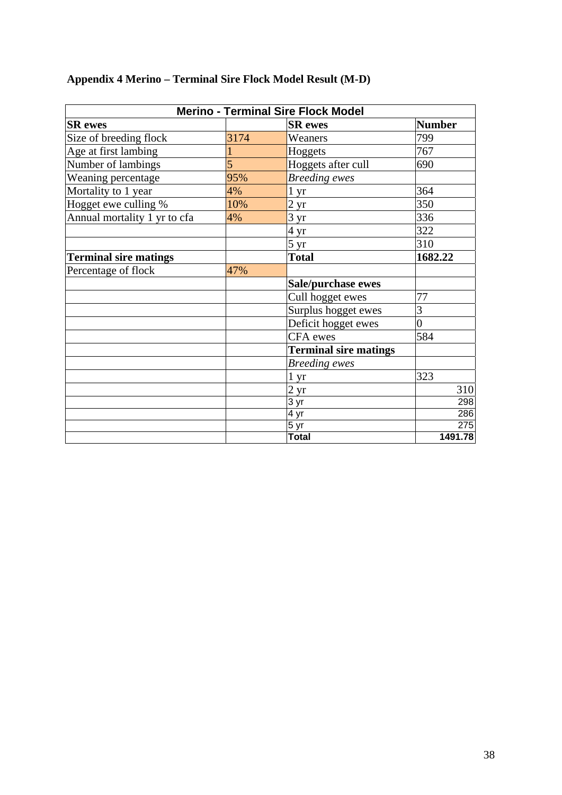|                              |      | <b>Merino - Terminal Sire Flock Model</b> |                |
|------------------------------|------|-------------------------------------------|----------------|
| <b>SR</b> ewes               |      | <b>SR</b> ewes                            | <b>Number</b>  |
| Size of breeding flock       | 3174 | Weaners                                   | 799            |
| Age at first lambing         |      | Hoggets                                   | 767            |
| Number of lambings           | 5    | Hoggets after cull                        | 690            |
| Weaning percentage           | 95%  | <b>Breeding</b> ewes                      |                |
| Mortality to 1 year          | 4%   | $1 \,\mathrm{yr}$                         | 364            |
| Hogget ewe culling %         | 10%  | 2 <sub>yr</sub>                           | 350            |
| Annual mortality 1 yr to cfa | 4%   | 3 yr                                      | 336            |
|                              |      | 4 yr                                      | 322            |
|                              |      | $5 \,\mathrm{yr}$                         | 310            |
| <b>Terminal sire matings</b> |      | <b>Total</b>                              | 1682.22        |
| Percentage of flock          | 47%  |                                           |                |
|                              |      | Sale/purchase ewes                        |                |
|                              |      | Cull hogget ewes                          | 77             |
|                              |      | Surplus hogget ewes                       | 3              |
|                              |      | Deficit hogget ewes                       | $\overline{0}$ |
|                              |      | CFA ewes                                  | 584            |
|                              |      | <b>Terminal sire matings</b>              |                |
|                              |      | <b>Breeding</b> ewes                      |                |
|                              |      | 1 yr                                      | 323            |
|                              |      | 2 yr                                      | 310            |
|                              |      | $\overline{3}$ yr                         | 298            |
|                              |      | 4 yr                                      | 286            |
|                              |      | 5 yr                                      | 275            |
|                              |      | <b>Total</b>                              | 1491.78        |

## <span id="page-45-0"></span>**Appendix 4 Merino – Terminal Sire Flock Model Result (M-D)**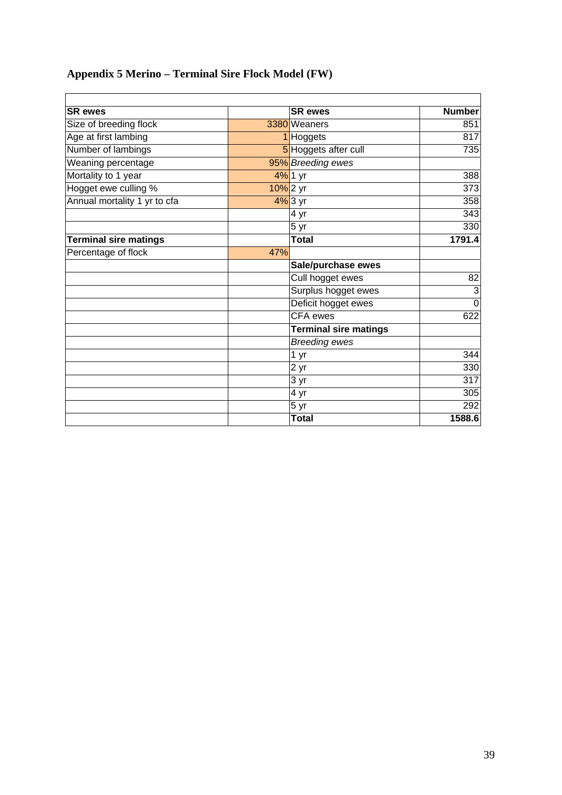## <span id="page-46-0"></span>**Appendix 5 Merino – Terminal Sire Flock Model (FW)**

| <b>SR</b> ewes               |     | <b>SR</b> ewes               | <b>Number</b>  |
|------------------------------|-----|------------------------------|----------------|
| Size of breeding flock       |     | 3380 Weaners                 | 851            |
| Age at first lambing         |     | 1 Hoggets                    | 817            |
| Number of lambings           |     | 5 Hoggets after cull         | 735            |
| Weaning percentage           |     | 95% Breeding ewes            |                |
| Mortality to 1 year          |     | 4% 1 yr                      | 388            |
| Hogget ewe culling %         |     | $10\%$ 2 yr                  | 373            |
| Annual mortality 1 yr to cfa |     | $4\%$ 3 yr                   | 358            |
|                              |     | 4 yr                         | 343            |
|                              |     | 5 yr                         | 330            |
| <b>Terminal sire matings</b> |     | <b>Total</b>                 | 1791.4         |
| Percentage of flock          | 47% |                              |                |
|                              |     | Sale/purchase ewes           |                |
|                              |     | Cull hogget ewes             | 82             |
|                              |     | Surplus hogget ewes          | $\overline{3}$ |
|                              |     | Deficit hogget ewes          | $\overline{0}$ |
|                              |     | <b>CFA</b> ewes              | 622            |
|                              |     | <b>Terminal sire matings</b> |                |
|                              |     | <b>Breeding ewes</b>         |                |
|                              |     | 1 yr                         | 344            |
|                              |     | 2 yr                         | 330            |
|                              |     | 3 yr                         | 317            |
|                              |     | 4 yr                         | 305            |
|                              |     | 5 yr                         | 292            |
|                              |     | Total                        | 1588.6         |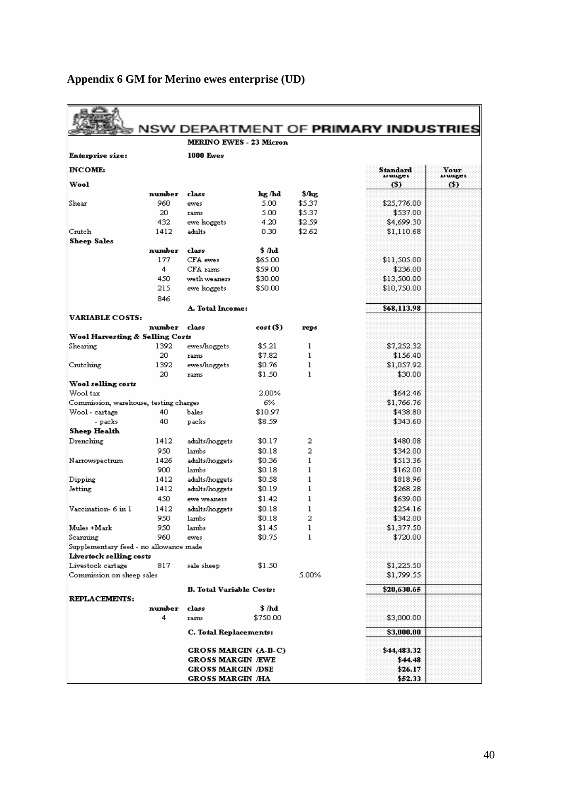|                                        |        |                                 |           |              | NSW DEPARTMENT OF PRIMARY INDUSTRIES |                |
|----------------------------------------|--------|---------------------------------|-----------|--------------|--------------------------------------|----------------|
|                                        |        | <b>MERINO EWES - 23 Micron</b>  |           |              |                                      |                |
| Enterprise size:                       |        | <b>1000 Ewes</b>                |           |              |                                      |                |
| <b>INCOME:</b>                         |        |                                 |           |              | Standard                             | Your           |
| Wool                                   |        |                                 |           |              | Düüger:<br>(5)                       | vuuger<br>(\$) |
|                                        | number | class                           | kg /hd    | \$/kg        |                                      |                |
| Shear                                  | 960    | ewes                            | 5.00      | \$5.37       | \$25,776.00                          |                |
|                                        | 20     | rams                            | 5.00      | \$5.37       | \$537.00                             |                |
|                                        | 432    | ewe hoggets                     | 4.20      | \$2.59       | \$4,699.30                           |                |
| Crutch                                 | 1412   | adults                          | 0.30      | \$2.62       | \$1,110.68                           |                |
| <b>Sheep Sales</b>                     |        |                                 |           |              |                                      |                |
|                                        | number | class                           | \$ /hd    |              |                                      |                |
|                                        | 177    | CFA ewes                        | \$65.00   |              | \$11,505.00                          |                |
|                                        | 4      | CFA rams                        | \$59.00   |              | \$236.00                             |                |
|                                        | 450    | weth weaners                    | \$30.00   |              | \$13,500.00                          |                |
|                                        | 215    | ewe hoggets                     | \$50.00   |              | \$10,750.00                          |                |
|                                        | 846    |                                 |           |              |                                      |                |
|                                        |        | A. Total Income:                |           |              | \$68,113.98                          |                |
| <b>VARIABLE COSTS:</b>                 | number |                                 |           |              |                                      |                |
| Wool Harvesting & Selling Costs        |        | class                           | cost (\$) | reps         |                                      |                |
| Shearing                               | 1392   | ewes/hoggets                    | \$5.21    | 1            | \$7,252.32                           |                |
|                                        | 20     | rams                            | \$7.82    | 1            | \$156.40                             |                |
| Crutching                              | 1392   | ewes/hoggets                    | \$0.76    | ı            | \$1,057.92                           |                |
|                                        | 20     | rams                            | \$1.50    | $\mathbf{1}$ | \$30.00                              |                |
| Wool selling costs                     |        |                                 |           |              |                                      |                |
| Wool tax                               |        |                                 | 2.00%     |              | \$642.46                             |                |
| Commission, warehouse, testing charges |        |                                 | 6%        |              | \$1,766.76                           |                |
| Wool - cartage                         | 40     | bales                           | \$10.97   |              | \$438.80                             |                |
| - packs                                | 40     | packs                           | \$8.59    |              | \$343.60                             |                |
| <b>Sheep Health</b>                    |        |                                 |           |              |                                      |                |
| Drenching                              | 1412   | adults/hoggets                  | \$0.17    | 2            | \$480.08                             |                |
|                                        | 950    | lambs                           | \$0.18    | 2            | \$342.00                             |                |
| Narrowspectrum                         | 1426   | adults/hoggets                  | \$0.36    | 1            | \$513.36                             |                |
|                                        | 900    | lambs                           | \$0.18    | $\mathbf{1}$ | \$162.00                             |                |
| Dipping                                | 1412   | adults/hoggets                  | \$0.58    | 1            | \$818.96                             |                |
| Jetting                                | 1412   | adults/hoggets                  | \$0.19    | 1            | \$268.28                             |                |
|                                        | 450    | ewe weaners                     | \$1.42    | 1            | \$639.00                             |                |
| Vaccination- 6 in 1                    | 1412   | adults/hoggets                  | \$0.18    | 1            | \$254.16                             |                |
|                                        | 950    | lambs                           | \$0.18    | 2            | \$342.00                             |                |
| Mules +Mark                            | 950    | lambs                           | \$1.45    | ı            | \$1,377.50                           |                |
| Scanning                               | 960    | ewes                            | \$0.75    | ı            | \$720.00                             |                |
| Supplementary feed - no allowance made |        |                                 |           |              |                                      |                |
| Livestock selling costs                |        |                                 |           |              |                                      |                |
| Livestock cartage                      | 817    | sale sheep                      | \$1.50    |              | \$1,225.50                           |                |
| Commission on sheep sales              |        |                                 |           | 5.00%        | \$1,799.55                           |                |
|                                        |        | <b>B.</b> Total Variable Costs: |           |              | \$20,630.65                          |                |
| REPLACEMENTS:                          |        |                                 |           |              |                                      |                |
|                                        | number | class                           | \$ /hd    |              |                                      |                |
|                                        | 4      | rams                            | \$750.00  |              | \$3,000.00                           |                |
|                                        |        | C. Total Replacements:          |           |              | \$3,000.00                           |                |
|                                        |        |                                 |           |              |                                      |                |
|                                        |        | GROSS MARGIN (A-B-C)            |           |              | \$44,483.32                          |                |
|                                        |        | GROSS MARGIN ÆWE                |           |              | \$44.48                              |                |
|                                        |        | GROSS MARGIN /DSE               |           |              | \$26.17                              |                |
|                                        |        | GROSS MARGIN /HA                |           |              | \$52.33                              |                |

### <span id="page-47-0"></span>**Appendix 6 GM for Merino ewes enterprise (UD)**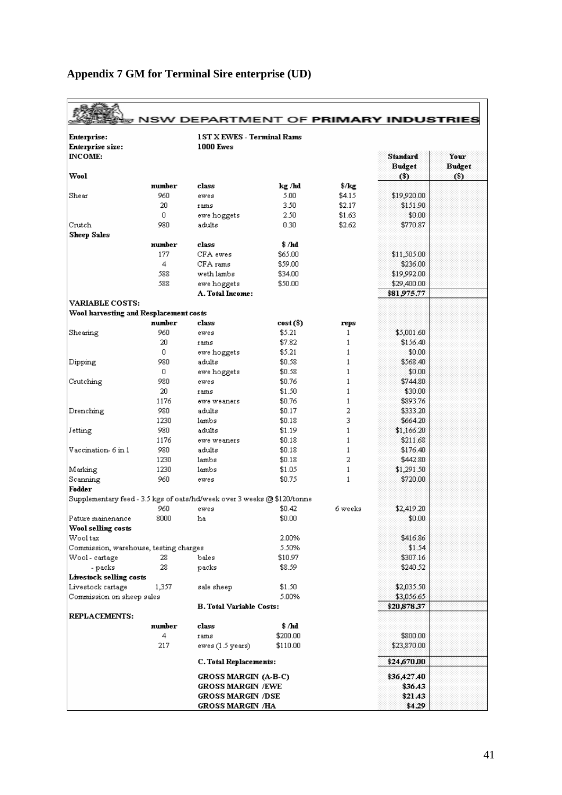| Enterprise:                            |               | <b>1ST X EWES - Terminal Rams</b>                                       |                  |                  |                                  |                       |
|----------------------------------------|---------------|-------------------------------------------------------------------------|------------------|------------------|----------------------------------|-----------------------|
| Enterprise size:                       |               | <b>1000 Ewes</b>                                                        |                  |                  |                                  |                       |
| <b>INCOME:</b>                         |               |                                                                         |                  |                  | <b>Standard</b><br><b>Budget</b> | Your<br><b>Budget</b> |
| Wool                                   |               |                                                                         |                  |                  | (3)                              | (3)                   |
|                                        | number<br>960 | class                                                                   | kg /kd           | $\sqrt{$25}$     |                                  |                       |
| $_{\rm Shear}$                         |               | ewes                                                                    | 5.00             | \$4.15<br>\$2.17 | \$19,920.00                      |                       |
|                                        | 20<br>0       | rams                                                                    | 3.50             |                  | \$151.90                         |                       |
|                                        | 980           | ewe hoggets                                                             | 2.50             | \$1.63           | \$0.00                           |                       |
| Crutch                                 |               | adults                                                                  | 0.30             | \$2.62           | \$770.87                         |                       |
| Sheep Sales                            | number        | class                                                                   |                  |                  |                                  |                       |
|                                        | 177           | CFA ewes                                                                | \$ Ља<br>\$65.00 |                  |                                  |                       |
|                                        |               |                                                                         |                  |                  | \$11,505.00                      |                       |
|                                        | 4             | CFA rams                                                                | \$59.00          |                  | \$236.00                         |                       |
|                                        | 588           | weth lambs                                                              | \$34.00          |                  | \$19,992.00                      |                       |
|                                        | 588           | ewe hoggets                                                             | \$50.00          |                  | \$29,400.00                      |                       |
|                                        |               | A. Total Income:                                                        |                  |                  | \$81,975.77                      |                       |
| <b>VARIABLE COSTS:</b>                 |               |                                                                         |                  |                  |                                  |                       |
| Wool harvesting and Resplacement costs |               |                                                                         |                  |                  |                                  |                       |
|                                        | number        | class                                                                   | $cost(3)$        | reps             |                                  |                       |
| Shearing                               | 960           | ewes                                                                    | \$5.21           | 1                | \$5,001.60                       |                       |
|                                        | 20            | rams                                                                    | \$7.82           | $\mathbf{1}$     | \$156.40                         |                       |
|                                        | 0             | ewe hoggets                                                             | \$5.21           | 1                | \$0.00                           |                       |
| Dipping                                | 980           | adults                                                                  | \$0.58           | $\mathbf{1}$     | \$568.40                         |                       |
|                                        | 0             | ewe hoggets                                                             | \$0.58           | 1                | \$0.00                           |                       |
| Crutching                              | 980           | ewes                                                                    | \$0.76           | $\mathbf{1}$     | \$744.80                         |                       |
|                                        | 20            | rams                                                                    | \$1.50           | $\mathbf{1}$     | \$30.00                          |                       |
|                                        | 1176          | ewe weaners                                                             | \$0.76           | $\mathbf{1}$     | \$893.76                         |                       |
| Drenching                              | 980           | adults                                                                  | \$0.17           | 2                | \$333.20                         |                       |
|                                        | 1230          | lambs                                                                   | \$0.18           | 3                | \$664.20                         |                       |
| Jetting                                | 980           | adults                                                                  | \$1.19           | $\mathbf{1}$     | \$1,166.20                       |                       |
|                                        | 1176          | ewe weaners                                                             | \$0.18           | $\mathbf{1}$     | \$211.68                         |                       |
| Vaccination-6 in 1                     | 980           | adults                                                                  | \$0.18           | $\mathbf{1}$     | \$176.40                         |                       |
|                                        | 1230          | lambs                                                                   | \$0.18           | 2                | \$442.80                         |                       |
| Marking                                | 1230          | lambs                                                                   | \$1.05           | $\mathbf{1}$     | \$1,291.50                       |                       |
| Scanning                               | 960           | ewes                                                                    | \$0.75           | $\mathbf{1}$     | \$720.00                         |                       |
| Fodder                                 |               |                                                                         |                  |                  |                                  |                       |
|                                        |               | Supplementary feed - 3.5 kgs of oats/hd/week over 3 weeks @ \$120/tonne |                  |                  |                                  |                       |
|                                        | 960           | ewes                                                                    | \$0.42           | 6 weeks          | \$2,419.20                       |                       |
| Pature mainenance                      | 8000          | ha                                                                      | \$0.00           |                  | \$0.00                           |                       |
| Wool selling costs                     |               |                                                                         |                  |                  |                                  |                       |
| Wool tax                               |               |                                                                         | 2.00%            |                  | \$416.86                         |                       |
| Commission, warehouse, testing charges |               |                                                                         | 5.50%            |                  | \$1.54                           |                       |
| Wool - cartage                         | 28.           | bales                                                                   | \$10.97          |                  | \$307.16                         |                       |
| - packs                                | 28            | packs                                                                   | \$8.59           |                  | \$240.52                         |                       |
| Livestock selling costs                |               |                                                                         |                  |                  |                                  |                       |
| Livestock cartage                      | 1,357         | sale sheep                                                              | \$1.50           |                  | \$2,035.50                       |                       |
| Commission on sheep sales              |               |                                                                         | 5.00%            |                  | \$3,056.65                       |                       |
|                                        |               | <b>B. Total Variable Costs:</b>                                         |                  |                  | \$20,878.37                      |                       |
| <b>REPLACEMENTS:</b>                   |               |                                                                         |                  |                  |                                  |                       |
|                                        | number        | class                                                                   | \$ /hd           |                  |                                  |                       |
|                                        | 4             | rams                                                                    | \$200.00         |                  | \$800.00                         |                       |
|                                        | 217           | ewes (1.5 years)                                                        | \$110.00         |                  | \$23,870.00                      |                       |
|                                        |               | C. Total Replacements:                                                  |                  |                  | \$24,670.00                      |                       |
|                                        |               | <b>GROSS MARGIN (A-B-C)</b>                                             |                  |                  | \$36,427.40                      |                       |
|                                        |               | <b>GROSS MARGIN /EWE</b>                                                |                  |                  | \$36.43                          |                       |
|                                        |               | <b>GROSS MARGIN /DSE</b>                                                |                  |                  | \$21.43                          |                       |
|                                        |               | <b>GROSS MARGIN /HA</b>                                                 |                  |                  | \$4.29                           |                       |

## <span id="page-48-0"></span>**Appendix 7 GM for Terminal Sire enterprise (UD)**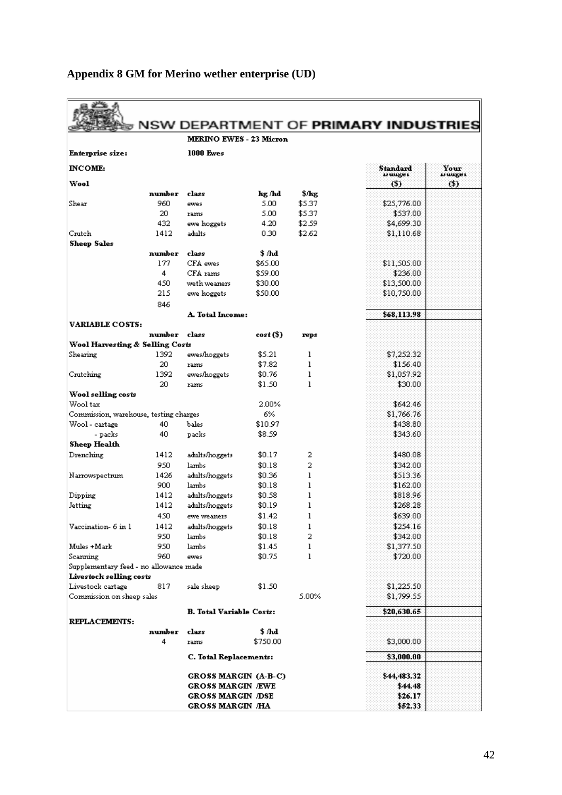|                                        |               |                                 |                |                  | NSW DEPARTMENT OF PRIMARY INDUSTRIES |         |
|----------------------------------------|---------------|---------------------------------|----------------|------------------|--------------------------------------|---------|
|                                        |               | <b>MERINO EWES - 23 Micron</b>  |                |                  |                                      |         |
| Enterprise size:                       |               | <b>1000 Ewes</b>                |                |                  |                                      |         |
| <b>INCOME:</b>                         |               |                                 |                |                  | Standard                             | Your    |
|                                        |               |                                 |                |                  | D uuger:                             | n uuger |
| Wool                                   |               |                                 |                |                  | O)                                   | (\$)    |
| Shear                                  | number<br>960 | class<br>ewes                   | kg /hd<br>5.00 | \$/kg<br>\$5.37. | \$25,776.00                          |         |
|                                        | 20.           | rams                            | 5.00           | \$5.37           | \$537.00                             |         |
|                                        | 432           | ewe hoggets                     | 4.20           | \$2.59           | \$4,699.30                           |         |
| Crutch                                 | 1412          | adults                          | 0.30           | \$2.62           | \$1,110.68                           |         |
| <b>Sheep Sales</b>                     |               |                                 |                |                  |                                      |         |
|                                        | number        | class                           | \$ /hd         |                  |                                      |         |
|                                        | 177           | CFA ewes                        | \$65.00        |                  | \$11,505.00                          |         |
|                                        | 4             | CFA rams                        | \$59.00        |                  | \$236.00                             |         |
|                                        | 450           | weth weaners                    | \$30.00        |                  | \$13,500.00                          |         |
|                                        | 215           | ewe hoggets                     | \$50.00        |                  | \$10,750.00                          |         |
|                                        | 846           |                                 |                |                  |                                      |         |
|                                        |               | <b>A. Total Income:</b>         |                |                  | \$68,113.98                          |         |
| <b>VARIABLE COSTS:</b>                 |               |                                 |                |                  |                                      |         |
|                                        | number        | class                           | cost (\$)      | reps             |                                      |         |
| Wool Harvesting & Selling Costs        |               |                                 |                |                  |                                      |         |
| Shearing                               | 1392          | ewes/hoggets                    | \$5.21         | 1                | \$7,252.32                           |         |
|                                        | 20.           | rams                            | \$7.82         | 1                | \$156.40                             |         |
| Crutching                              | 1392          | ewes/hoggets                    | \$0.76         | ı                | \$1,057.92                           |         |
|                                        | 20            | rams                            | \$1.50         | 1                | \$30.00                              |         |
| Wool selling costs<br>Wool tax         |               |                                 | 2.00%          |                  | \$642.46                             |         |
| Commission, warehouse, testing charges |               |                                 | 6%             |                  | \$1,766.76                           |         |
| Wool - cartage                         | 40            | bales                           | \$10.97        |                  | \$438.80                             |         |
| - packs                                | 40            | packs                           | \$8.59         |                  | \$343.60                             |         |
| Sheep Health                           |               |                                 |                |                  |                                      |         |
| Drenching                              | 1412          | adults/hoggets                  | \$0.17         | 2                | \$480.08                             |         |
|                                        | 950           | lambs                           | \$0.18         | 2                | \$342.00                             |         |
| Narrowspectrum                         | 1426          | adults/hoggets                  | \$0.36         | ı                | \$513.36                             |         |
|                                        | 900           | lambs                           | \$0.18         | 1                | \$162.00                             |         |
| Dipping                                | 1412          | adults/hoggets                  | \$0.58         | ı                | \$818.96                             |         |
| Jetting                                | 1412          | adults/hoggets                  | \$0.19         | ı                | \$268.28                             |         |
|                                        | 450           | ewe weaners                     | \$1.42         | 1                | \$639.00                             |         |
| Vaccination- 6 in 1                    | 1412          | adults/hoggets                  | \$0.18         | ı                | \$254.16                             |         |
|                                        | 950           | lambs                           | \$0.18         | 2                | \$342.00                             |         |
| Mules +Mark                            | 950           | lambs                           | \$1.45         | ı                | \$1,377.50                           |         |
| Scanning                               | 960           | ewes                            | \$0.75         | ı                | \$720.00                             |         |
| Supplementary feed - no allowance made |               |                                 |                |                  |                                      |         |
| Livestock selling costs                |               |                                 |                |                  |                                      |         |
| Livestock cartage                      | 817           | sale sheep                      | \$1.50         |                  | \$1,225.50                           |         |
| Commission on sheep sales              |               |                                 |                | 5.00%            | \$1,799.55                           |         |
|                                        |               | <b>B.</b> Total Variable Costs: |                |                  | \$20,630.65                          |         |
| REPLACEMENTS:                          |               |                                 |                |                  |                                      |         |
|                                        | number        | class                           | \$ ЉА          |                  |                                      |         |
|                                        | 4             | rams                            | \$750.00       |                  | \$3,000.00                           |         |
|                                        |               |                                 |                |                  | \$3,000.00                           |         |
|                                        |               | C. Total Replacements:          |                |                  |                                      |         |
|                                        |               | GROSS MARGIN (A-B-C)            |                |                  | \$44,483.32                          |         |
|                                        |               | <b>GROSS MARGIN /EWE</b>        |                |                  | \$44.48                              |         |
|                                        |               | GROSS MARGIN /DSE               |                |                  | \$26.17                              |         |
|                                        |               | GROSS MARGIN /HA                |                |                  | \$52.33                              |         |

## <span id="page-49-0"></span>**Appendix 8 GM for Merino wether enterprise (UD)**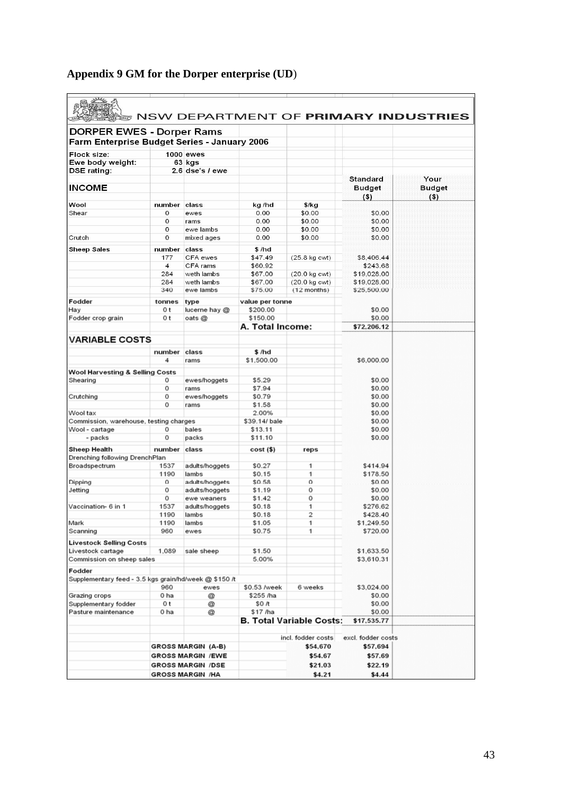|                                                                                  |                |                           |                  |                                 |                                            | <b>NSW DEPARTMENT OF PRIMARY INDUSTRIES</b> |
|----------------------------------------------------------------------------------|----------------|---------------------------|------------------|---------------------------------|--------------------------------------------|---------------------------------------------|
| <b>DORPER EWES - Dorper Rams</b><br>Farm Enterprise Budget Series - January 2006 |                |                           |                  |                                 |                                            |                                             |
|                                                                                  |                |                           |                  |                                 |                                            |                                             |
| Flock size:                                                                      |                | <b>1000 ewes</b>          |                  |                                 |                                            |                                             |
| Ewe body weight:                                                                 |                | 63 kgs                    |                  |                                 |                                            |                                             |
| DSE rating:                                                                      |                | $2.6$ dse's $/$ ewe       |                  |                                 |                                            |                                             |
| <b>INCOME</b>                                                                    |                |                           |                  |                                 | <b>Standard</b><br><b>Budget</b><br>$($ \$ | Your<br><b>Budget</b><br>$($ \$             |
| Wool                                                                             | number         | class                     | kg /hd           | $$$ /kg                         |                                            |                                             |
| Shear                                                                            | 0              | ewes                      | 0.00             | \$0.00                          | \$0.00                                     |                                             |
|                                                                                  | 0              | rams                      | 0.00             | \$0.00                          | \$0.00                                     |                                             |
|                                                                                  | 0              | ewe lambs                 | 0.00             | \$0.00                          | \$0.00                                     |                                             |
| Crutch                                                                           | 0              | mixed ages                | 0.00             | \$0.00                          | \$0.00                                     |                                             |
|                                                                                  |                |                           |                  |                                 |                                            |                                             |
| <b>Sheep Sales</b>                                                               | number         | class                     | \$/hd            |                                 |                                            |                                             |
|                                                                                  | 177            | CFA ewes                  | \$47.49          | $(25.8 \text{ kg} \text{ cwt})$ | \$8,406.44                                 |                                             |
|                                                                                  | $\overline{4}$ | CFA rams                  | \$60.92          |                                 | \$243.68                                   |                                             |
|                                                                                  | 284            | weth lambs                | \$67.00          | $(20.0 \text{ kg} \text{ cwt})$ | \$19,028.00                                |                                             |
|                                                                                  | 284            | weth lambs                | \$67.00          | $(20.0 \text{ kg} \text{ cwt})$ | \$19,028.00                                |                                             |
|                                                                                  | 340            | ewe lambs                 | \$75.00          | $(12$ months)                   | \$25,500.00                                |                                             |
|                                                                                  |                |                           |                  |                                 |                                            |                                             |
| Fodder                                                                           | tonnes         | type                      | value per tonne  |                                 |                                            |                                             |
| Hay                                                                              | 0 t            | lucerne hay @             | \$200.00         |                                 | \$0.00                                     |                                             |
| Fodder crop grain                                                                | 0 t            | oats @                    | \$150.00         |                                 | \$0.00                                     |                                             |
|                                                                                  |                |                           | A. Total Income: |                                 | \$72,206.12                                |                                             |
| <b>VARIABLE COSTS</b>                                                            |                |                           |                  |                                 |                                            |                                             |
|                                                                                  |                |                           |                  |                                 |                                            |                                             |
|                                                                                  | number         | class                     | \$/hd            |                                 |                                            |                                             |
|                                                                                  | 4              | rams                      | \$1,500.00       |                                 | \$6,000.00                                 |                                             |
|                                                                                  |                |                           |                  |                                 |                                            |                                             |
| <b>Wool Harvesting &amp; Selling Costs</b>                                       |                |                           |                  |                                 |                                            |                                             |
| Shearing                                                                         | 0              | ewes/hoggets              | \$5.29           |                                 | \$0.00                                     |                                             |
|                                                                                  | 0              | rams                      | \$7.94           |                                 | \$0.00                                     |                                             |
| Crutching                                                                        | 0              | ewes/hoggets              | \$0.79           |                                 | \$0.00                                     |                                             |
|                                                                                  | 0              | rams                      | \$1.58           |                                 | \$0.00                                     |                                             |
| Wool tax                                                                         |                |                           | 2.00%            |                                 | \$0.00                                     |                                             |
| Commission, warehouse, testing charges                                           |                |                           | \$39.14/ bale    |                                 | \$0.00                                     |                                             |
| Wool - cartage                                                                   | 0              | bales                     | \$13.11          |                                 | \$0.00                                     |                                             |
| - packs                                                                          | 0              | packs                     | \$11.10          |                                 | \$0.00                                     |                                             |
| Sheep Health                                                                     | number         | class                     | cost (\$)        | reps                            |                                            |                                             |
| Drenching following DrenchPlan                                                   |                |                           |                  |                                 |                                            |                                             |
| Broadspectrum                                                                    | 1537           | adults/hoggets            | \$0.27           | 1                               | \$414.94                                   |                                             |
|                                                                                  | 1190           | lambs                     | \$0.15           | 1                               | \$178.50                                   |                                             |
| Dipping                                                                          | 0              | adults/hoggets            | \$0.58           | 0                               | \$0.00                                     |                                             |
| Jetting                                                                          | 0              | adults/hoggets            | \$1.19           | 0                               | \$0.00                                     |                                             |
|                                                                                  | 0              | ewe weaners               | \$1.42           | 0                               | \$0.00                                     |                                             |
| Vaccination- 6 in 1                                                              | 1537           |                           |                  | 1                               | \$276.62                                   |                                             |
|                                                                                  |                | adults/hoggets            | \$0.18           |                                 |                                            |                                             |
|                                                                                  | 1190           | lambs                     | \$0.18           | 2                               | \$428.40                                   |                                             |
| Mark                                                                             | 1190           | lambs                     | \$1.05           | 1                               | \$1,249.50                                 |                                             |
| Scanning                                                                         | 960            | ewes                      | \$0.75           | 1                               | \$720.00                                   |                                             |
| <b>Livestock Selling Costs</b>                                                   |                |                           |                  |                                 |                                            |                                             |
| Livestock cartage                                                                | 1,089          | sale sheep                | \$1.50           |                                 | \$1,633.50                                 |                                             |
| Commission on sheep sales                                                        |                |                           | 5.00%            |                                 | \$3,610.31                                 |                                             |
|                                                                                  |                |                           |                  |                                 |                                            |                                             |
| Fodder                                                                           |                |                           |                  |                                 |                                            |                                             |
| Supplementary feed - 3.5 kgs grain/hd/week @ \$150 /t                            |                |                           |                  |                                 |                                            |                                             |
|                                                                                  | 960            | ewes                      | \$0.53 /week     | 6 weeks                         | \$3,024.00                                 |                                             |
| Grazing crops                                                                    | 0 ha           | Q                         | \$255 /ha        |                                 | \$0.00                                     |                                             |
| Supplementary fodder                                                             | 0 t            | @                         | \$O /t           |                                 | \$0.00                                     |                                             |
| Pasture maintenance                                                              | 0 ha           | @                         | \$17 /ha         |                                 | \$0.00                                     |                                             |
|                                                                                  |                |                           |                  | <b>B. Total Variable Costs:</b> | \$17,535.77                                |                                             |
|                                                                                  |                |                           |                  |                                 |                                            |                                             |
|                                                                                  |                |                           |                  | incl. fodder costs              | excl. fodder costs                         |                                             |
|                                                                                  |                | <b>GROSS MARGIN (A-B)</b> |                  | \$54,670                        | \$57.694                                   |                                             |
|                                                                                  |                | <b>GROSS MARGIN /EWE</b>  |                  | \$54.67                         | \$57.69                                    |                                             |
|                                                                                  |                | <b>GROSS MARGIN /DSE</b>  |                  | \$21.03                         | \$22.19                                    |                                             |
|                                                                                  |                |                           |                  |                                 |                                            |                                             |
|                                                                                  |                | <b>GROSS MARGIN /HA</b>   |                  | \$4.21                          | \$4.44                                     |                                             |

## <span id="page-50-0"></span>**Appendix 9 GM for the Dorper enterprise (UD**)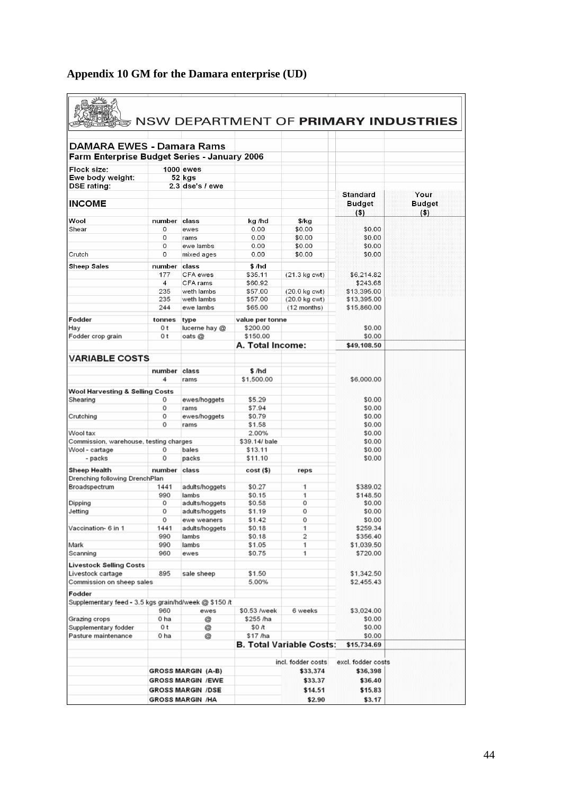| DAMARA EWES - Damara Rams                             |                       |                           |                    |                                 |                         |               |
|-------------------------------------------------------|-----------------------|---------------------------|--------------------|---------------------------------|-------------------------|---------------|
| Farm Enterprise Budget Series - January 2006          |                       |                           |                    |                                 |                         |               |
| Flock size:                                           |                       | 1000 ewes                 |                    |                                 |                         |               |
| Ewe body weight:                                      |                       | 52 kgs                    |                    |                                 |                         |               |
| <b>DSE rating:</b>                                    |                       | $2.3$ dse's $/$ ewe       |                    |                                 |                         |               |
|                                                       |                       |                           |                    |                                 | <b>Standard</b>         | Your          |
| <b>INCOME</b>                                         |                       |                           |                    |                                 | <b>Budget</b>           | <b>Budget</b> |
|                                                       |                       |                           |                    |                                 | $($ \$                  | $($ \$)       |
| Wool<br>Shear                                         | number<br>0           | class                     | kg /hd<br>0.00     | $$$ /kg<br>\$0.00               | \$0.00                  |               |
|                                                       | 0                     | ewes<br>rams              | 0.00               | \$0.00                          | \$0.00                  |               |
|                                                       | 0                     | ewe lambs                 | 0.00               | \$0.00                          | \$0.00                  |               |
| Crutch                                                | 0                     | mixed ages                | 0.00               | \$0.00                          | \$0.00                  |               |
|                                                       |                       |                           |                    |                                 |                         |               |
| <b>Sheep Sales</b>                                    | number                | class                     | \$/hd              |                                 |                         |               |
|                                                       | 177                   | CFA ewes                  | \$35.11            | $(21.3 \text{ kg} \text{ cwt})$ | \$6,214.82              |               |
|                                                       | $\overline{4}$<br>235 | CFA rams<br>weth lambs    | \$60.92<br>\$57.00 | $(20.0 \text{ kg} \text{ cwt})$ | \$243.68<br>\$13,395.00 |               |
|                                                       | 235                   | weth lambs                | \$57.00            | (20.0 kg cwt)                   | \$13,395.00             |               |
|                                                       | 244                   | ewe lambs                 | \$65.00            | (12 months)                     | \$15,860.00             |               |
|                                                       |                       |                           |                    |                                 |                         |               |
| Fodder                                                | tonnes                | type                      | value per tonne    |                                 |                         |               |
| Hay                                                   | 0 t                   | lucerne hay @             | \$200.00           |                                 | \$0.00                  |               |
| Fodder crop grain                                     | 0 t                   | oats @                    | \$150.00           |                                 | \$0.00                  |               |
|                                                       |                       |                           | A. Total Income:   |                                 | \$49,108.50             |               |
| <b>VARIABLE COSTS</b>                                 |                       |                           |                    |                                 |                         |               |
|                                                       |                       |                           |                    |                                 |                         |               |
|                                                       | number                | class                     | \$/hd              |                                 |                         |               |
|                                                       | 4                     | rams                      | \$1,500.00         |                                 | \$6,000.00              |               |
| Wool Harvesting & Selling Costs                       |                       |                           |                    |                                 |                         |               |
| Shearing                                              | 0                     | ewes/hoggets              | \$5.29             |                                 | \$0.00                  |               |
|                                                       | 0                     | rams                      | \$7.94             |                                 | \$0.00                  |               |
| Crutching                                             | 0                     | ewes/hoggets              | \$0.79             |                                 | \$0.00                  |               |
|                                                       | 0                     | rams                      | \$1.58             |                                 | \$0.00                  |               |
| Wool tax                                              |                       |                           | 2.00%              |                                 | \$0.00                  |               |
| Commission, warehouse, testing charges                |                       |                           | \$39.14/ bale      |                                 | \$0.00                  |               |
| Wool - cartage                                        | о<br>0                | bales                     | \$13.11            |                                 | \$0.00                  |               |
| - packs                                               |                       | packs                     | \$11.10            |                                 | \$0.00                  |               |
| Sheep Health                                          | number class          |                           | cost (\$)          | reps                            |                         |               |
| Drenching following DrenchPlan                        |                       |                           |                    |                                 |                         |               |
| Broadspectrum                                         | 1441                  | adults/hoggets            | \$0.27             | 1                               | \$389.02                |               |
|                                                       | 990                   | lambs                     | \$0.15             | 1                               | \$148.50                |               |
| Dipping                                               | 0                     | adults/hoggets            | \$0.58             | 0                               | \$0.00                  |               |
| Jetting                                               | 0                     | adults/hoggets            | \$1.19             | 0                               | \$0.00                  |               |
|                                                       | 0                     | ewe weaners               | \$1.42             | 0                               | \$0.00                  |               |
| Vaccination- 6 in 1                                   | 1441                  | adults/hoggets            | \$0.18             | 1                               | \$259.34                |               |
|                                                       | 990                   | lambs                     | \$0.18             | 2                               | \$356.40                |               |
| Mark                                                  | 990                   | lambs                     | \$1.05             | 1<br>1                          | \$1,039.50<br>\$720.00  |               |
| Scanning                                              | 960                   | ewes                      | \$0.75             |                                 |                         |               |
| <b>Livestock Selling Costs</b>                        |                       |                           |                    |                                 |                         |               |
| Livestock cartage                                     | 895                   | sale sheep                | \$1.50             |                                 | \$1,342.50              |               |
| Commission on sheep sales                             |                       |                           | 5.00%              |                                 | \$2,455.43              |               |
| Fodder                                                |                       |                           |                    |                                 |                         |               |
| Supplementary feed - 3.5 kgs grain/hd/week @ \$150 /t |                       |                           |                    |                                 |                         |               |
|                                                       | 960                   | ewes                      | \$0.53 /week       | 6 weeks                         | \$3,024.00              |               |
| Grazing crops                                         | 0 ha                  | @                         | \$255 /ha          |                                 | \$0.00                  |               |
| Supplementary fodder                                  | 0 t                   | @                         | \$0 /t             |                                 | \$0.00                  |               |
| Pasture maintenance                                   | 0 ha                  | Q                         | \$17 /ha           |                                 | \$0.00                  |               |
|                                                       |                       |                           |                    | <b>B. Total Variable Costs:</b> | \$15,734.69             |               |
|                                                       |                       |                           |                    |                                 |                         |               |
|                                                       |                       |                           |                    | incl. fodder costs              | excl. fodder costs      |               |
|                                                       |                       | <b>GROSS MARGIN (A-B)</b> |                    | \$33,374                        | \$36,398                |               |
|                                                       |                       | <b>GROSS MARGIN /EWE</b>  |                    | \$33.37                         | \$36.40                 |               |
|                                                       |                       | <b>GROSS MARGIN /DSE</b>  |                    | \$14.51                         | \$15.83                 |               |
|                                                       |                       | <b>GROSS MARGIN /HA</b>   |                    | \$2.90                          | \$3.17                  |               |

## <span id="page-51-0"></span>**Appendix 10 GM for the Damara enterprise (UD)**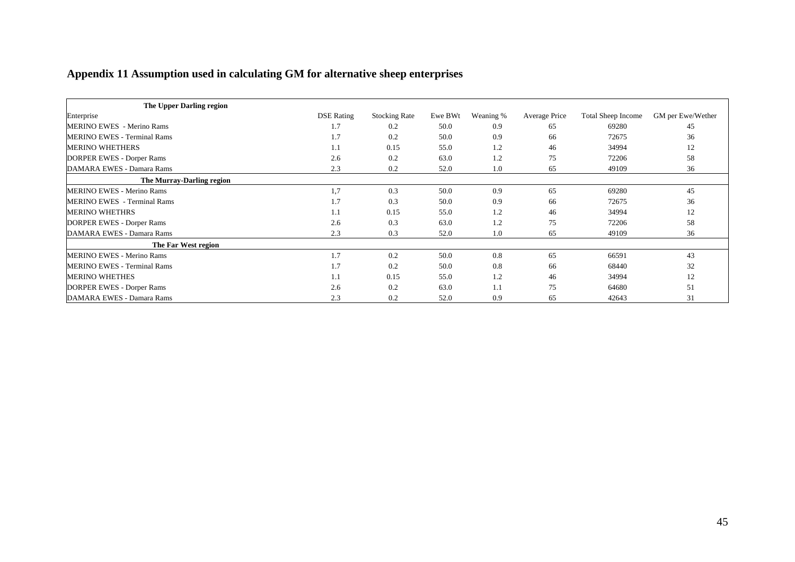## **Appendix 11 Assumption used in calculating GM for alternative sheep enterprises**

<span id="page-52-0"></span>

| The Upper Darling region           |                   |                      |         |           |               |                    |                   |
|------------------------------------|-------------------|----------------------|---------|-----------|---------------|--------------------|-------------------|
| Enterprise                         | <b>DSE</b> Rating | <b>Stocking Rate</b> | Ewe BWt | Weaning % | Average Price | Total Sheep Income | GM per Ewe/Wether |
| <b>MERINO EWES</b> - Merino Rams   | 1.7               | 0.2                  | 50.0    | 0.9       | 65            | 69280              | 45                |
| <b>MERINO EWES - Terminal Rams</b> | 1.7               | 0.2                  | 50.0    | 0.9       | 66            | 72675              | 36                |
| <b>MERINO WHETHERS</b>             | 1.1               | 0.15                 | 55.0    | 1.2       | 46            | 34994              | 12                |
| <b>DORPER EWES - Dorper Rams</b>   | 2.6               | 0.2                  | 63.0    | 1.2       | 75            | 72206              | 58                |
| DAMARA EWES - Damara Rams          | 2.3               | 0.2                  | 52.0    | 1.0       | 65            | 49109              | 36                |
| The Murray-Darling region          |                   |                      |         |           |               |                    |                   |
| <b>MERINO EWES - Merino Rams</b>   | 1,7               | 0.3                  | 50.0    | 0.9       | 65            | 69280              | 45                |
| <b>MERINO EWES</b> - Terminal Rams | 1.7               | 0.3                  | 50.0    | 0.9       | 66            | 72675              | 36                |
| <b>MERINO WHETHRS</b>              | 1.1               | 0.15                 | 55.0    | 1.2       | 46            | 34994              | 12                |
| <b>DORPER EWES - Dorper Rams</b>   | 2.6               | 0.3                  | 63.0    | 1.2       | 75            | 72206              | 58                |
| DAMARA EWES - Damara Rams          | 2.3               | 0.3                  | 52.0    | 1.0       | 65            | 49109              | 36                |
| The Far West region                |                   |                      |         |           |               |                    |                   |
| <b>MERINO EWES - Merino Rams</b>   | 1.7               | 0.2                  | 50.0    | 0.8       | 65            | 66591              | 43                |
| <b>MERINO EWES - Terminal Rams</b> | 1.7               | 0.2                  | 50.0    | 0.8       | 66            | 68440              | 32                |
| <b>MERINO WHETHES</b>              | 1.1               | 0.15                 | 55.0    | 1.2       | 46            | 34994              | 12                |
| DORPER EWES - Dorper Rams          | 2.6               | 0.2                  | 63.0    | 1.1       | 75            | 64680              | 51                |
| DAMARA EWES - Damara Rams          | 2.3               | 0.2                  | 52.0    | 0.9       | 65            | 42643              | 31                |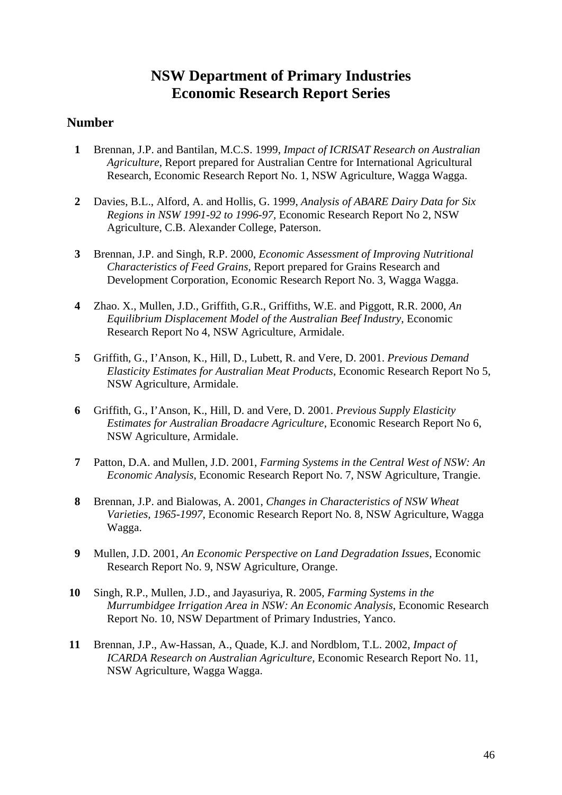## **NSW Department of Primary Industries Economic Research Report Series**

#### **Number**

- **1** Brennan, J.P. and Bantilan, M.C.S. 1999, *Impact of ICRISAT Research on Australian Agriculture*, Report prepared for Australian Centre for International Agricultural Research, Economic Research Report No. 1, NSW Agriculture, Wagga Wagga.
- **2** Davies, B.L., Alford, A. and Hollis, G. 1999, *Analysis of ABARE Dairy Data for Six Regions in NSW 1991-92 to 1996-97,* Economic Research Report No 2, NSW Agriculture, C.B. Alexander College, Paterson.
- **3** Brennan, J.P. and Singh, R.P. 2000, *Economic Assessment of Improving Nutritional Characteristics of Feed Grains*, Report prepared for Grains Research and Development Corporation, Economic Research Report No. 3, Wagga Wagga.
- **4** Zhao. X., Mullen, J.D., Griffith, G.R., Griffiths, W.E. and Piggott, R.R. 2000, *An Equilibrium Displacement Model of the Australian Beef Industry*, Economic Research Report No 4, NSW Agriculture, Armidale.
- **5** Griffith, G., I'Anson, K., Hill, D., Lubett, R. and Vere, D. 2001. *Previous Demand Elasticity Estimates for Australian Meat Products*, Economic Research Report No 5, NSW Agriculture, Armidale.
- **6** Griffith, G., I'Anson, K., Hill, D. and Vere, D. 2001. *Previous Supply Elasticity Estimates for Australian Broadacre Agriculture*, Economic Research Report No 6, NSW Agriculture, Armidale.
- **7** Patton, D.A. and Mullen, J.D. 2001, *Farming Systems in the Central West of NSW: An Economic Analysis*, Economic Research Report No. 7, NSW Agriculture, Trangie.
- **8** Brennan, J.P. and Bialowas, A. 2001, *Changes in Characteristics of NSW Wheat Varieties, 1965-1997*, Economic Research Report No. 8, NSW Agriculture, Wagga Wagga.
- **9** Mullen, J.D. 2001, *An Economic Perspective on Land Degradation Issues*, Economic Research Report No. 9, NSW Agriculture, Orange.
- **10** Singh, R.P., Mullen, J.D., and Jayasuriya, R. 2005, *Farming Systems in the Murrumbidgee Irrigation Area in NSW: An Economic Analysis*, Economic Research Report No. 10, NSW Department of Primary Industries, Yanco.
- **11** Brennan, J.P., Aw-Hassan, A., Quade, K.J. and Nordblom, T.L. 2002, *Impact of ICARDA Research on Australian Agriculture*, Economic Research Report No. 11, NSW Agriculture, Wagga Wagga.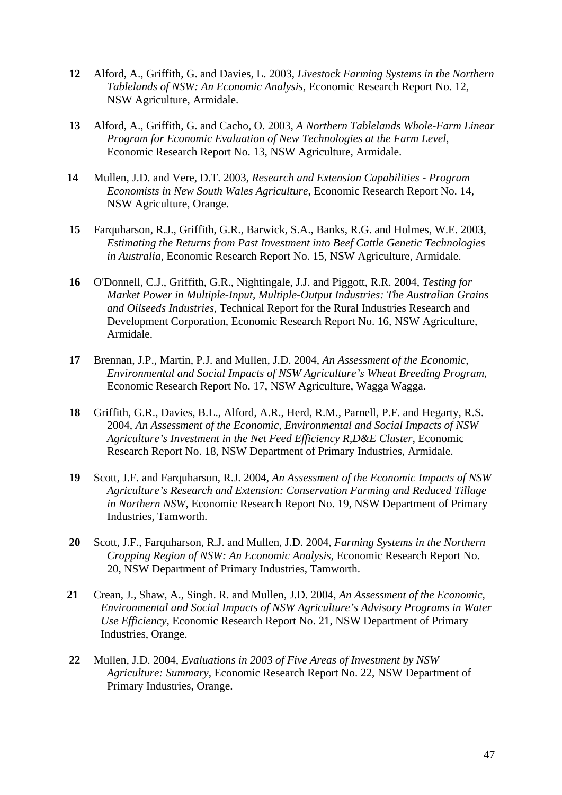- **12** Alford, A., Griffith, G. and Davies, L. 2003, *Livestock Farming Systems in the Northern Tablelands of NSW: An Economic Analysis*, Economic Research Report No. 12, NSW Agriculture, Armidale.
- **13** Alford, A., Griffith, G. and Cacho, O. 2003, *A Northern Tablelands Whole-Farm Linear Program for Economic Evaluation of New Technologies at the Farm Level*, Economic Research Report No. 13, NSW Agriculture, Armidale.
- **14** Mullen, J.D. and Vere, D.T. 2003, *Research and Extension Capabilities Program Economists in New South Wales Agriculture*, Economic Research Report No. 14, NSW Agriculture, Orange.
- **15** Farquharson, R.J., Griffith, G.R., Barwick, S.A., Banks, R.G. and Holmes, W.E. 2003, *Estimating the Returns from Past Investment into Beef Cattle Genetic Technologies in Australia,* Economic Research Report No. 15, NSW Agriculture, Armidale.
- **16** O'Donnell, C.J., Griffith, G.R., Nightingale, J.J. and Piggott, R.R. 2004, *Testing for Market Power in Multiple-Input, Multiple-Output Industries: The Australian Grains and Oilseeds Industries*, Technical Report for the Rural Industries Research and Development Corporation, Economic Research Report No. 16, NSW Agriculture, Armidale.
- **17** Brennan, J.P., Martin, P.J. and Mullen, J.D. 2004, *An Assessment of the Economic, Environmental and Social Impacts of NSW Agriculture's Wheat Breeding Program*, Economic Research Report No. 17, NSW Agriculture, Wagga Wagga.
- **18** Griffith, G.R., Davies, B.L., Alford, A.R., Herd, R.M., Parnell, P.F. and Hegarty, R.S. 2004, *An Assessment of the Economic, Environmental and Social Impacts of NSW Agriculture's Investment in the Net Feed Efficiency R,D&E Cluster*, Economic Research Report No. 18, NSW Department of Primary Industries, Armidale.
- **19** Scott, J.F. and Farquharson, R.J. 2004, *An Assessment of the Economic Impacts of NSW Agriculture's Research and Extension: Conservation Farming and Reduced Tillage in Northern NSW*, Economic Research Report No. 19, NSW Department of Primary Industries, Tamworth.
- **20** Scott, J.F., Farquharson, R.J. and Mullen, J.D. 2004, *Farming Systems in the Northern Cropping Region of NSW: An Economic Analysis*, Economic Research Report No. 20, NSW Department of Primary Industries, Tamworth.
- **21** Crean, J., Shaw, A., Singh. R. and Mullen, J.D. 2004, *An Assessment of the Economic, Environmental and Social Impacts of NSW Agriculture's Advisory Programs in Water Use Efficiency*, Economic Research Report No. 21, NSW Department of Primary Industries, Orange.
- **22** Mullen, J.D. 2004, *Evaluations in 2003 of Five Areas of Investment by NSW Agriculture: Summary*, Economic Research Report No. 22, NSW Department of Primary Industries, Orange.